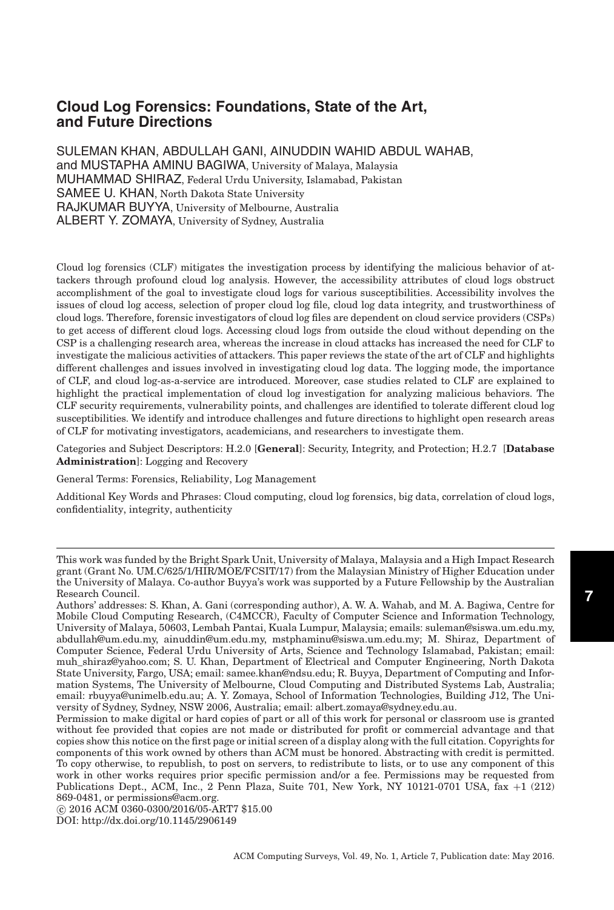# **Cloud Log Forensics: Foundations, State of the Art, and Future Directions**

SULEMAN KHAN, ABDULLAH GANI, AINUDDIN WAHID ABDUL WAHAB, and MUSTAPHA AMINU BAGIWA, University of Malaya, Malaysia MUHAMMAD SHIRAZ, Federal Urdu University, Islamabad, Pakistan SAMEE U. KHAN, North Dakota State University RAJKUMAR BUYYA, University of Melbourne, Australia ALBERT Y. ZOMAYA, University of Sydney, Australia

Cloud log forensics (CLF) mitigates the investigation process by identifying the malicious behavior of attackers through profound cloud log analysis. However, the accessibility attributes of cloud logs obstruct accomplishment of the goal to investigate cloud logs for various susceptibilities. Accessibility involves the issues of cloud log access, selection of proper cloud log file, cloud log data integrity, and trustworthiness of cloud logs. Therefore, forensic investigators of cloud log files are dependent on cloud service providers (CSPs) to get access of different cloud logs. Accessing cloud logs from outside the cloud without depending on the CSP is a challenging research area, whereas the increase in cloud attacks has increased the need for CLF to investigate the malicious activities of attackers. This paper reviews the state of the art of CLF and highlights different challenges and issues involved in investigating cloud log data. The logging mode, the importance of CLF, and cloud log-as-a-service are introduced. Moreover, case studies related to CLF are explained to highlight the practical implementation of cloud log investigation for analyzing malicious behaviors. The CLF security requirements, vulnerability points, and challenges are identified to tolerate different cloud log susceptibilities. We identify and introduce challenges and future directions to highlight open research areas of CLF for motivating investigators, academicians, and researchers to investigate them.

Categories and Subject Descriptors: H.2.0 [**General**]: Security, Integrity, and Protection; H.2.7 [**Database Administration**]: Logging and Recovery

General Terms: Forensics, Reliability, Log Management

Additional Key Words and Phrases: Cloud computing, cloud log forensics, big data, correlation of cloud logs, confidentiality, integrity, authenticity

-c 2016 ACM 0360-0300/2016/05-ART7 \$15.00

DOI:<http://dx.doi.org/10.1145/2906149>

This work was funded by the Bright Spark Unit, University of Malaya, Malaysia and a High Impact Research grant (Grant No. UM.C/625/1/HIR/MOE/FCSIT/17) from the Malaysian Ministry of Higher Education under the University of Malaya. Co-author Buyya's work was supported by a Future Fellowship by the Australian Research Council.

Authors' addresses: S. Khan, A. Gani (corresponding author), A. W. A. Wahab, and M. A. Bagiwa, Centre for Mobile Cloud Computing Research, (C4MCCR), Faculty of Computer Science and Information Technology, University of Malaya, 50603, Lembah Pantai, Kuala Lumpur, Malaysia; emails: suleman@siswa.um.edu.my, abdullah@um.edu.my, ainuddin@um.edu.my, mstphaminu@siswa.um.edu.my; M. Shiraz, Department of Computer Science, Federal Urdu University of Arts, Science and Technology Islamabad, Pakistan; email: muh\_shiraz@yahoo.com; S. U. Khan, Department of Electrical and Computer Engineering, North Dakota State University, Fargo, USA; email: samee.khan@ndsu.edu; R. Buyya, Department of Computing and Information Systems, The University of Melbourne, Cloud Computing and Distributed Systems Lab, Australia; email: rbuyya@unimelb.edu.au; A. Y. Zomaya, School of Information Technologies, Building J12, The University of Sydney, Sydney, NSW 2006, Australia; email: albert.zomaya@sydney.edu.au.

Permission to make digital or hard copies of part or all of this work for personal or classroom use is granted without fee provided that copies are not made or distributed for profit or commercial advantage and that copies show this notice on the first page or initial screen of a display along with the full citation. Copyrights for components of this work owned by others than ACM must be honored. Abstracting with credit is permitted. To copy otherwise, to republish, to post on servers, to redistribute to lists, or to use any component of this work in other works requires prior specific permission and/or a fee. Permissions may be requested from Publications Dept., ACM, Inc., 2 Penn Plaza, Suite 701, New York, NY 10121-0701 USA, fax +1 (212) 869-0481, or permissions@acm.org.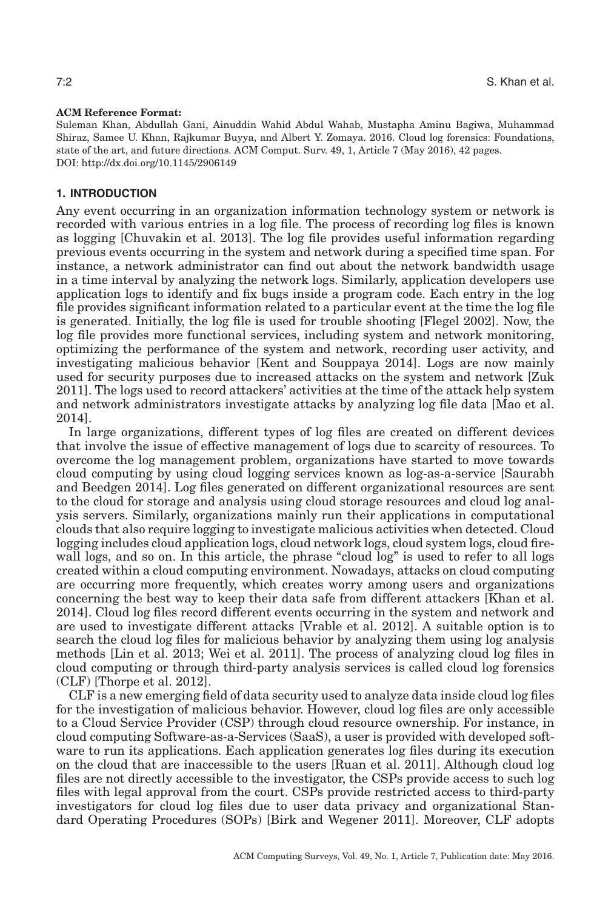#### **ACM Reference Format:**

Suleman Khan, Abdullah Gani, Ainuddin Wahid Abdul Wahab, Mustapha Aminu Bagiwa, Muhammad Shiraz, Samee U. Khan, Rajkumar Buyya, and Albert Y. Zomaya. 2016. Cloud log forensics: Foundations, state of the art, and future directions. ACM Comput. Surv. 49, 1, Article 7 (May 2016), 42 pages. DOI:<http://dx.doi.org/10.1145/2906149>

#### **1. INTRODUCTION**

Any event occurring in an organization information technology system or network is recorded with various entries in a log file. The process of recording log files is known as logging [\[Chuvakin et al. 2013\]](#page-37-0). The log file provides useful information regarding previous events occurring in the system and network during a specified time span. For instance, a network administrator can find out about the network bandwidth usage in a time interval by analyzing the network logs. Similarly, application developers use application logs to identify and fix bugs inside a program code. Each entry in the log file provides significant information related to a particular event at the time the log file is generated. Initially, the log file is used for trouble shooting [\[Flegel 2002\]](#page-41-0). Now, the log file provides more functional services, including system and network monitoring, optimizing the performance of the system and network, recording user activity, and investigating malicious behavior [\[Kent and Souppaya 2014\]](#page-39-0). Logs are now mainly used for security purposes due to increased attacks on the system and network [Zuk 2011]. The logs used to record attackers' activities at the time of the attack help system and network administrators investigate attacks by analyzing log file data [\[Mao et al.](#page-38-0) [2014\]](#page-38-0).

In large organizations, different types of log files are created on different devices that involve the issue of effective management of logs due to scarcity of resources. To overcome the log management problem, organizations have started to move towards cloud computing by using cloud logging services known as log-as-a-service [\[Saurabh](#page-39-1) [and Beedgen 2014\]](#page-39-1). Log files generated on different organizational resources are sent to the cloud for storage and analysis using cloud storage resources and cloud log analysis servers. Similarly, organizations mainly run their applications in computational clouds that also require logging to investigate malicious activities when detected. Cloud logging includes cloud application logs, cloud network logs, cloud system logs, cloud firewall logs, and so on. In this article, the phrase "cloud log" is used to refer to all logs created within a cloud computing environment. Nowadays, attacks on cloud computing are occurring more frequently, which creates worry among users and organizations concerning the best way to keep their data safe from different attackers [Khan et al. 2014]. Cloud log files record different events occurring in the system and network and are used to investigate different attacks [\[Vrable et al. 2012\]](#page-39-2). A suitable option is to search the cloud log files for malicious behavior by analyzing them using log analysis methods [\[Lin et al. 2013;](#page-41-1) [Wei et al. 2011\]](#page-39-3). The process of analyzing cloud log files in cloud computing or through third-party analysis services is called cloud log forensics (CLF) [Thorpe et al. 2012].

CLF is a new emerging field of data security used to analyze data inside cloud log files for the investigation of malicious behavior. However, cloud log files are only accessible to a Cloud Service Provider (CSP) through cloud resource ownership. For instance, in cloud computing Software-as-a-Services (SaaS), a user is provided with developed software to run its applications. Each application generates log files during its execution on the cloud that are inaccessible to the users [\[Ruan et al. 2011\]](#page-39-4). Although cloud log files are not directly accessible to the investigator, the CSPs provide access to such log files with legal approval from the court. CSPs provide restricted access to third-party investigators for cloud log files due to user data privacy and organizational Standard Operating Procedures (SOPs) [\[Birk and Wegener 2011\]](#page-38-1). Moreover, CLF adopts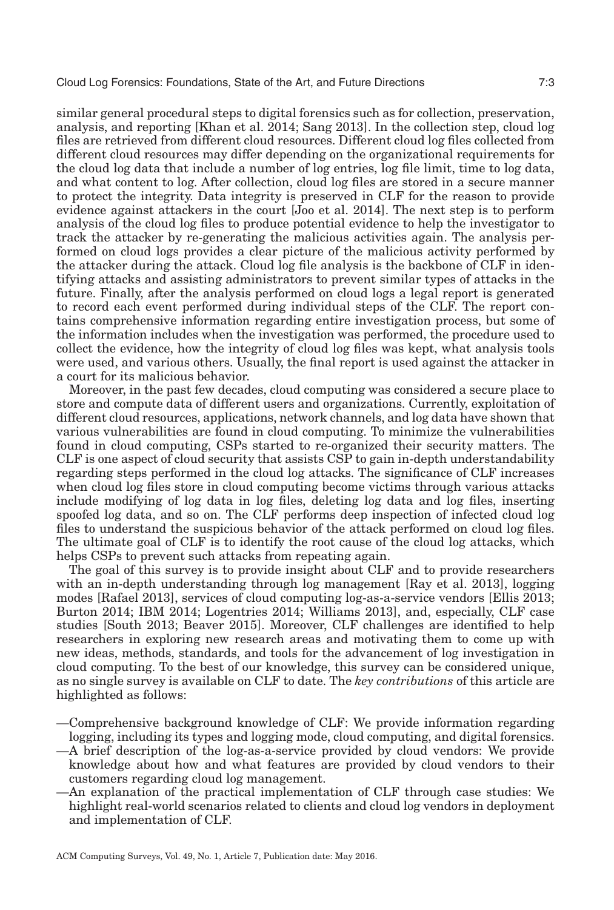similar general procedural steps to digital forensics such as for collection, preservation, analysis, and reporting [Khan et al. 2014; [Sang 2013\]](#page-41-2). In the collection step, cloud log files are retrieved from different cloud resources. Different cloud log files collected from different cloud resources may differ depending on the organizational requirements for the cloud log data that include a number of log entries, log file limit, time to log data, and what content to log. After collection, cloud log files are stored in a secure manner to protect the integrity. Data integrity is preserved in CLF for the reason to provide evidence against attackers in the court [\[Joo et al. 2014\]](#page-38-2). The next step is to perform analysis of the cloud log files to produce potential evidence to help the investigator to track the attacker by re-generating the malicious activities again. The analysis performed on cloud logs provides a clear picture of the malicious activity performed by the attacker during the attack. Cloud log file analysis is the backbone of CLF in identifying attacks and assisting administrators to prevent similar types of attacks in the future. Finally, after the analysis performed on cloud logs a legal report is generated to record each event performed during individual steps of the CLF. The report contains comprehensive information regarding entire investigation process, but some of the information includes when the investigation was performed, the procedure used to collect the evidence, how the integrity of cloud log files was kept, what analysis tools were used, and various others. Usually, the final report is used against the attacker in a court for its malicious behavior.

Moreover, in the past few decades, cloud computing was considered a secure place to store and compute data of different users and organizations. Currently, exploitation of different cloud resources, applications, network channels, and log data have shown that various vulnerabilities are found in cloud computing. To minimize the vulnerabilities found in cloud computing, CSPs started to re-organized their security matters. The CLF is one aspect of cloud security that assists CSP to gain in-depth understandability regarding steps performed in the cloud log attacks. The significance of CLF increases when cloud log files store in cloud computing become victims through various attacks include modifying of log data in log files, deleting log data and log files, inserting spoofed log data, and so on. The CLF performs deep inspection of infected cloud log files to understand the suspicious behavior of the attack performed on cloud log files. The ultimate goal of CLF is to identify the root cause of the cloud log attacks, which helps CSPs to prevent such attacks from repeating again.

The goal of this survey is to provide insight about CLF and to provide researchers with an in-depth understanding through log management [\[Ray et al. 2013\]](#page-38-3), logging modes [\[Rafael 2013\]](#page-37-1), services of cloud computing log-as-a-service vendors [\[Ellis 2013;](#page-39-5) [Burton 2014;](#page-37-2) IBM 2014; Logentries 2014; [Williams 2013\]](#page-37-3), and, especially, CLF case studies [\[South 2013;](#page-38-4) [Beaver 2015\]](#page-38-5). Moreover, CLF challenges are identified to help researchers in exploring new research areas and motivating them to come up with new ideas, methods, standards, and tools for the advancement of log investigation in cloud computing. To the best of our knowledge, this survey can be considered unique, as no single survey is available on CLF to date. The *key contributions* of this article are highlighted as follows:

—Comprehensive background knowledge of CLF: We provide information regarding logging, including its types and logging mode, cloud computing, and digital forensics.

- —A brief description of the log-as-a-service provided by cloud vendors: We provide knowledge about how and what features are provided by cloud vendors to their customers regarding cloud log management.
- —An explanation of the practical implementation of CLF through case studies: We highlight real-world scenarios related to clients and cloud log vendors in deployment and implementation of CLF.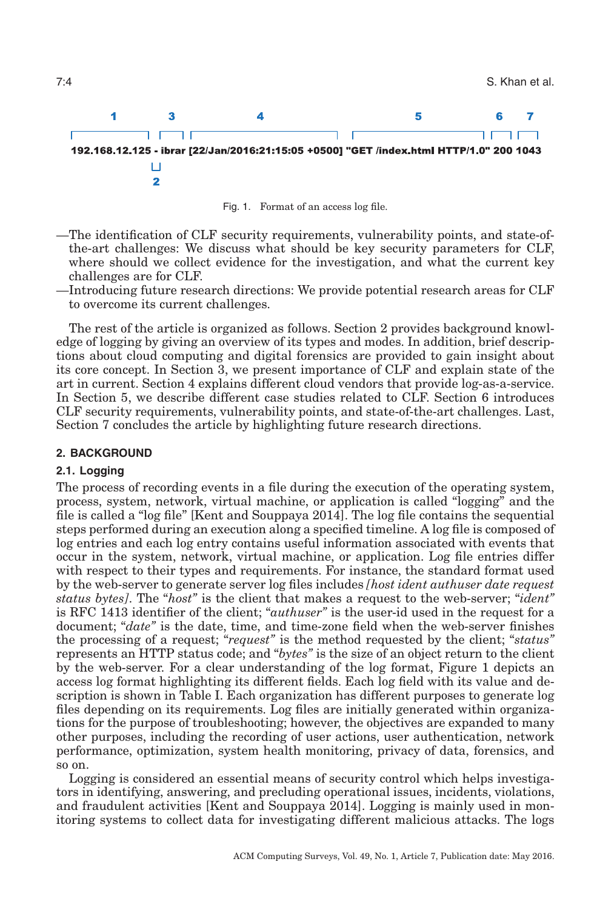<span id="page-3-1"></span>

Fig. 1. Format of an access log file.

- —The identification of CLF security requirements, vulnerability points, and state-ofthe-art challenges: We discuss what should be key security parameters for CLF, where should we collect evidence for the investigation, and what the current key challenges are for CLF.
- —Introducing future research directions: We provide potential research areas for CLF to overcome its current challenges.

The rest of the article is organized as follows. [Section 2](#page-3-0) provides background knowledge of logging by giving an overview of its types and modes. In addition, brief descriptions about cloud computing and digital forensics are provided to gain insight about its core concept. In [Section 3,](#page-10-0) we present importance of CLF and explain state of the art in current. [Section 4](#page-15-0) explains different cloud vendors that provide log-as-a-service. In [Section 5,](#page-19-0) we describe different case studies related to CLF. [Section 6](#page-23-0) introduces CLF security requirements, vulnerability points, and state-of-the-art challenges. Last, [Section 7](#page-32-0) concludes the article by highlighting future research directions.

#### **2. BACKGROUND**

#### <span id="page-3-0"></span>**2.1. Logging**

The process of recording events in a file during the execution of the operating system, process, system, network, virtual machine, or application is called "logging" and the file is called a "log file" [\[Kent and Souppaya 2014\]](#page-39-0). The log file contains the sequential steps performed during an execution along a specified timeline. A log file is composed of log entries and each log entry contains useful information associated with events that occur in the system, network, virtual machine, or application. Log file entries differ with respect to their types and requirements. For instance, the standard format used by the web-server to generate server log files includes *[host ident authuser date request status bytes]*. The "*host"* is the client that makes a request to the web-server; "*ident"* is RFC 1413 identifier of the client; "*authuser"* is the user-id used in the request for a document; "*date"* is the date, time, and time-zone field when the web-server finishes the processing of a request; "*request"* is the method requested by the client; "*status"* represents an HTTP status code; and "*bytes"* is the size of an object return to the client by the web-server. For a clear understanding of the log format, Figure [1](#page-3-1) depicts an access log format highlighting its different fields. Each log field with its value and description is shown in Table [I.](#page-4-0) Each organization has different purposes to generate log files depending on its requirements. Log files are initially generated within organizations for the purpose of troubleshooting; however, the objectives are expanded to many other purposes, including the recording of user actions, user authentication, network performance, optimization, system health monitoring, privacy of data, forensics, and so on.

Logging is considered an essential means of security control which helps investigators in identifying, answering, and precluding operational issues, incidents, violations, and fraudulent activities [\[Kent and Souppaya 2014\]](#page-39-0). Logging is mainly used in monitoring systems to collect data for investigating different malicious attacks. The logs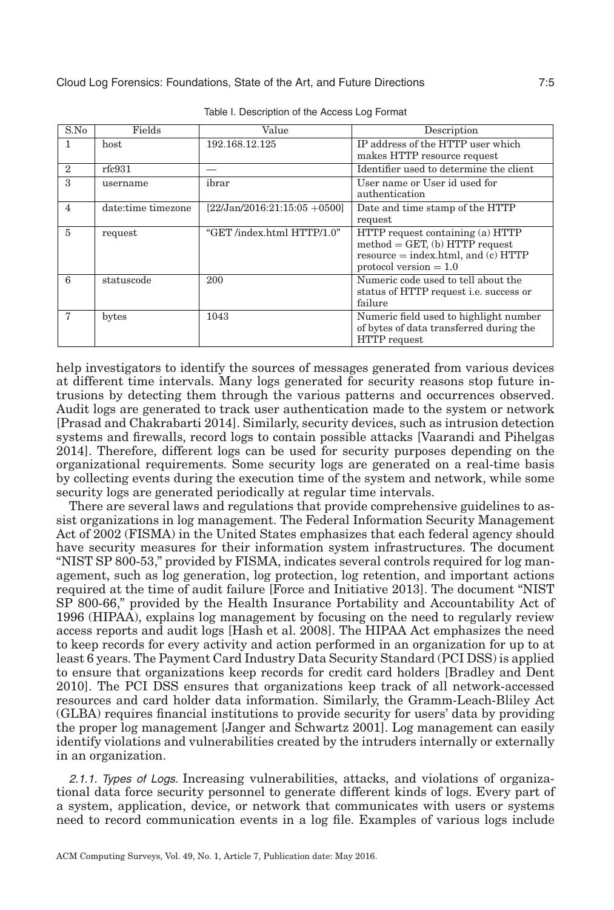<span id="page-4-0"></span>

| S.No              | Fields             | Value                           | Description                                   |
|-------------------|--------------------|---------------------------------|-----------------------------------------------|
|                   | host               | 192.168.12.125                  | IP address of the HTTP user which             |
|                   |                    |                                 | makes HTTP resource request                   |
| $\mathcal{D}_{1}$ | rfc931             |                                 | Identifier used to determine the client       |
| 3                 | username           | ibrar                           | User name or User id used for                 |
|                   |                    |                                 | authentication                                |
| $\overline{4}$    | date:time timezone | $[22/Jan/2016:21:15:05 + 0500]$ | Date and time stamp of the HTTP               |
|                   |                    |                                 | request                                       |
| 5                 | request            | "GET /index.html HTTP/1.0"      | HTTP request containing (a) HTTP              |
|                   |                    |                                 | $method = GET$ , (b) HTTP request             |
|                   |                    |                                 | $resource = index.html$ , and (c) HTTP        |
|                   |                    |                                 | protocol version $= 1.0$                      |
| 6                 | statuscode         | 200                             | Numeric code used to tell about the           |
|                   |                    |                                 | status of HTTP request <i>i.e.</i> success or |
|                   |                    |                                 | failure                                       |
| 7                 | bytes              | 1043                            | Numeric field used to highlight number        |
|                   |                    |                                 | of bytes of data transferred during the       |
|                   |                    |                                 | HTTP request                                  |

Table I. Description of the Access Log Format

help investigators to identify the sources of messages generated from various devices at different time intervals. Many logs generated for security reasons stop future intrusions by detecting them through the various patterns and occurrences observed. Audit logs are generated to track user authentication made to the system or network [\[Prasad and Chakrabarti 2014\]](#page-37-4). Similarly, security devices, such as intrusion detection systems and firewalls, record logs to contain possible attacks [\[Vaarandi and Pihelgas](#page-40-0) [2014\]](#page-40-0). Therefore, different logs can be used for security purposes depending on the organizational requirements. Some security logs are generated on a real-time basis by collecting events during the execution time of the system and network, while some security logs are generated periodically at regular time intervals.

There are several laws and regulations that provide comprehensive guidelines to assist organizations in log management. The Federal Information Security Management Act of 2002 (FISMA) in the United States emphasizes that each federal agency should have security measures for their information system infrastructures. The document "NIST SP 800-53," provided by FISMA, indicates several controls required for log management, such as log generation, log protection, log retention, and important actions required at the time of audit failure [\[Force and Initiative 2013\]](#page-38-6). The document "NIST SP 800-66," provided by the Health Insurance Portability and Accountability Act of 1996 (HIPAA), explains log management by focusing on the need to regularly review access reports and audit logs [\[Hash et al. 2008\]](#page-38-7). The HIPAA Act emphasizes the need to keep records for every activity and action performed in an organization for up to at least 6 years. The Payment Card Industry Data Security Standard (PCI DSS) is applied to ensure that organizations keep records for credit card holders [\[Bradley and Dent](#page-39-6) [2010\]](#page-39-6). The PCI DSS ensures that organizations keep track of all network-accessed resources and card holder data information. Similarly, the Gramm-Leach-Bliley Act (GLBA) requires financial institutions to provide security for users' data by providing the proper log management [\[Janger and Schwartz 2001\]](#page-38-8). Log management can easily identify violations and vulnerabilities created by the intruders internally or externally in an organization.

2.1.1. Types of Logs. Increasing vulnerabilities, attacks, and violations of organizational data force security personnel to generate different kinds of logs. Every part of a system, application, device, or network that communicates with users or systems need to record communication events in a log file. Examples of various logs include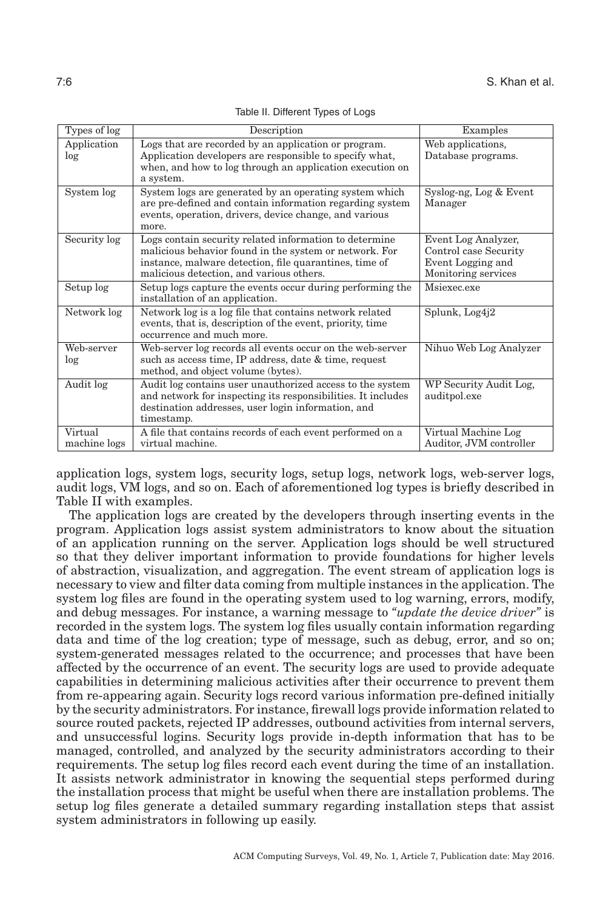<span id="page-5-0"></span>

| Types of log            | Description                                                                                                                                                                                                            | Examples                                                                                 |
|-------------------------|------------------------------------------------------------------------------------------------------------------------------------------------------------------------------------------------------------------------|------------------------------------------------------------------------------------------|
| Application<br>log      | Logs that are recorded by an application or program.<br>Application developers are responsible to specify what,<br>when, and how to log through an application execution on<br>a system.                               | Web applications,<br>Database programs.                                                  |
| System log              | System logs are generated by an operating system which<br>are pre-defined and contain information regarding system<br>events, operation, drivers, device change, and various<br>more.                                  | Syslog-ng, Log & Event<br>Manager                                                        |
| Security log            | Logs contain security related information to determine<br>malicious behavior found in the system or network. For<br>instance, malware detection, file quarantines, time of<br>malicious detection, and various others. | Event Log Analyzer,<br>Control case Security<br>Event Logging and<br>Monitoring services |
| Setup log               | Setup logs capture the events occur during performing the<br>installation of an application.                                                                                                                           | Msiexec.exe                                                                              |
| Network log             | Network log is a log file that contains network related<br>events, that is, description of the event, priority, time<br>occurrence and much more.                                                                      | Splunk, Log4j2                                                                           |
| Web-server<br>log       | Web-server log records all events occur on the web-server<br>such as access time, IP address, date & time, request<br>method, and object volume (bytes).                                                               | Nihuo Web Log Analyzer                                                                   |
| Audit log               | Audit log contains user unauthorized access to the system<br>and network for inspecting its responsibilities. It includes<br>destination addresses, user login information, and<br>timestamp.                          | WP Security Audit Log.<br>auditpol.exe                                                   |
| Virtual<br>machine logs | A file that contains records of each event performed on a<br>virtual machine.                                                                                                                                          | Virtual Machine Log<br>Auditor, JVM controller                                           |

Table II. Different Types of Logs

application logs, system logs, security logs, setup logs, network logs, web-server logs, audit logs, VM logs, and so on. Each of aforementioned log types is briefly described in Table [II](#page-5-0) with examples.

The application logs are created by the developers through inserting events in the program. Application logs assist system administrators to know about the situation of an application running on the server. Application logs should be well structured so that they deliver important information to provide foundations for higher levels of abstraction, visualization, and aggregation. The event stream of application logs is necessary to view and filter data coming from multiple instances in the application. The system log files are found in the operating system used to log warning, errors, modify, and debug messages. For instance, a warning message to *"update the device driver"* is recorded in the system logs. The system log files usually contain information regarding data and time of the log creation; type of message, such as debug, error, and so on; system-generated messages related to the occurrence; and processes that have been affected by the occurrence of an event. The security logs are used to provide adequate capabilities in determining malicious activities after their occurrence to prevent them from re-appearing again. Security logs record various information pre-defined initially by the security administrators. For instance, firewall logs provide information related to source routed packets, rejected IP addresses, outbound activities from internal servers, and unsuccessful logins. Security logs provide in-depth information that has to be managed, controlled, and analyzed by the security administrators according to their requirements. The setup log files record each event during the time of an installation. It assists network administrator in knowing the sequential steps performed during the installation process that might be useful when there are installation problems. The setup log files generate a detailed summary regarding installation steps that assist system administrators in following up easily.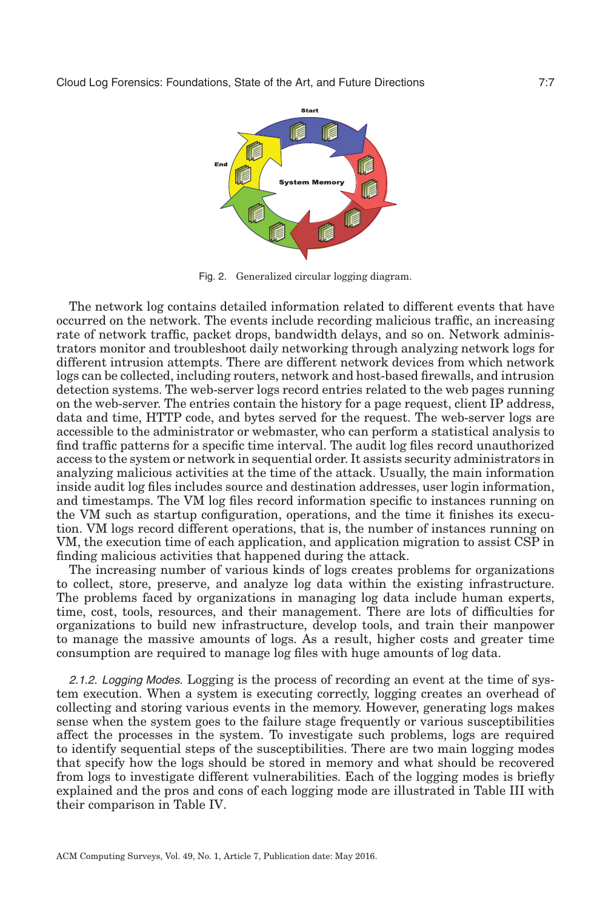<span id="page-6-0"></span>

Fig. 2. Generalized circular logging diagram.

The network log contains detailed information related to different events that have occurred on the network. The events include recording malicious traffic, an increasing rate of network traffic, packet drops, bandwidth delays, and so on. Network administrators monitor and troubleshoot daily networking through analyzing network logs for different intrusion attempts. There are different network devices from which network logs can be collected, including routers, network and host-based firewalls, and intrusion detection systems. The web-server logs record entries related to the web pages running on the web-server. The entries contain the history for a page request, client IP address, data and time, HTTP code, and bytes served for the request. The web-server logs are accessible to the administrator or webmaster, who can perform a statistical analysis to find traffic patterns for a specific time interval. The audit log files record unauthorized access to the system or network in sequential order. It assists security administrators in analyzing malicious activities at the time of the attack. Usually, the main information inside audit log files includes source and destination addresses, user login information, and timestamps. The VM log files record information specific to instances running on the VM such as startup configuration, operations, and the time it finishes its execution. VM logs record different operations, that is, the number of instances running on VM, the execution time of each application, and application migration to assist CSP in finding malicious activities that happened during the attack.

The increasing number of various kinds of logs creates problems for organizations to collect, store, preserve, and analyze log data within the existing infrastructure. The problems faced by organizations in managing log data include human experts, time, cost, tools, resources, and their management. There are lots of difficulties for organizations to build new infrastructure, develop tools, and train their manpower to manage the massive amounts of logs. As a result, higher costs and greater time consumption are required to manage log files with huge amounts of log data.

2.1.2. Logging Modes. Logging is the process of recording an event at the time of system execution. When a system is executing correctly, logging creates an overhead of collecting and storing various events in the memory. However, generating logs makes sense when the system goes to the failure stage frequently or various susceptibilities affect the processes in the system. To investigate such problems, logs are required to identify sequential steps of the susceptibilities. There are two main logging modes that specify how the logs should be stored in memory and what should be recovered from logs to investigate different vulnerabilities. Each of the logging modes is briefly explained and the pros and cons of each logging mode are illustrated in Table [III](#page-7-0) with their comparison in Table [IV.](#page-7-1)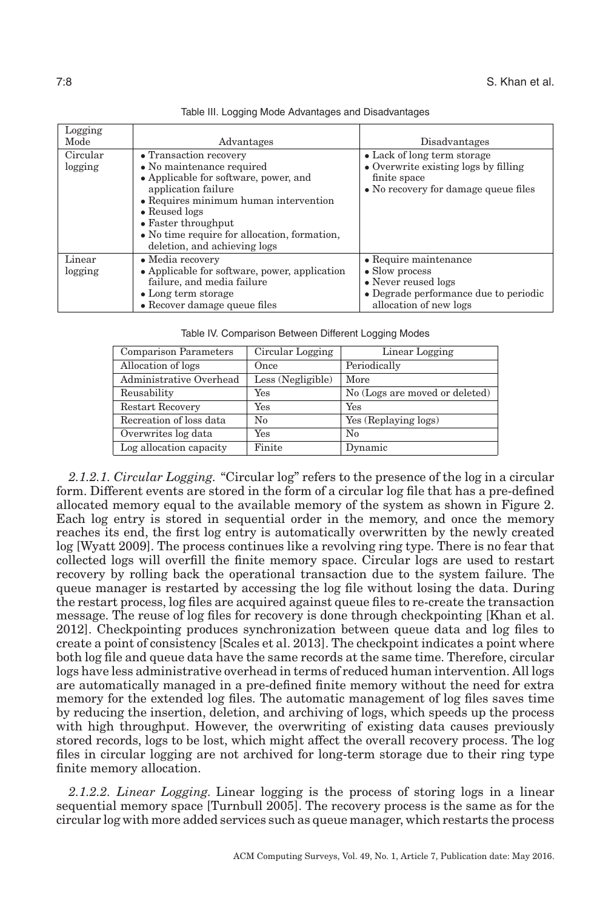<span id="page-7-0"></span>

| Logging<br>Mode     | Advantages                                                                                                                                                                                                                                                                                   | Disadvantages                                                                                                                             |
|---------------------|----------------------------------------------------------------------------------------------------------------------------------------------------------------------------------------------------------------------------------------------------------------------------------------------|-------------------------------------------------------------------------------------------------------------------------------------------|
| Circular<br>logging | • Transaction recovery<br>• No maintenance required<br>• Applicable for software, power, and<br>application failure<br>• Requires minimum human intervention<br>• Reused logs<br>$\bullet$ Faster throughput<br>• No time require for allocation, formation,<br>deletion, and achieving logs | • Lack of long term storage<br>• Overwrite existing logs by filling<br>finite space<br>• No recovery for damage queue files               |
| Linear<br>logging   | $\bullet$ Media recovery<br>• Applicable for software, power, application<br>failure, and media failure<br>$\bullet$ Long term storage<br>• Recover damage queue files                                                                                                                       | $\bullet$ Require maintenance<br>• Slow process<br>• Never reused logs<br>• Degrade performance due to periodic<br>allocation of new logs |

Table III. Logging Mode Advantages and Disadvantages

Table IV. Comparison Between Different Logging Modes

<span id="page-7-1"></span>

| <b>Comparison Parameters</b> | Circular Logging  | Linear Logging                 |
|------------------------------|-------------------|--------------------------------|
| Allocation of logs           | Once              | Periodically                   |
| Administrative Overhead      | Less (Negligible) | More                           |
| Reusability                  | Yes               | No (Logs are moved or deleted) |
| <b>Restart Recovery</b>      | Yes               | Yes                            |
| Recreation of loss data      | No                | Yes (Replaying logs)           |
| Overwrites log data          | Yes               | No                             |
| Log allocation capacity      | Finite            | Dynamic                        |

*2.1.2.1. Circular Logging.* "Circular log" refers to the presence of the log in a circular form. Different events are stored in the form of a circular log file that has a pre-defined allocated memory equal to the available memory of the system as shown in Figure [2.](#page-6-0) Each log entry is stored in sequential order in the memory, and once the memory reaches its end, the first log entry is automatically overwritten by the newly created log [\[Wyatt 2009\]](#page-41-3). The process continues like a revolving ring type. There is no fear that collected logs will overfill the finite memory space. Circular logs are used to restart recovery by rolling back the operational transaction due to the system failure. The queue manager is restarted by accessing the log file without losing the data. During the restart process, log files are acquired against queue files to re-create the transaction message. The reuse of log files for recovery is done through checkpointing [\[Khan et al.](#page-40-1) [2012\]](#page-40-1). Checkpointing produces synchronization between queue data and log files to create a point of consistency [\[Scales et al. 2013\]](#page-38-9). The checkpoint indicates a point where both log file and queue data have the same records at the same time. Therefore, circular logs have less administrative overhead in terms of reduced human intervention. All logs are automatically managed in a pre-defined finite memory without the need for extra memory for the extended log files. The automatic management of log files saves time by reducing the insertion, deletion, and archiving of logs, which speeds up the process with high throughput. However, the overwriting of existing data causes previously stored records, logs to be lost, which might affect the overall recovery process. The log files in circular logging are not archived for long-term storage due to their ring type finite memory allocation.

*2.1.2.2. Linear Logging.* Linear logging is the process of storing logs in a linear sequential memory space [\[Turnbull 2005\]](#page-38-10). The recovery process is the same as for the circular log with more added services such as queue manager, which restarts the process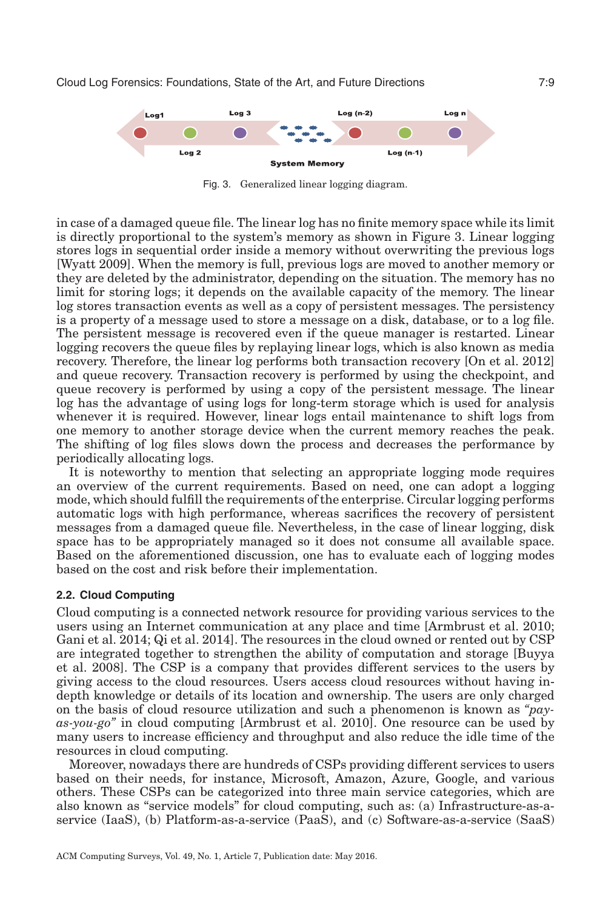<span id="page-8-0"></span>

Fig. 3. Generalized linear logging diagram.

in case of a damaged queue file. The linear log has no finite memory space while its limit is directly proportional to the system's memory as shown in Figure [3.](#page-8-0) Linear logging stores logs in sequential order inside a memory without overwriting the previous logs [\[Wyatt 2009\]](#page-41-3). When the memory is full, previous logs are moved to another memory or they are deleted by the administrator, depending on the situation. The memory has no limit for storing logs; it depends on the available capacity of the memory. The linear log stores transaction events as well as a copy of persistent messages. The persistency is a property of a message used to store a message on a disk, database, or to a log file. The persistent message is recovered even if the queue manager is restarted. Linear logging recovers the queue files by replaying linear logs, which is also known as media recovery. Therefore, the linear log performs both transaction recovery [\[On et al. 2012\]](#page-40-2) and queue recovery. Transaction recovery is performed by using the checkpoint, and queue recovery is performed by using a copy of the persistent message. The linear log has the advantage of using logs for long-term storage which is used for analysis whenever it is required. However, linear logs entail maintenance to shift logs from one memory to another storage device when the current memory reaches the peak. The shifting of log files slows down the process and decreases the performance by periodically allocating logs.

It is noteworthy to mention that selecting an appropriate logging mode requires an overview of the current requirements. Based on need, one can adopt a logging mode, which should fulfill the requirements of the enterprise. Circular logging performs automatic logs with high performance, whereas sacrifices the recovery of persistent messages from a damaged queue file. Nevertheless, in the case of linear logging, disk space has to be appropriately managed so it does not consume all available space. Based on the aforementioned discussion, one has to evaluate each of logging modes based on the cost and risk before their implementation.

#### **2.2. Cloud Computing**

<span id="page-8-1"></span>Cloud computing is a connected network resource for providing various services to the users using an Internet communication at any place and time [\[Armbrust et al. 2010;](#page-39-7) [Gani et al. 2014;](#page-37-5) Qi et al. 2014]. The resources in the cloud owned or rented out by CSP are integrated together to strengthen the ability of computation and storage [\[Buyya](#page-40-3) [et al. 2008\]](#page-40-3). The CSP is a company that provides different services to the users by giving access to the cloud resources. Users access cloud resources without having indepth knowledge or details of its location and ownership. The users are only charged on the basis of cloud resource utilization and such a phenomenon is known as *"payas-you-go"* in cloud computing [\[Armbrust et al. 2010\]](#page-39-7). One resource can be used by many users to increase efficiency and throughput and also reduce the idle time of the resources in cloud computing.

Moreover, nowadays there are hundreds of CSPs providing different services to users based on their needs, for instance, Microsoft, Amazon, Azure, Google, and various others. These CSPs can be categorized into three main service categories, which are also known as "service models" for cloud computing, such as: (a) Infrastructure-as-aservice (IaaS), (b) Platform-as-a-service (PaaS), and (c) Software-as-a-service (SaaS)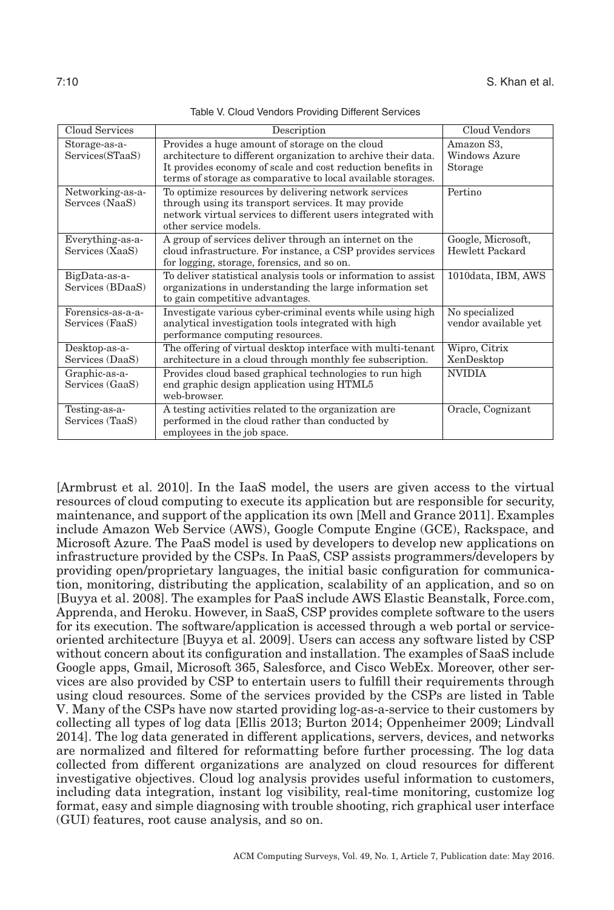<span id="page-9-0"></span>

| Cloud Services                       | Description                                                                                                                                                                                                                                    | Cloud Vendors                          |
|--------------------------------------|------------------------------------------------------------------------------------------------------------------------------------------------------------------------------------------------------------------------------------------------|----------------------------------------|
| Storage-as-a-<br>Services(STaaS)     | Provides a huge amount of storage on the cloud<br>architecture to different organization to archive their data.<br>It provides economy of scale and cost reduction benefits in<br>terms of storage as comparative to local available storages. | Amazon S3,<br>Windows Azure<br>Storage |
| Networking-as-a-<br>Servces (NaaS)   | To optimize resources by delivering network services<br>through using its transport services. It may provide<br>network virtual services to different users integrated with<br>other service models.                                           | Pertino                                |
| Everything-as-a-<br>Services (XaaS)  | A group of services deliver through an internet on the<br>cloud infrastructure. For instance, a CSP provides services<br>for logging, storage, forensics, and so on.                                                                           | Google, Microsoft,<br>Hewlett Packard  |
| BigData-as-a-<br>Services (BDaaS)    | To deliver statistical analysis tools or information to assist<br>organizations in understanding the large information set<br>to gain competitive advantages.                                                                                  | 1010data, IBM, AWS                     |
| Forensics-as-a-a-<br>Services (FaaS) | Investigate various cyber-criminal events while using high<br>analytical investigation tools integrated with high<br>performance computing resources.                                                                                          | No specialized<br>vendor available yet |
| Desktop-as-a-<br>Services (DaaS)     | The offering of virtual desktop interface with multi-tenant<br>architecture in a cloud through monthly fee subscription.                                                                                                                       | Wipro, Citrix<br>XenDesktop            |
| Graphic-as-a-<br>Services (GaaS)     | Provides cloud based graphical technologies to run high<br>end graphic design application using HTML5<br>web-browser.                                                                                                                          | <b>NVIDIA</b>                          |
| Testing-as-a-<br>Services (TaaS)     | A testing activities related to the organization are<br>performed in the cloud rather than conducted by<br>employees in the job space.                                                                                                         | Oracle, Cognizant                      |

Table V. Cloud Vendors Providing Different Services

[\[Armbrust et al. 2010\]](#page-39-7). In the IaaS model, the users are given access to the virtual resources of cloud computing to execute its application but are responsible for security, maintenance, and support of the application its own [\[Mell and Grance 2011\]](#page-40-4). Examples include Amazon Web Service (AWS), Google Compute Engine (GCE), Rackspace, and Microsoft Azure. The PaaS model is used by developers to develop new applications on infrastructure provided by the CSPs. In PaaS, CSP assists programmers/developers by providing open/proprietary languages, the initial basic configuration for communication, monitoring, distributing the application, scalability of an application, and so on [\[Buyya et al. 2008\]](#page-40-3). The examples for PaaS include AWS Elastic Beanstalk, Force.com, Apprenda, and Heroku. However, in SaaS, CSP provides complete software to the users for its execution. The software/application is accessed through a web portal or serviceoriented architecture [\[Buyya et al. 2009\]](#page-40-5). Users can access any software listed by CSP without concern about its configuration and installation. The examples of SaaS include Google apps, Gmail, Microsoft 365, Salesforce, and Cisco WebEx. Moreover, other services are also provided by CSP to entertain users to fulfill their requirements through using cloud resources. Some of the services provided by the CSPs are listed in Table [V.](#page-9-0) Many of the CSPs have now started providing log-as-a-service to their customers by collecting all types of log data [\[Ellis 2013;](#page-39-5) [Burton 2014;](#page-37-2) [Oppenheimer 2009;](#page-38-11) [Lindvall](#page-38-12) [2014\]](#page-38-12). The log data generated in different applications, servers, devices, and networks are normalized and filtered for reformatting before further processing. The log data collected from different organizations are analyzed on cloud resources for different investigative objectives. Cloud log analysis provides useful information to customers, including data integration, instant log visibility, real-time monitoring, customize log format, easy and simple diagnosing with trouble shooting, rich graphical user interface (GUI) features, root cause analysis, and so on.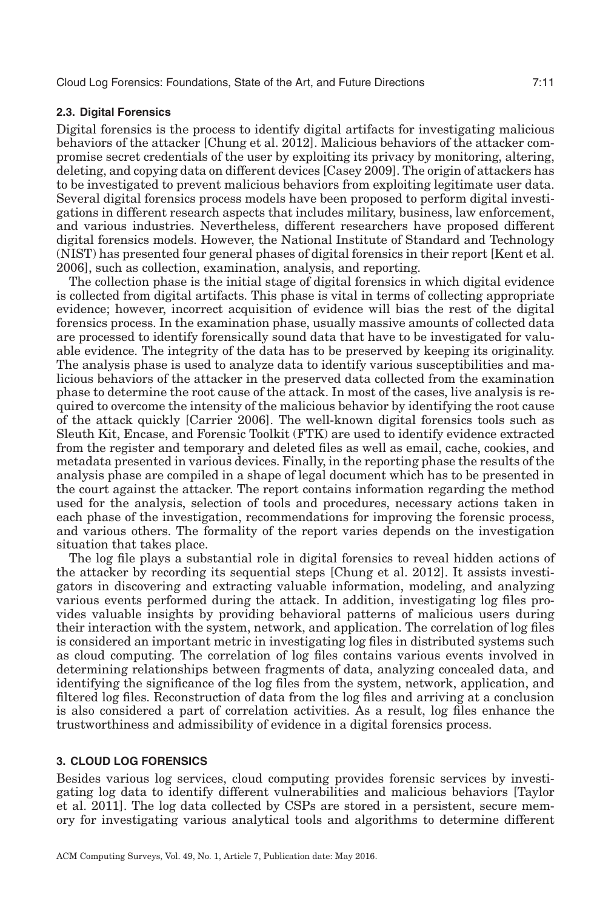## **2.3. Digital Forensics**

Digital forensics is the process to identify digital artifacts for investigating malicious behaviors of the attacker [\[Chung et al. 2012\]](#page-38-13). Malicious behaviors of the attacker compromise secret credentials of the user by exploiting its privacy by monitoring, altering, deleting, and copying data on different devices [\[Casey 2009\]](#page-38-14). The origin of attackers has to be investigated to prevent malicious behaviors from exploiting legitimate user data. Several digital forensics process models have been proposed to perform digital investigations in different research aspects that includes military, business, law enforcement, and various industries. Nevertheless, different researchers have proposed different digital forensics models. However, the National Institute of Standard and Technology (NIST) has presented four general phases of digital forensics in their report [\[Kent et al.](#page-39-8) [2006\]](#page-39-8), such as collection, examination, analysis, and reporting.

The collection phase is the initial stage of digital forensics in which digital evidence is collected from digital artifacts. This phase is vital in terms of collecting appropriate evidence; however, incorrect acquisition of evidence will bias the rest of the digital forensics process. In the examination phase, usually massive amounts of collected data are processed to identify forensically sound data that have to be investigated for valuable evidence. The integrity of the data has to be preserved by keeping its originality. The analysis phase is used to analyze data to identify various susceptibilities and malicious behaviors of the attacker in the preserved data collected from the examination phase to determine the root cause of the attack. In most of the cases, live analysis is required to overcome the intensity of the malicious behavior by identifying the root cause of the attack quickly [\[Carrier 2006\]](#page-37-6). The well-known digital forensics tools such as Sleuth Kit, Encase, and Forensic Toolkit (FTK) are used to identify evidence extracted from the register and temporary and deleted files as well as email, cache, cookies, and metadata presented in various devices. Finally, in the reporting phase the results of the analysis phase are compiled in a shape of legal document which has to be presented in the court against the attacker. The report contains information regarding the method used for the analysis, selection of tools and procedures, necessary actions taken in each phase of the investigation, recommendations for improving the forensic process, and various others. The formality of the report varies depends on the investigation situation that takes place.

The log file plays a substantial role in digital forensics to reveal hidden actions of the attacker by recording its sequential steps [\[Chung et al. 2012\]](#page-38-13). It assists investigators in discovering and extracting valuable information, modeling, and analyzing various events performed during the attack. In addition, investigating log files provides valuable insights by providing behavioral patterns of malicious users during their interaction with the system, network, and application. The correlation of log files is considered an important metric in investigating log files in distributed systems such as cloud computing. The correlation of log files contains various events involved in determining relationships between fragments of data, analyzing concealed data, and identifying the significance of the log files from the system, network, application, and filtered log files. Reconstruction of data from the log files and arriving at a conclusion is also considered a part of correlation activities. As a result, log files enhance the trustworthiness and admissibility of evidence in a digital forensics process.

## **3. CLOUD LOG FORENSICS**

<span id="page-10-0"></span>Besides various log services, cloud computing provides forensic services by investigating log data to identify different vulnerabilities and malicious behaviors [\[Taylor](#page-39-9) [et al. 2011\]](#page-39-9). The log data collected by CSPs are stored in a persistent, secure memory for investigating various analytical tools and algorithms to determine different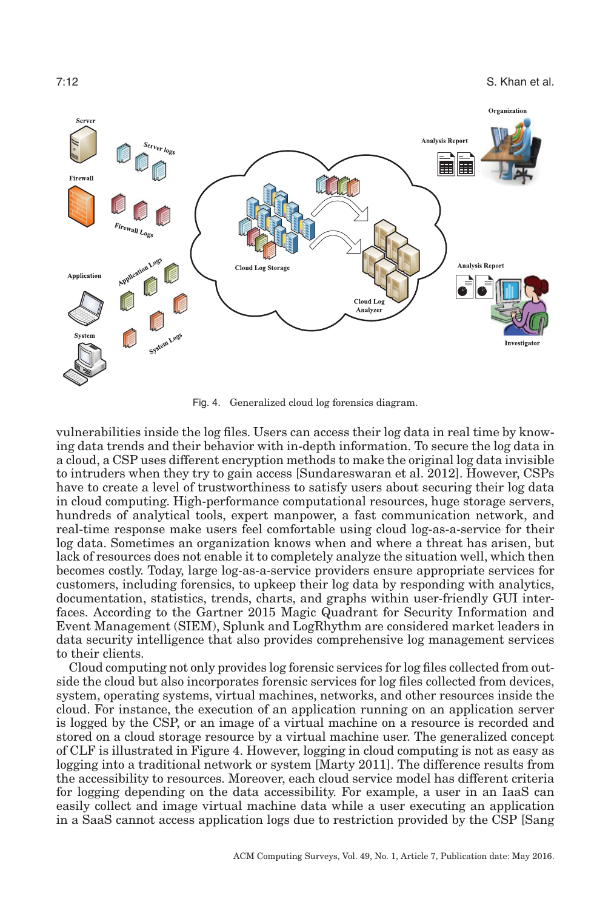<span id="page-11-0"></span>

Fig. 4. Generalized cloud log forensics diagram.

vulnerabilities inside the log files. Users can access their log data in real time by knowing data trends and their behavior with in-depth information. To secure the log data in a cloud, a CSP uses different encryption methods to make the original log data invisible to intruders when they try to gain access [\[Sundareswaran et al. 2012\]](#page-40-6). However, CSPs have to create a level of trustworthiness to satisfy users about securing their log data in cloud computing. High-performance computational resources, huge storage servers, hundreds of analytical tools, expert manpower, a fast communication network, and real-time response make users feel comfortable using cloud log-as-a-service for their log data. Sometimes an organization knows when and where a threat has arisen, but lack of resources does not enable it to completely analyze the situation well, which then becomes costly. Today, large log-as-a-service providers ensure appropriate services for customers, including forensics, to upkeep their log data by responding with analytics, documentation, statistics, trends, charts, and graphs within user-friendly GUI interfaces. According to the Gartner 2015 Magic Quadrant for Security Information and Event Management (SIEM), Splunk and LogRhythm are considered market leaders in data security intelligence that also provides comprehensive log management services to their clients.

Cloud computing not only provides log forensic services for log files collected from outside the cloud but also incorporates forensic services for log files collected from devices, system, operating systems, virtual machines, networks, and other resources inside the cloud. For instance, the execution of an application running on an application server is logged by the CSP, or an image of a virtual machine on a resource is recorded and stored on a cloud storage resource by a virtual machine user. The generalized concept of CLF is illustrated in Figure [4.](#page-11-0) However, logging in cloud computing is not as easy as logging into a traditional network or system [\[Marty 2011\]](#page-40-7). The difference results from the accessibility to resources. Moreover, each cloud service model has different criteria for logging depending on the data accessibility. For example, a user in an IaaS can easily collect and image virtual machine data while a user executing an application in a SaaS cannot access application logs due to restriction provided by the CSP [Sang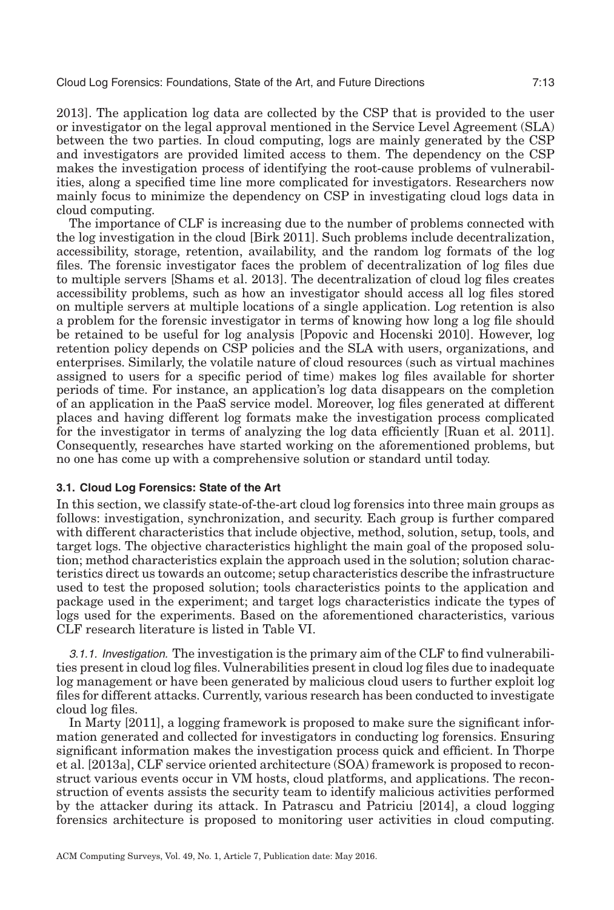2013]. The application log data are collected by the CSP that is provided to the user or investigator on the legal approval mentioned in the Service Level Agreement (SLA) between the two parties. In cloud computing, logs are mainly generated by the CSP and investigators are provided limited access to them. The dependency on the CSP makes the investigation process of identifying the root-cause problems of vulnerabilities, along a specified time line more complicated for investigators. Researchers now mainly focus to minimize the dependency on CSP in investigating cloud logs data in cloud computing.

The importance of CLF is increasing due to the number of problems connected with the log investigation in the cloud [\[Birk 2011\]](#page-38-15). Such problems include decentralization, accessibility, storage, retention, availability, and the random log formats of the log files. The forensic investigator faces the problem of decentralization of log files due to multiple servers [\[Shams et al. 2013\]](#page-41-4). The decentralization of cloud log files creates accessibility problems, such as how an investigator should access all log files stored on multiple servers at multiple locations of a single application. Log retention is also a problem for the forensic investigator in terms of knowing how long a log file should be retained to be useful for log analysis [\[Popovic and Hocenski 2010\]](#page-39-10). However, log retention policy depends on CSP policies and the SLA with users, organizations, and enterprises. Similarly, the volatile nature of cloud resources (such as virtual machines assigned to users for a specific period of time) makes log files available for shorter periods of time. For instance, an application's log data disappears on the completion of an application in the PaaS service model. Moreover, log files generated at different places and having different log formats make the investigation process complicated for the investigator in terms of analyzing the log data efficiently [\[Ruan et al. 2011\]](#page-39-4). Consequently, researches have started working on the aforementioned problems, but no one has come up with a comprehensive solution or standard until today.

## **3.1. Cloud Log Forensics: State of the Art**

In this section, we classify state-of-the-art cloud log forensics into three main groups as follows: investigation, synchronization, and security. Each group is further compared with different characteristics that include objective, method, solution, setup, tools, and target logs. The objective characteristics highlight the main goal of the proposed solution; method characteristics explain the approach used in the solution; solution characteristics direct us towards an outcome; setup characteristics describe the infrastructure used to test the proposed solution; tools characteristics points to the application and package used in the experiment; and target logs characteristics indicate the types of logs used for the experiments. Based on the aforementioned characteristics, various CLF research literature is listed in Table [VI.](#page-13-0)

3.1.1. Investigation. The investigation is the primary aim of the CLF to find vulnerabilities present in cloud log files. Vulnerabilities present in cloud log files due to inadequate log management or have been generated by malicious cloud users to further exploit log files for different attacks. Currently, various research has been conducted to investigate cloud log files.

In [Marty \[2011\],](#page-40-7) a logging framework is proposed to make sure the significant information generated and collected for investigators in conducting log forensics. Ensuring significant information makes the investigation process quick and efficient. In [Thorpe](#page-41-5) [et al. \[2013a\],](#page-41-5) CLF service oriented architecture (SOA) framework is proposed to reconstruct various events occur in VM hosts, cloud platforms, and applications. The reconstruction of events assists the security team to identify malicious activities performed by the attacker during its attack. In [Patrascu and Patriciu \[2014\],](#page-37-7) a cloud logging forensics architecture is proposed to monitoring user activities in cloud computing.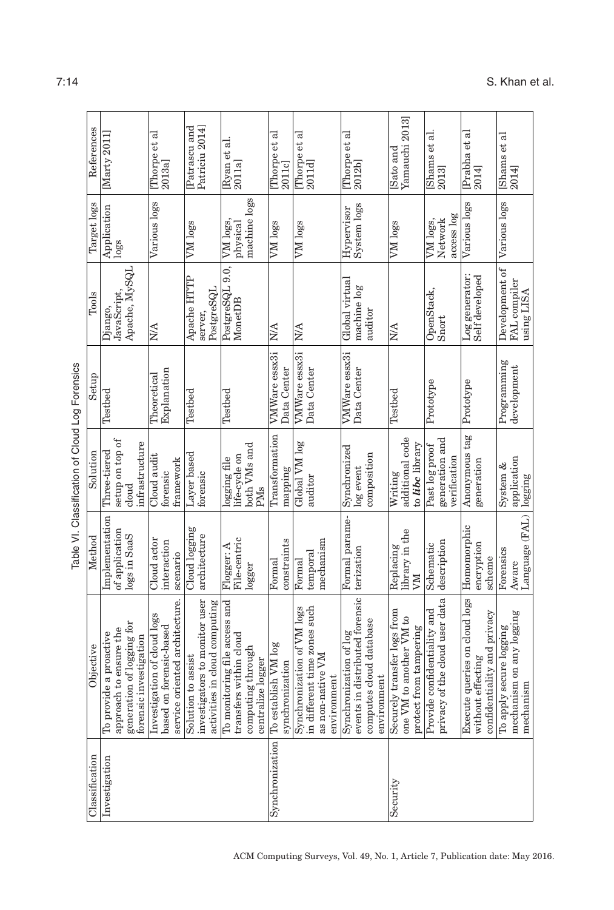<span id="page-13-0"></span>

| ī                                                                           |
|-----------------------------------------------------------------------------|
| í<br>١                                                                      |
| ï                                                                           |
| $\mathbf$                                                                   |
| $\frac{1}{2}$<br>֧֢ׅ֧֢ׅ֧֧֧֚֚֚֚֚֚֚֚֚֚֚֚֚֚֚֚֚֚֚֚֚֚֚֚֡֓֝֬֓֓ <b>֓</b><br>I<br>Ó |
|                                                                             |
|                                                                             |

| Classification  | Objective                                                 | Method                                           | Solution                                  | Setup         | Tools                                   | Target logs            | References                        |
|-----------------|-----------------------------------------------------------|--------------------------------------------------|-------------------------------------------|---------------|-----------------------------------------|------------------------|-----------------------------------|
| Investigation   | ensure the<br>proactive<br>To provide a<br>approach to    | Implementation<br>of application<br>logs in SaaS | setup on top of<br>Three-tiered<br>cloud  | Testbed       | Apache, MySQL<br>JavaScript,<br>Django, | Application<br>$log$ s | Marty 2011                        |
|                 | generation of logging for<br>forensic investigation       |                                                  | infrastructure                            |               |                                         |                        |                                   |
|                 | Investigation of cloud logs                               | Cloud actor                                      | Cloud audit                               | Theoretical   | <b>N/A</b>                              | Various logs           | [Thorpe et al                     |
|                 | service oriented architecture.<br>based on forensic-based | interaction<br>scenario                          | framework<br>forensic                     | Explanation   |                                         |                        | 2013a                             |
|                 | Solution to assist                                        | Cloud logging                                    | Layer based                               | Testbed       | Apache HTTP                             | VM logs                | [Patrascu and                     |
|                 | investigators to monitor user<br>activities in            | architecture                                     | forensic                                  |               | server,                                 |                        | Patriciu 2014]                    |
|                 | cloud computing                                           |                                                  |                                           |               | PostgreSQL                              |                        |                                   |
|                 | To monitoring file access and<br>transfers within cloud   | File-centric<br>Flogger: A                       | life-cycle on<br>logging file             | Testbed       | PostgreSQL 9.0,<br>MonetDB              | VM logs,<br>physical   | ಸ<br>Ryan et<br>2011a             |
|                 | computing through<br>centralize logger                    | logger                                           | both VMs and                              |               |                                         | machine logs           |                                   |
|                 |                                                           |                                                  | PMs                                       |               |                                         |                        |                                   |
| Synchronization | $1$ VM $\log$<br>To establish                             | Formal                                           | Transformation                            | VMWare essx3i | <b>N/A</b>                              | VM logs                | [Thorpe et al                     |
|                 | synchronization                                           | constraints                                      | mapping                                   | Data Center   |                                         |                        | 2011c                             |
|                 | Synchronization of VM logs                                | Formal                                           | Global VM log                             | VMWare essx3i | <b>N/A</b>                              | VM logs                | Thorpe et al                      |
|                 | ime zones such<br>in different t                          | temporal                                         | auditor                                   | Data Center   |                                         |                        | 2011d]                            |
|                 | as non-native VM                                          | mechanism                                        |                                           |               |                                         |                        |                                   |
|                 | environment                                               |                                                  |                                           |               |                                         |                        |                                   |
|                 | Synchronization of log                                    | Formal parame-                                   | Synchronized                              | VMWare essx3i | Global virtual                          | Hypervisor             | Thorpe et al<br>2012 <sub>b</sub> |
|                 | events in distributed forensic                            | terization                                       | log event                                 | Data Center   | machine log                             | System logs            |                                   |
|                 | computes cloud database<br>environment                    |                                                  | composition                               |               | auditor                                 |                        |                                   |
| Security        | Securely transfer logs from                               | Replacing                                        | Writing                                   | Testbed       | <b>N/A</b>                              | VM logs                | Sato and                          |
|                 | one VM to another VM to<br>tampering<br>protect from      | library in the<br>NИ                             | additional code<br>to $\it{libc}$ library |               |                                         |                        | Yamauchi 2013]                    |
|                 | Provide confidentiality and                               | Schematic                                        | Past log proof                            | Prototype     | OpenStack,                              | VM logs,               | Shams et al.                      |
|                 | e cloud user data<br>privacy of th                        | description                                      | generation and<br>verification            |               | Snort                                   | access log<br>Network  | 2013                              |
|                 | Execute queries on cloud logs                             | Homomorphic                                      | Anonymous tag                             | Prototype     | Log generator                           | Various logs           | [Prabha et al                     |
|                 | without effecting                                         | encryption                                       | generation                                |               | Self developed                          |                        | 2014]                             |
|                 | confidentiality and privacy                               | scheme                                           |                                           |               |                                         |                        |                                   |
|                 | To apply secure logging                                   | Forensics                                        | System &                                  | Programming   | Development of                          | Various logs           | [Shams et al                      |
|                 | guiggol yna ac<br>mechanism                               | Aware                                            | application                               | development   | FAL compiler                            |                        | 2014]                             |
|                 | mechanism                                                 | Language (FAL)                                   | logging                                   |               | using LISA                              |                        |                                   |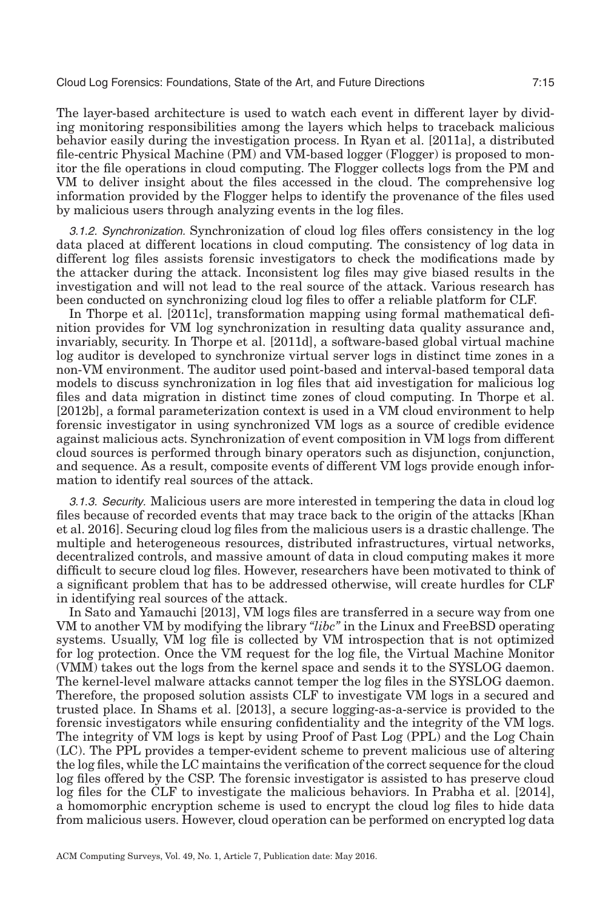#### Cloud Log Forensics: Foundations, State of the Art, and Future Directions 7:15

The layer-based architecture is used to watch each event in different layer by dividing monitoring responsibilities among the layers which helps to traceback malicious behavior easily during the investigation process. In [Ryan et al. \[2011a\],](#page-39-11) a distributed file-centric Physical Machine (PM) and VM-based logger (Flogger) is proposed to monitor the file operations in cloud computing. The Flogger collects logs from the PM and VM to deliver insight about the files accessed in the cloud. The comprehensive log information provided by the Flogger helps to identify the provenance of the files used by malicious users through analyzing events in the log files.

3.1.2. Synchronization. Synchronization of cloud log files offers consistency in the log data placed at different locations in cloud computing. The consistency of log data in different log files assists forensic investigators to check the modifications made by the attacker during the attack. Inconsistent log files may give biased results in the investigation and will not lead to the real source of the attack. Various research has been conducted on synchronizing cloud log files to offer a reliable platform for CLF.

In [Thorpe et al. \[2011c\],](#page-40-8) transformation mapping using formal mathematical definition provides for VM log synchronization in resulting data quality assurance and, invariably, security. In [Thorpe et al. \[2011d\],](#page-40-9) a software-based global virtual machine log auditor is developed to synchronize virtual server logs in distinct time zones in a non-VM environment. The auditor used point-based and interval-based temporal data models to discuss synchronization in log files that aid investigation for malicious log files and data migration in distinct time zones of cloud computing. In [Thorpe et al.](#page-41-6) [\[2012b\],](#page-41-6) a formal parameterization context is used in a VM cloud environment to help forensic investigator in using synchronized VM logs as a source of credible evidence against malicious acts. Synchronization of event composition in VM logs from different cloud sources is performed through binary operators such as disjunction, conjunction, and sequence. As a result, composite events of different VM logs provide enough information to identify real sources of the attack.

3.1.3. Security. Malicious users are more interested in tempering the data in cloud log files because of recorded events that may trace back to the origin of the attacks [\[Khan](#page-40-10) [et al. 2016\]](#page-40-10). Securing cloud log files from the malicious users is a drastic challenge. The multiple and heterogeneous resources, distributed infrastructures, virtual networks, decentralized controls, and massive amount of data in cloud computing makes it more difficult to secure cloud log files. However, researchers have been motivated to think of a significant problem that has to be addressed otherwise, will create hurdles for CLF in identifying real sources of the attack.

In [Sato and Yamauchi \[2013\],](#page-39-12) VM logs files are transferred in a secure way from one VM to another VM by modifying the library *"libc"* in the Linux and FreeBSD operating systems. Usually, VM log file is collected by VM introspection that is not optimized for log protection. Once the VM request for the log file, the Virtual Machine Monitor (VMM) takes out the logs from the kernel space and sends it to the SYSLOG daemon. The kernel-level malware attacks cannot temper the log files in the SYSLOG daemon. Therefore, the proposed solution assists CLF to investigate VM logs in a secured and trusted place. In [Shams et al. \[2013\],](#page-41-4) a secure logging-as-a-service is provided to the forensic investigators while ensuring confidentiality and the integrity of the VM logs. The integrity of VM logs is kept by using Proof of Past Log (PPL) and the Log Chain (LC). The PPL provides a temper-evident scheme to prevent malicious use of altering the log files, while the LC maintains the verification of the correct sequence for the cloud log files offered by the CSP. The forensic investigator is assisted to has preserve cloud log files for the CLF to investigate the malicious behaviors. In [Prabha et al. \[2014\],](#page-39-13) a homomorphic encryption scheme is used to encrypt the cloud log files to hide data from malicious users. However, cloud operation can be performed on encrypted log data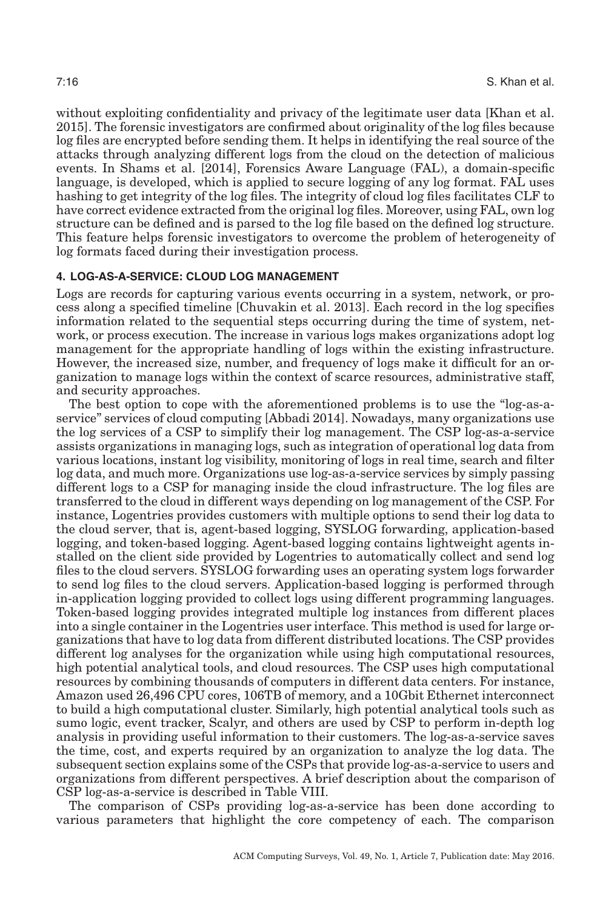without exploiting confidentiality and privacy of the legitimate user data [\[Khan et al.](#page-40-11) [2015\]](#page-40-11). The forensic investigators are confirmed about originality of the log files because log files are encrypted before sending them. It helps in identifying the real source of the attacks through analyzing different logs from the cloud on the detection of malicious events. In [Shams et al. \[2014\],](#page-41-4) Forensics Aware Language (FAL), a domain-specific language, is developed, which is applied to secure logging of any log format. FAL uses hashing to get integrity of the log files. The integrity of cloud log files facilitates CLF to have correct evidence extracted from the original log files. Moreover, using FAL, own log structure can be defined and is parsed to the log file based on the defined log structure. This feature helps forensic investigators to overcome the problem of heterogeneity of log formats faced during their investigation process.

### **4. LOG-AS-A-SERVICE: CLOUD LOG MANAGEMENT**

<span id="page-15-0"></span>Logs are records for capturing various events occurring in a system, network, or process along a specified timeline [\[Chuvakin et al. 2013\]](#page-37-0). Each record in the log specifies information related to the sequential steps occurring during the time of system, network, or process execution. The increase in various logs makes organizations adopt log management for the appropriate handling of logs within the existing infrastructure. However, the increased size, number, and frequency of logs make it difficult for an organization to manage logs within the context of scarce resources, administrative staff, and security approaches.

The best option to cope with the aforementioned problems is to use the "log-as-aservice" services of cloud computing [\[Abbadi 2014\]](#page-38-16). Nowadays, many organizations use the log services of a CSP to simplify their log management. The CSP log-as-a-service assists organizations in managing logs, such as integration of operational log data from various locations, instant log visibility, monitoring of logs in real time, search and filter log data, and much more. Organizations use log-as-a-service services by simply passing different logs to a CSP for managing inside the cloud infrastructure. The log files are transferred to the cloud in different ways depending on log management of the CSP. For instance, Logentries provides customers with multiple options to send their log data to the cloud server, that is, agent-based logging, SYSLOG forwarding, application-based logging, and token-based logging. Agent-based logging contains lightweight agents installed on the client side provided by Logentries to automatically collect and send log files to the cloud servers. SYSLOG forwarding uses an operating system logs forwarder to send log files to the cloud servers. Application-based logging is performed through in-application logging provided to collect logs using different programming languages. Token-based logging provides integrated multiple log instances from different places into a single container in the Logentries user interface. This method is used for large organizations that have to log data from different distributed locations. The CSP provides different log analyses for the organization while using high computational resources, high potential analytical tools, and cloud resources. The CSP uses high computational resources by combining thousands of computers in different data centers. For instance, Amazon used 26,496 CPU cores, 106TB of memory, and a 10Gbit Ethernet interconnect to build a high computational cluster. Similarly, high potential analytical tools such as sumo logic, event tracker, Scalyr, and others are used by CSP to perform in-depth log analysis in providing useful information to their customers. The log-as-a-service saves the time, cost, and experts required by an organization to analyze the log data. The subsequent section explains some of the CSPs that provide log-as-a-service to users and organizations from different perspectives. A brief description about the comparison of CSP log-as-a-service is described in Table [VIII.](#page-19-1)

The comparison of CSPs providing log-as-a-service has been done according to various parameters that highlight the core competency of each. The comparison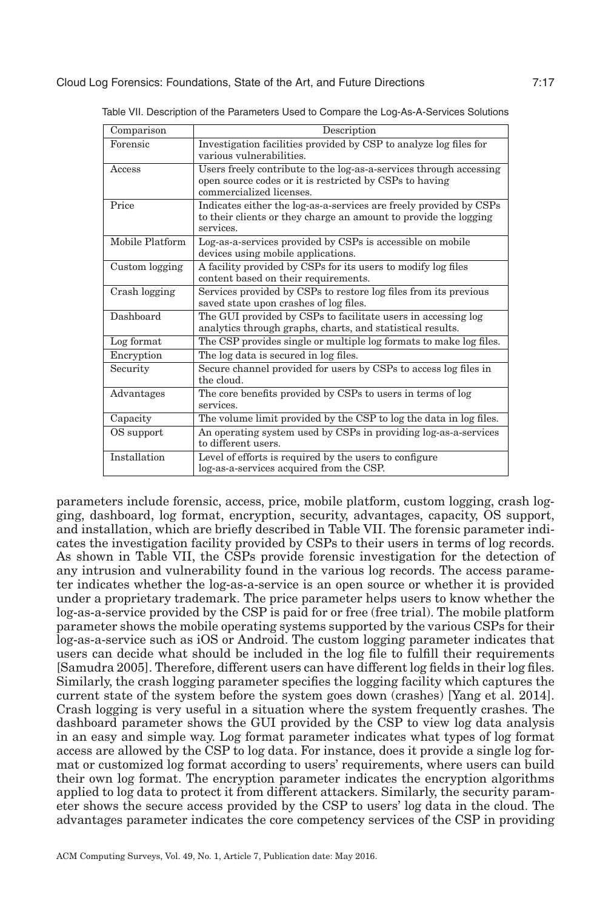| Comparison      | Description                                                                                                                                               |
|-----------------|-----------------------------------------------------------------------------------------------------------------------------------------------------------|
| Forensic        | Investigation facilities provided by CSP to analyze log files for<br>various vulnerabilities.                                                             |
| Access          | Users freely contribute to the log-as-a-services through accessing<br>open source codes or it is restricted by CSPs to having<br>commercialized licenses. |
| Price           | Indicates either the log-as-a-services are freely provided by CSPs<br>to their clients or they charge an amount to provide the logging<br>services.       |
| Mobile Platform | Log-as-a-services provided by CSPs is accessible on mobile<br>devices using mobile applications.                                                          |
| Custom logging  | A facility provided by CSPs for its users to modify log files<br>content based on their requirements.                                                     |
| Crash logging   | Services provided by CSPs to restore log files from its previous<br>saved state upon crashes of log files.                                                |
| Dashboard       | The GUI provided by CSPs to facilitate users in accessing log<br>analytics through graphs, charts, and statistical results.                               |
| Log format      | The CSP provides single or multiple log formats to make log files.                                                                                        |
| Encryption      | The log data is secured in log files.                                                                                                                     |
| Security        | Secure channel provided for users by CSPs to access log files in<br>the cloud.                                                                            |
| Advantages      | The core benefits provided by CSPs to users in terms of log<br>services.                                                                                  |
| Capacity        | The volume limit provided by the CSP to log the data in log files.                                                                                        |
| OS support      | An operating system used by CSPs in providing log-as-a-services<br>to different users.                                                                    |
| Installation    | Level of efforts is required by the users to configure<br>log-as-a-services acquired from the CSP.                                                        |

<span id="page-16-0"></span>Table VII. Description of the Parameters Used to Compare the Log-As-A-Services Solutions

parameters include forensic, access, price, mobile platform, custom logging, crash logging, dashboard, log format, encryption, security, advantages, capacity, OS support, and installation, which are briefly described in Table [VII.](#page-16-0) The forensic parameter indicates the investigation facility provided by CSPs to their users in terms of log records. As shown in Table [VII,](#page-16-0) the CSPs provide forensic investigation for the detection of any intrusion and vulnerability found in the various log records. The access parameter indicates whether the log-as-a-service is an open source or whether it is provided under a proprietary trademark. The price parameter helps users to know whether the log-as-a-service provided by the CSP is paid for or free (free trial). The mobile platform parameter shows the mobile operating systems supported by the various CSPs for their log-as-a-service such as iOS or Android. The custom logging parameter indicates that users can decide what should be included in the log file to fulfill their requirements [\[Samudra 2005\]](#page-38-17). Therefore, different users can have different log fields in their log files. Similarly, the crash logging parameter specifies the logging facility which captures the current state of the system before the system goes down (crashes) [\[Yang et al. 2014\]](#page-39-14). Crash logging is very useful in a situation where the system frequently crashes. The dashboard parameter shows the GUI provided by the CSP to view log data analysis in an easy and simple way. Log format parameter indicates what types of log format access are allowed by the CSP to log data. For instance, does it provide a single log format or customized log format according to users' requirements, where users can build their own log format. The encryption parameter indicates the encryption algorithms applied to log data to protect it from different attackers. Similarly, the security parameter shows the secure access provided by the CSP to users' log data in the cloud. The advantages parameter indicates the core competency services of the CSP in providing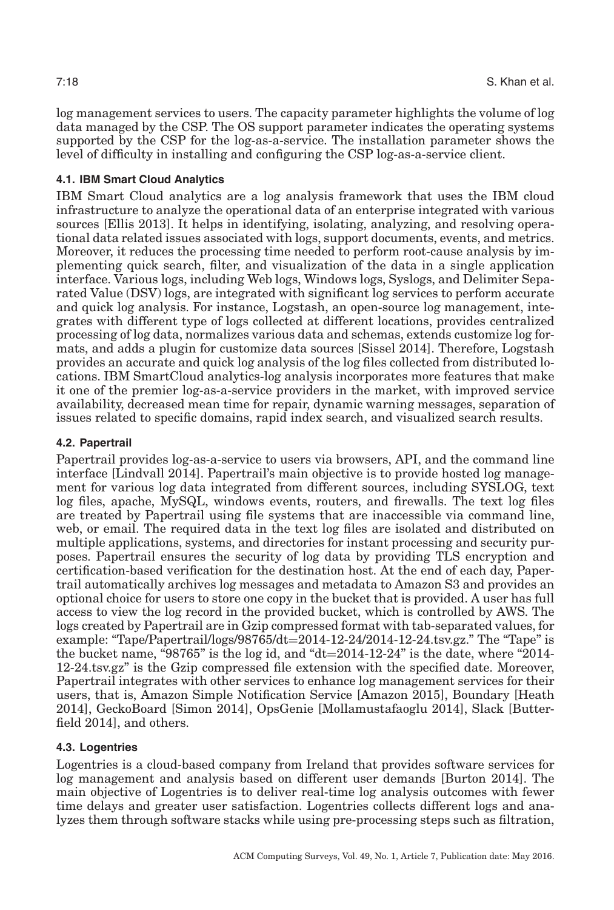log management services to users. The capacity parameter highlights the volume of log data managed by the CSP. The OS support parameter indicates the operating systems supported by the CSP for the log-as-a-service. The installation parameter shows the level of difficulty in installing and configuring the CSP log-as-a-service client.

## **4.1. IBM Smart Cloud Analytics**

IBM Smart Cloud analytics are a log analysis framework that uses the IBM cloud infrastructure to analyze the operational data of an enterprise integrated with various sources [\[Ellis 2013\]](#page-39-5). It helps in identifying, isolating, analyzing, and resolving operational data related issues associated with logs, support documents, events, and metrics. Moreover, it reduces the processing time needed to perform root-cause analysis by implementing quick search, filter, and visualization of the data in a single application interface. Various logs, including Web logs, Windows logs, Syslogs, and Delimiter Separated Value (DSV) logs, are integrated with significant log services to perform accurate and quick log analysis. For instance, Logstash, an open-source log management, integrates with different type of logs collected at different locations, provides centralized processing of log data, normalizes various data and schemas, extends customize log formats, and adds a plugin for customize data sources [Sissel 2014]. Therefore, Logstash provides an accurate and quick log analysis of the log files collected from distributed locations. IBM SmartCloud analytics-log analysis incorporates more features that make it one of the premier log-as-a-service providers in the market, with improved service availability, decreased mean time for repair, dynamic warning messages, separation of issues related to specific domains, rapid index search, and visualized search results.

## **4.2. Papertrail**

Papertrail provides log-as-a-service to users via browsers, API, and the command line interface [\[Lindvall 2014\]](#page-38-12). Papertrail's main objective is to provide hosted log management for various log data integrated from different sources, including SYSLOG, text log files, apache, MySQL, windows events, routers, and firewalls. The text log files are treated by Papertrail using file systems that are inaccessible via command line, web, or email. The required data in the text log files are isolated and distributed on multiple applications, systems, and directories for instant processing and security purposes. Papertrail ensures the security of log data by providing TLS encryption and certification-based verification for the destination host. At the end of each day, Papertrail automatically archives log messages and metadata to Amazon S3 and provides an optional choice for users to store one copy in the bucket that is provided. A user has full access to view the log record in the provided bucket, which is controlled by AWS. The logs created by Papertrail are in Gzip compressed format with tab-separated values, for example: "Tape/Papertrail/logs/98765/dt=2014-12-24/2014-12-24.tsv.gz." The "Tape" is the bucket name, "98765" is the log id, and "dt=2014-12-24" is the date, where " $2014$ -12-24.tsv.gz" is the Gzip compressed file extension with the specified date. Moreover, Papertrail integrates with other services to enhance log management services for their users, that is, Amazon Simple Notification Service [\[Amazon 2015\]](#page-37-8), Boundary [\[Heath](#page-39-15) [2014\]](#page-39-15), GeckoBoard [\[Simon 2014\]](#page-41-7), OpsGenie [\[Mollamustafaoglu 2014\]](#page-37-9), Slack [Butterfield 2014], and others.

## **4.3. Logentries**

Logentries is a cloud-based company from Ireland that provides software services for log management and analysis based on different user demands [\[Burton 2014\]](#page-37-2). The main objective of Logentries is to deliver real-time log analysis outcomes with fewer time delays and greater user satisfaction. Logentries collects different logs and analyzes them through software stacks while using pre-processing steps such as filtration,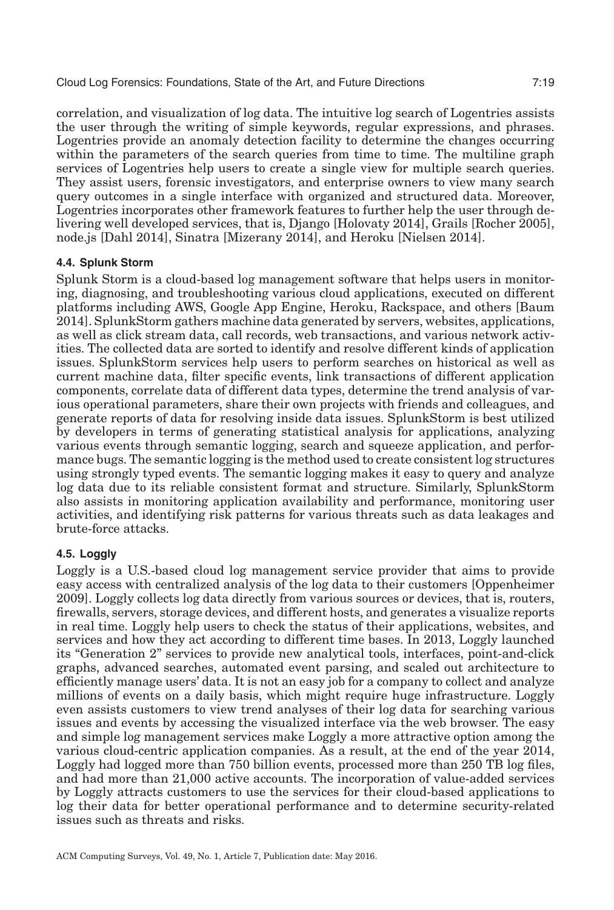correlation, and visualization of log data. The intuitive log search of Logentries assists the user through the writing of simple keywords, regular expressions, and phrases. Logentries provide an anomaly detection facility to determine the changes occurring within the parameters of the search queries from time to time. The multiline graph services of Logentries help users to create a single view for multiple search queries. They assist users, forensic investigators, and enterprise owners to view many search query outcomes in a single interface with organized and structured data. Moreover, Logentries incorporates other framework features to further help the user through delivering well developed services, that is, Django [\[Holovaty 2014\]](#page-37-10), Grails [\[Rocher 2005\]](#page-38-18), node.js [\[Dahl 2014\]](#page-40-12), Sinatra [\[Mizerany 2014\]](#page-37-11), and Heroku [\[Nielsen 2014\]](#page-41-8).

## **4.4. Splunk Storm**

Splunk Storm is a cloud-based log management software that helps users in monitoring, diagnosing, and troubleshooting various cloud applications, executed on different platforms including AWS, Google App Engine, Heroku, Rackspace, and others [\[Baum](#page-39-16) [2014\]](#page-39-16). SplunkStorm gathers machine data generated by servers, websites, applications, as well as click stream data, call records, web transactions, and various network activities. The collected data are sorted to identify and resolve different kinds of application issues. SplunkStorm services help users to perform searches on historical as well as current machine data, filter specific events, link transactions of different application components, correlate data of different data types, determine the trend analysis of various operational parameters, share their own projects with friends and colleagues, and generate reports of data for resolving inside data issues. SplunkStorm is best utilized by developers in terms of generating statistical analysis for applications, analyzing various events through semantic logging, search and squeeze application, and performance bugs. The semantic logging is the method used to create consistent log structures using strongly typed events. The semantic logging makes it easy to query and analyze log data due to its reliable consistent format and structure. Similarly, SplunkStorm also assists in monitoring application availability and performance, monitoring user activities, and identifying risk patterns for various threats such as data leakages and brute-force attacks.

## **4.5. Loggly**

Loggly is a U.S.-based cloud log management service provider that aims to provide easy access with centralized analysis of the log data to their customers [\[Oppenheimer](#page-38-11) [2009\]](#page-38-11). Loggly collects log data directly from various sources or devices, that is, routers, firewalls, servers, storage devices, and different hosts, and generates a visualize reports in real time. Loggly help users to check the status of their applications, websites, and services and how they act according to different time bases. In 2013, Loggly launched its "Generation 2" services to provide new analytical tools, interfaces, point-and-click graphs, advanced searches, automated event parsing, and scaled out architecture to efficiently manage users' data. It is not an easy job for a company to collect and analyze millions of events on a daily basis, which might require huge infrastructure. Loggly even assists customers to view trend analyses of their log data for searching various issues and events by accessing the visualized interface via the web browser. The easy and simple log management services make Loggly a more attractive option among the various cloud-centric application companies. As a result, at the end of the year 2014, Loggly had logged more than 750 billion events, processed more than 250 TB log files, and had more than 21,000 active accounts. The incorporation of value-added services by Loggly attracts customers to use the services for their cloud-based applications to log their data for better operational performance and to determine security-related issues such as threats and risks.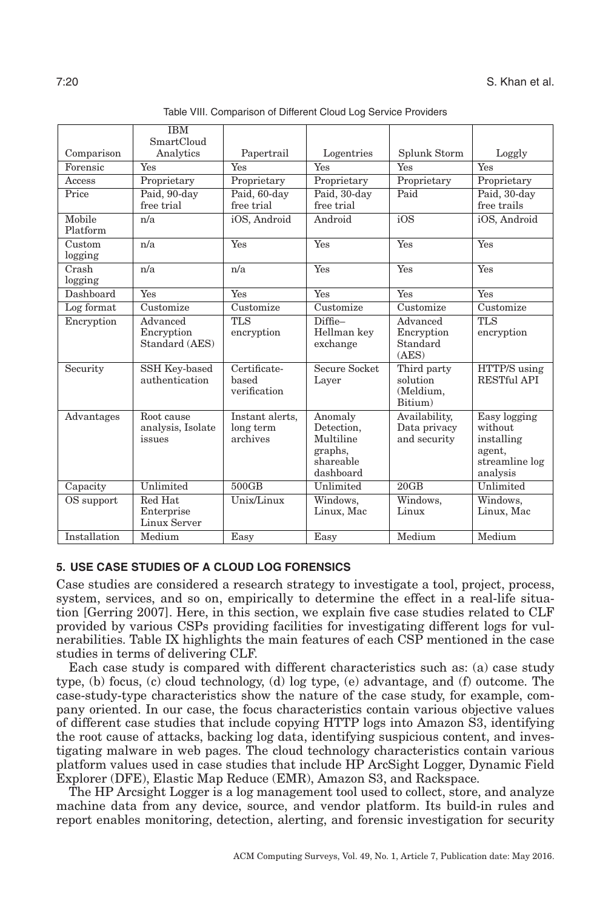<span id="page-19-1"></span>

|                    | <b>IBM</b><br>SmartCloud                  |                                          |                                                                         |                                                 |                                                                               |
|--------------------|-------------------------------------------|------------------------------------------|-------------------------------------------------------------------------|-------------------------------------------------|-------------------------------------------------------------------------------|
| Comparison         | Analytics                                 | Papertrail                               | Logentries                                                              | Splunk Storm                                    | Loggly                                                                        |
| Forensic           | Yes                                       | Yes                                      | Yes                                                                     | Yes                                             | Yes                                                                           |
| Access             | Proprietary                               | Proprietary                              | Proprietary                                                             | Proprietary                                     | Proprietary                                                                   |
| Price              | Paid, 90-day<br>free trial                | Paid, 60-day<br>free trial               | Paid, 30-day<br>free trial                                              | Paid                                            | Paid, 30-day<br>free trails                                                   |
| Mobile<br>Platform | n/a                                       | iOS, Android                             | Android                                                                 | iOS                                             | iOS, Android                                                                  |
| Custom<br>logging  | n/a                                       | Yes                                      | Yes                                                                     | Yes                                             | Yes                                                                           |
| Crash<br>logging   | n/a                                       | n/a                                      | Yes                                                                     | Yes                                             | Yes                                                                           |
| Dashboard          | Yes                                       | Yes                                      | Yes                                                                     | Yes                                             | Yes                                                                           |
| Log format         | Customize                                 | Customize                                | Customize                                                               | Customize                                       | Customize                                                                     |
| Encryption         | Advanced<br>Encryption<br>Standard (AES)  | <b>TLS</b><br>encryption                 | Diffie-<br>Hellman key<br>exchange                                      | Advanced<br>Encryption<br>Standard<br>(AES)     | <b>TLS</b><br>encryption                                                      |
| Security           | <b>SSH Key-based</b><br>authentication    | Certificate-<br>based<br>verification    | Secure Socket<br>Layer                                                  | Third party<br>solution<br>(Meldium,<br>Bitium) | HTTP/S using<br>RESTful API                                                   |
| Advantages         | Root cause<br>analysis, Isolate<br>issues | Instant alerts,<br>long term<br>archives | Anomaly<br>Detection.<br>Multiline<br>graphs,<br>shareable<br>dashboard | Availability,<br>Data privacy<br>and security   | Easy logging<br>without<br>installing<br>agent,<br>streamline log<br>analysis |
| Capacity           | Unlimited                                 | 500GB                                    | Unlimited                                                               | $20$ GB                                         | Unlimited                                                                     |
| OS support         | Red Hat<br>Enterprise<br>Linux Server     | Unix/Linux                               | Windows,<br>Linux, Mac                                                  | Windows,<br>Linux                               | Windows,<br>Linux, Mac                                                        |
| Installation       | Medium                                    | Easy                                     | Easy                                                                    | Medium                                          | Medium                                                                        |

Table VIII. Comparison of Different Cloud Log Service Providers

## **5. USE CASE STUDIES OF A CLOUD LOG FORENSICS**

<span id="page-19-0"></span>Case studies are considered a research strategy to investigate a tool, project, process, system, services, and so on, empirically to determine the effect in a real-life situation [\[Gerring 2007\]](#page-38-19). Here, in this section, we explain five case studies related to CLF provided by various CSPs providing facilities for investigating different logs for vulnerabilities. Table [IX](#page-20-0) highlights the main features of each CSP mentioned in the case studies in terms of delivering CLF.

Each case study is compared with different characteristics such as: (a) case study type, (b) focus, (c) cloud technology, (d) log type, (e) advantage, and (f) outcome. The case-study-type characteristics show the nature of the case study, for example, company oriented. In our case, the focus characteristics contain various objective values of different case studies that include copying HTTP logs into Amazon S3, identifying the root cause of attacks, backing log data, identifying suspicious content, and investigating malware in web pages. The cloud technology characteristics contain various platform values used in case studies that include HP ArcSight Logger, Dynamic Field Explorer (DFE), Elastic Map Reduce (EMR), Amazon S3, and Rackspace.

The HP Arcsight Logger is a log management tool used to collect, store, and analyze machine data from any device, source, and vendor platform. Its build-in rules and report enables monitoring, detection, alerting, and forensic investigation for security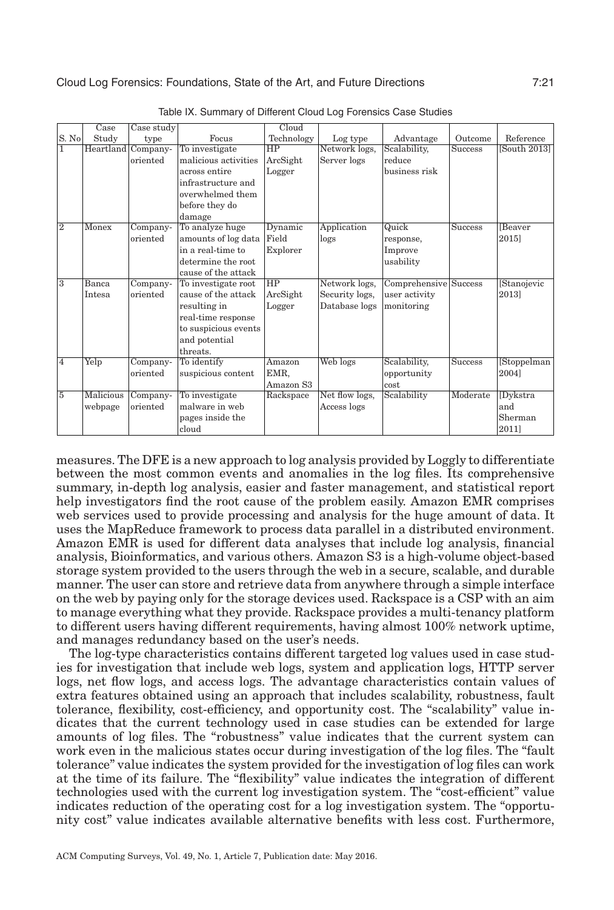<span id="page-20-0"></span>

|                | Case      | Case study         |                      | Cloud      |                |                       |                |              |
|----------------|-----------|--------------------|----------------------|------------|----------------|-----------------------|----------------|--------------|
| S. No          | Study     | type               | Focus                | Technology | Log type       | Advantage             | Outcome        | Reference    |
| $\mathbf{1}$   |           | Heartland Company- | To investigate       | HP         | Network logs,  | Scalability,          | <b>Success</b> | [South 2013] |
|                |           | oriented           | malicious activities | ArcSight   | Server logs    | reduce                |                |              |
|                |           |                    | across entire        | Logger     |                | business risk         |                |              |
|                |           |                    | infrastructure and   |            |                |                       |                |              |
|                |           |                    | overwhelmed them     |            |                |                       |                |              |
|                |           |                    | before they do       |            |                |                       |                |              |
|                |           |                    | damage               |            |                |                       |                |              |
| 2              | Monex     | Company-           | To analyze huge      | Dynamic    | Application    | Quick                 | <b>Success</b> | Beaver       |
|                |           | oriented           | amounts of log data  | Field      | logs           | response,             |                | 2015]        |
|                |           |                    | in a real-time to    | Explorer   |                | Improve               |                |              |
|                |           |                    | determine the root   |            |                | usability             |                |              |
|                |           |                    | cause of the attack  |            |                |                       |                |              |
| 3              | Banca     | Company-           | To investigate root  | HP         | Network logs,  | Comprehensive Success |                | [Stanojevic  |
|                | Intesa    | oriented           | cause of the attack  | ArcSight   | Security logs, | user activity         |                | 20131        |
|                |           |                    | resulting in         | Logger     | Database logs  | monitoring            |                |              |
|                |           |                    | real-time response   |            |                |                       |                |              |
|                |           |                    | to suspicious events |            |                |                       |                |              |
|                |           |                    | and potential        |            |                |                       |                |              |
|                |           |                    | threats.             |            |                |                       |                |              |
| $\overline{4}$ | Yelp      | Company-           | To identify          | Amazon     | Web logs       | Scalability,          | <b>Success</b> | [Stoppelman] |
|                |           | oriented           | suspicious content   | EMR.       |                | opportunity           |                | 20041        |
|                |           |                    |                      | Amazon S3  |                | cost                  |                |              |
| 5              | Malicious | Company-           | To investigate       | Rackspace  | Net flow logs, | Scalability           | Moderate       | [Dykstra]    |
|                | webpage   | oriented           | malware in web       |            | Access logs    |                       |                | and          |
|                |           |                    | pages inside the     |            |                |                       |                | Sherman      |
|                |           |                    | cloud                |            |                |                       |                | 2011]        |

Table IX. Summary of Different Cloud Log Forensics Case Studies

measures. The DFE is a new approach to log analysis provided by Loggly to differentiate between the most common events and anomalies in the log files. Its comprehensive summary, in-depth log analysis, easier and faster management, and statistical report help investigators find the root cause of the problem easily. Amazon EMR comprises web services used to provide processing and analysis for the huge amount of data. It uses the MapReduce framework to process data parallel in a distributed environment. Amazon EMR is used for different data analyses that include log analysis, financial analysis, Bioinformatics, and various others. Amazon S3 is a high-volume object-based storage system provided to the users through the web in a secure, scalable, and durable manner. The user can store and retrieve data from anywhere through a simple interface on the web by paying only for the storage devices used. Rackspace is a CSP with an aim to manage everything what they provide. Rackspace provides a multi-tenancy platform to different users having different requirements, having almost 100% network uptime, and manages redundancy based on the user's needs.

The log-type characteristics contains different targeted log values used in case studies for investigation that include web logs, system and application logs, HTTP server logs, net flow logs, and access logs. The advantage characteristics contain values of extra features obtained using an approach that includes scalability, robustness, fault tolerance, flexibility, cost-efficiency, and opportunity cost. The "scalability" value indicates that the current technology used in case studies can be extended for large amounts of log files. The "robustness" value indicates that the current system can work even in the malicious states occur during investigation of the log files. The "fault tolerance" value indicates the system provided for the investigation of log files can work at the time of its failure. The "flexibility" value indicates the integration of different technologies used with the current log investigation system. The "cost-efficient" value indicates reduction of the operating cost for a log investigation system. The "opportunity cost" value indicates available alternative benefits with less cost. Furthermore,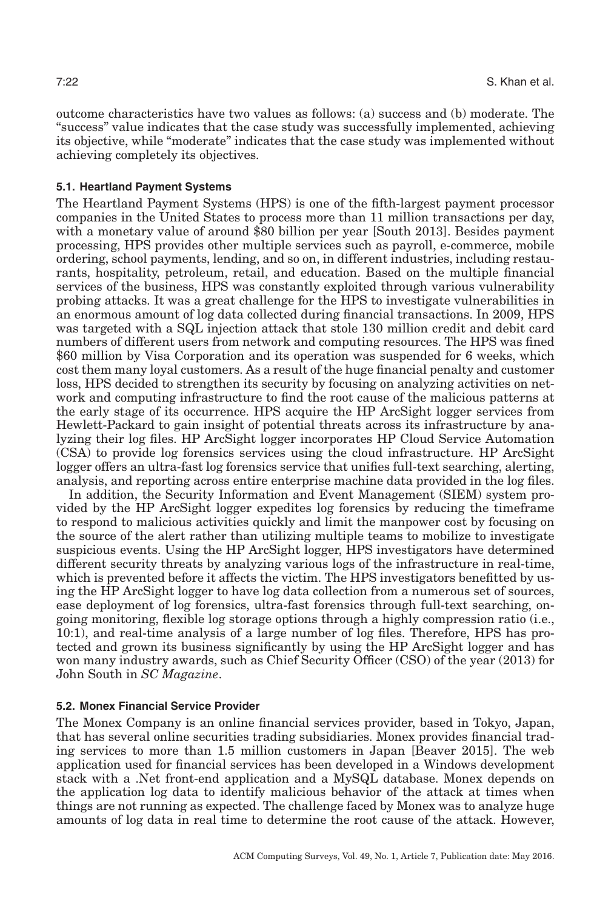outcome characteristics have two values as follows: (a) success and (b) moderate. The "success" value indicates that the case study was successfully implemented, achieving its objective, while "moderate" indicates that the case study was implemented without achieving completely its objectives.

### **5.1. Heartland Payment Systems**

The Heartland Payment Systems (HPS) is one of the fifth-largest payment processor companies in the United States to process more than 11 million transactions per day, with a monetary value of around \$80 billion per year [\[South 2013\]](#page-38-4). Besides payment processing, HPS provides other multiple services such as payroll, e-commerce, mobile ordering, school payments, lending, and so on, in different industries, including restaurants, hospitality, petroleum, retail, and education. Based on the multiple financial services of the business, HPS was constantly exploited through various vulnerability probing attacks. It was a great challenge for the HPS to investigate vulnerabilities in an enormous amount of log data collected during financial transactions. In 2009, HPS was targeted with a SQL injection attack that stole 130 million credit and debit card numbers of different users from network and computing resources. The HPS was fined \$60 million by Visa Corporation and its operation was suspended for 6 weeks, which cost them many loyal customers. As a result of the huge financial penalty and customer loss, HPS decided to strengthen its security by focusing on analyzing activities on network and computing infrastructure to find the root cause of the malicious patterns at the early stage of its occurrence. HPS acquire the HP ArcSight logger services from Hewlett-Packard to gain insight of potential threats across its infrastructure by analyzing their log files. HP ArcSight logger incorporates HP Cloud Service Automation (CSA) to provide log forensics services using the cloud infrastructure. HP ArcSight logger offers an ultra-fast log forensics service that unifies full-text searching, alerting, analysis, and reporting across entire enterprise machine data provided in the log files.

In addition, the Security Information and Event Management (SIEM) system provided by the HP ArcSight logger expedites log forensics by reducing the timeframe to respond to malicious activities quickly and limit the manpower cost by focusing on the source of the alert rather than utilizing multiple teams to mobilize to investigate suspicious events. Using the HP ArcSight logger, HPS investigators have determined different security threats by analyzing various logs of the infrastructure in real-time, which is prevented before it affects the victim. The HPS investigators benefitted by using the HP ArcSight logger to have log data collection from a numerous set of sources, ease deployment of log forensics, ultra-fast forensics through full-text searching, ongoing monitoring, flexible log storage options through a highly compression ratio (i.e., 10:1), and real-time analysis of a large number of log files. Therefore, HPS has protected and grown its business significantly by using the HP ArcSight logger and has won many industry awards, such as Chief Security Officer (CSO) of the year (2013) for John South in *SC Magazine*.

#### **5.2. Monex Financial Service Provider**

The Monex Company is an online financial services provider, based in Tokyo, Japan, that has several online securities trading subsidiaries. Monex provides financial trading services to more than 1.5 million customers in Japan [\[Beaver 2015\]](#page-38-5). The web application used for financial services has been developed in a Windows development stack with a .Net front-end application and a MySQL database. Monex depends on the application log data to identify malicious behavior of the attack at times when things are not running as expected. The challenge faced by Monex was to analyze huge amounts of log data in real time to determine the root cause of the attack. However,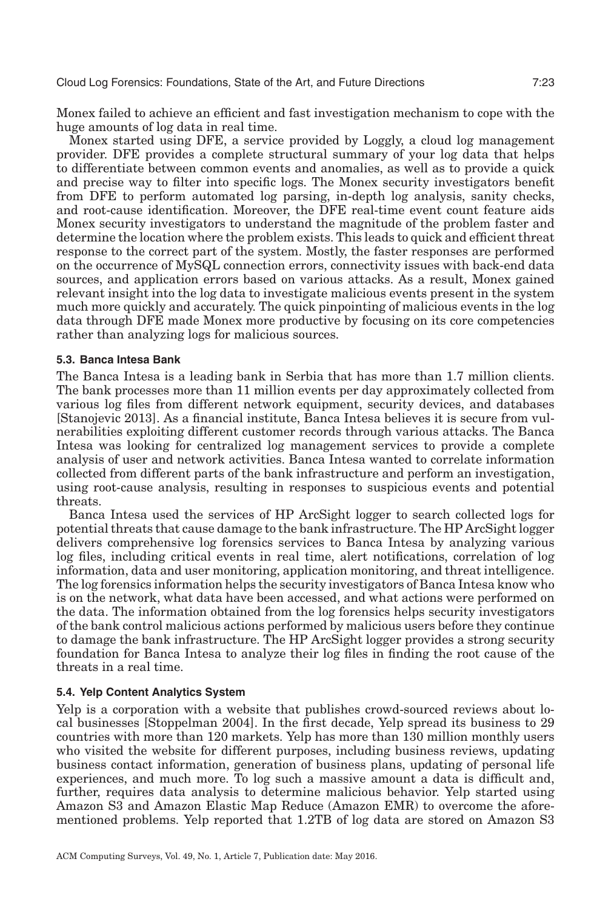Monex failed to achieve an efficient and fast investigation mechanism to cope with the huge amounts of log data in real time.

Monex started using DFE, a service provided by Loggly, a cloud log management provider. DFE provides a complete structural summary of your log data that helps to differentiate between common events and anomalies, as well as to provide a quick and precise way to filter into specific logs. The Monex security investigators benefit from DFE to perform automated log parsing, in-depth log analysis, sanity checks, and root-cause identification. Moreover, the DFE real-time event count feature aids Monex security investigators to understand the magnitude of the problem faster and determine the location where the problem exists. This leads to quick and efficient threat response to the correct part of the system. Mostly, the faster responses are performed on the occurrence of MySQL connection errors, connectivity issues with back-end data sources, and application errors based on various attacks. As a result, Monex gained relevant insight into the log data to investigate malicious events present in the system much more quickly and accurately. The quick pinpointing of malicious events in the log data through DFE made Monex more productive by focusing on its core competencies rather than analyzing logs for malicious sources.

## **5.3. Banca Intesa Bank**

The Banca Intesa is a leading bank in Serbia that has more than 1.7 million clients. The bank processes more than 11 million events per day approximately collected from various log files from different network equipment, security devices, and databases [\[Stanojevic 2013\]](#page-37-12). As a financial institute, Banca Intesa believes it is secure from vulnerabilities exploiting different customer records through various attacks. The Banca Intesa was looking for centralized log management services to provide a complete analysis of user and network activities. Banca Intesa wanted to correlate information collected from different parts of the bank infrastructure and perform an investigation, using root-cause analysis, resulting in responses to suspicious events and potential threats.

Banca Intesa used the services of HP ArcSight logger to search collected logs for potential threats that cause damage to the bank infrastructure. The HP ArcSight logger delivers comprehensive log forensics services to Banca Intesa by analyzing various log files, including critical events in real time, alert notifications, correlation of log information, data and user monitoring, application monitoring, and threat intelligence. The log forensics information helps the security investigators of Banca Intesa know who is on the network, what data have been accessed, and what actions were performed on the data. The information obtained from the log forensics helps security investigators of the bank control malicious actions performed by malicious users before they continue to damage the bank infrastructure. The HP ArcSight logger provides a strong security foundation for Banca Intesa to analyze their log files in finding the root cause of the threats in a real time.

### **5.4. Yelp Content Analytics System**

Yelp is a corporation with a website that publishes crowd-sourced reviews about local businesses [\[Stoppelman 2004\]](#page-38-20). In the first decade, Yelp spread its business to 29 countries with more than 120 markets. Yelp has more than 130 million monthly users who visited the website for different purposes, including business reviews, updating business contact information, generation of business plans, updating of personal life experiences, and much more. To log such a massive amount a data is difficult and, further, requires data analysis to determine malicious behavior. Yelp started using Amazon S3 and Amazon Elastic Map Reduce (Amazon EMR) to overcome the aforementioned problems. Yelp reported that 1.2TB of log data are stored on Amazon S3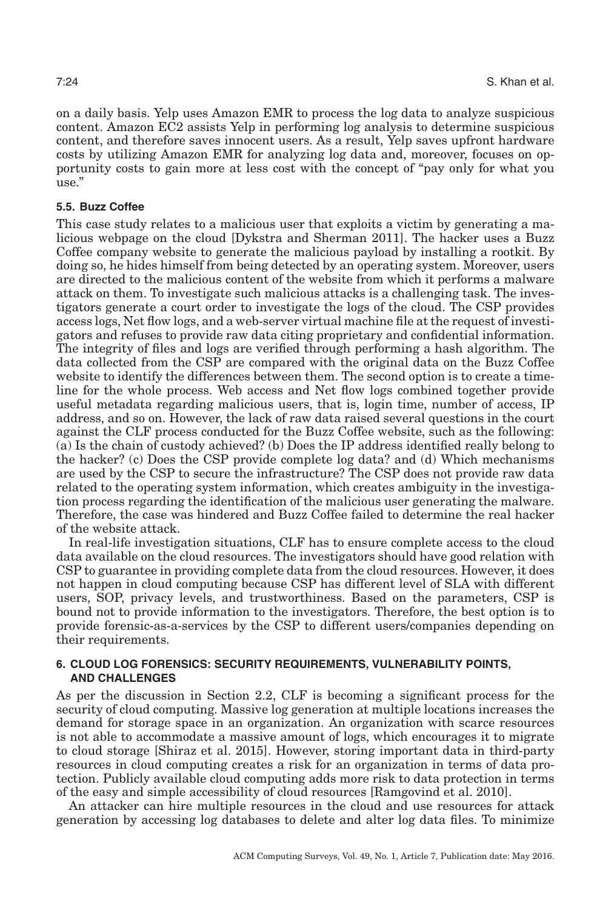on a daily basis. Yelp uses Amazon EMR to process the log data to analyze suspicious content. Amazon EC2 assists Yelp in performing log analysis to determine suspicious content, and therefore saves innocent users. As a result, Yelp saves upfront hardware costs by utilizing Amazon EMR for analyzing log data and, moreover, focuses on opportunity costs to gain more at less cost with the concept of "pay only for what you use."

## **5.5. Buzz Coffee**

This case study relates to a malicious user that exploits a victim by generating a malicious webpage on the cloud [\[Dykstra and Sherman 2011\]](#page-38-21). The hacker uses a Buzz Coffee company website to generate the malicious payload by installing a rootkit. By doing so, he hides himself from being detected by an operating system. Moreover, users are directed to the malicious content of the website from which it performs a malware attack on them. To investigate such malicious attacks is a challenging task. The investigators generate a court order to investigate the logs of the cloud. The CSP provides access logs, Net flow logs, and a web-server virtual machine file at the request of investigators and refuses to provide raw data citing proprietary and confidential information. The integrity of files and logs are verified through performing a hash algorithm. The data collected from the CSP are compared with the original data on the Buzz Coffee website to identify the differences between them. The second option is to create a timeline for the whole process. Web access and Net flow logs combined together provide useful metadata regarding malicious users, that is, login time, number of access, IP address, and so on. However, the lack of raw data raised several questions in the court against the CLF process conducted for the Buzz Coffee website, such as the following: (a) Is the chain of custody achieved? (b) Does the IP address identified really belong to the hacker? (c) Does the CSP provide complete log data? and (d) Which mechanisms are used by the CSP to secure the infrastructure? The CSP does not provide raw data related to the operating system information, which creates ambiguity in the investigation process regarding the identification of the malicious user generating the malware. Therefore, the case was hindered and Buzz Coffee failed to determine the real hacker of the website attack.

In real-life investigation situations, CLF has to ensure complete access to the cloud data available on the cloud resources. The investigators should have good relation with CSP to guarantee in providing complete data from the cloud resources. However, it does not happen in cloud computing because CSP has different level of SLA with different users, SOP, privacy levels, and trustworthiness. Based on the parameters, CSP is bound not to provide information to the investigators. Therefore, the best option is to provide forensic-as-a-services by the CSP to different users/companies depending on their requirements.

#### **6. CLOUD LOG FORENSICS: SECURITY REQUIREMENTS, VULNERABILITY POINTS, AND CHALLENGES**

<span id="page-23-0"></span>As per the discussion in [Section 2.2,](#page-8-1) CLF is becoming a significant process for the security of cloud computing. Massive log generation at multiple locations increases the demand for storage space in an organization. An organization with scarce resources is not able to accommodate a massive amount of logs, which encourages it to migrate to cloud storage [\[Shiraz et al. 2015\]](#page-39-17). However, storing important data in third-party resources in cloud computing creates a risk for an organization in terms of data protection. Publicly available cloud computing adds more risk to data protection in terms of the easy and simple accessibility of cloud resources [\[Ramgovind et al. 2010\]](#page-40-13).

An attacker can hire multiple resources in the cloud and use resources for attack generation by accessing log databases to delete and alter log data files. To minimize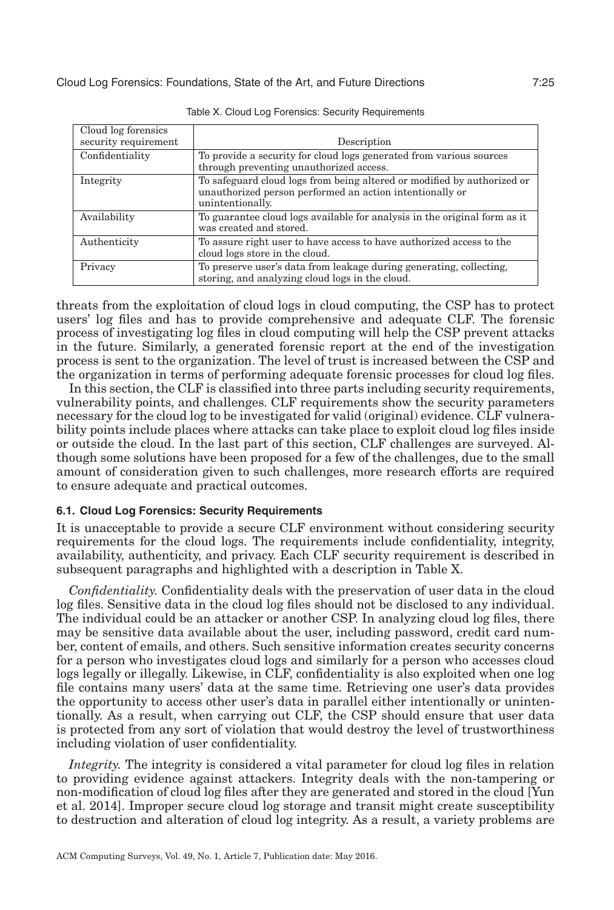<span id="page-24-0"></span>

| Cloud log forensics<br>security requirement | Description                                                                                                                                             |
|---------------------------------------------|---------------------------------------------------------------------------------------------------------------------------------------------------------|
| Confidentiality                             | To provide a security for cloud logs generated from various sources<br>through preventing unauthorized access.                                          |
| Integrity                                   | To safeguard cloud logs from being altered or modified by authorized or<br>unauthorized person performed an action intentionally or<br>unintentionally. |
| Availability                                | To guarantee cloud logs available for analysis in the original form as it<br>was created and stored.                                                    |
| Authenticity                                | To assure right user to have access to have authorized access to the<br>cloud logs store in the cloud.                                                  |
| Privacy                                     | To preserve user's data from leakage during generating, collecting,<br>storing, and analyzing cloud logs in the cloud.                                  |

Table X. Cloud Log Forensics: Security Requirements

threats from the exploitation of cloud logs in cloud computing, the CSP has to protect users' log files and has to provide comprehensive and adequate CLF. The forensic process of investigating log files in cloud computing will help the CSP prevent attacks in the future. Similarly, a generated forensic report at the end of the investigation process is sent to the organization. The level of trust is increased between the CSP and the organization in terms of performing adequate forensic processes for cloud log files.

In this section, the CLF is classified into three parts including security requirements, vulnerability points, and challenges. CLF requirements show the security parameters necessary for the cloud log to be investigated for valid (original) evidence. CLF vulnerability points include places where attacks can take place to exploit cloud log files inside or outside the cloud. In the last part of this section, CLF challenges are surveyed. Although some solutions have been proposed for a few of the challenges, due to the small amount of consideration given to such challenges, more research efforts are required to ensure adequate and practical outcomes.

#### **6.1. Cloud Log Forensics: Security Requirements**

It is unacceptable to provide a secure CLF environment without considering security requirements for the cloud logs. The requirements include confidentiality, integrity, availability, authenticity, and privacy. Each CLF security requirement is described in subsequent paragraphs and highlighted with a description in Table [X.](#page-24-0)

*Confidentiality.* Confidentiality deals with the preservation of user data in the cloud log files. Sensitive data in the cloud log files should not be disclosed to any individual. The individual could be an attacker or another CSP. In analyzing cloud log files, there may be sensitive data available about the user, including password, credit card number, content of emails, and others. Such sensitive information creates security concerns for a person who investigates cloud logs and similarly for a person who accesses cloud logs legally or illegally. Likewise, in CLF, confidentiality is also exploited when one log file contains many users' data at the same time. Retrieving one user's data provides the opportunity to access other user's data in parallel either intentionally or unintentionally. As a result, when carrying out CLF, the CSP should ensure that user data is protected from any sort of violation that would destroy the level of trustworthiness including violation of user confidentiality.

*Integrity*. The integrity is considered a vital parameter for cloud log files in relation to providing evidence against attackers. Integrity deals with the non-tampering or non-modification of cloud log files after they are generated and stored in the cloud [\[Yun](#page-38-22) [et al. 2014\]](#page-38-22). Improper secure cloud log storage and transit might create susceptibility to destruction and alteration of cloud log integrity. As a result, a variety problems are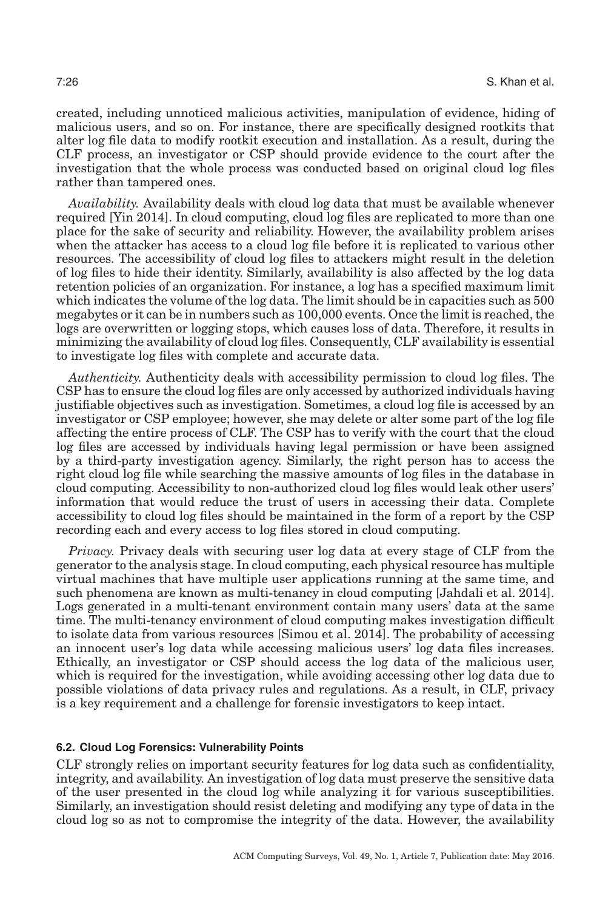created, including unnoticed malicious activities, manipulation of evidence, hiding of malicious users, and so on. For instance, there are specifically designed rootkits that alter log file data to modify rootkit execution and installation. As a result, during the CLF process, an investigator or CSP should provide evidence to the court after the investigation that the whole process was conducted based on original cloud log files rather than tampered ones.

*Availability.* Availability deals with cloud log data that must be available whenever required [\[Yin 2014\]](#page-39-18). In cloud computing, cloud log files are replicated to more than one place for the sake of security and reliability. However, the availability problem arises when the attacker has access to a cloud log file before it is replicated to various other resources. The accessibility of cloud log files to attackers might result in the deletion of log files to hide their identity. Similarly, availability is also affected by the log data retention policies of an organization. For instance, a log has a specified maximum limit which indicates the volume of the log data. The limit should be in capacities such as 500 megabytes or it can be in numbers such as 100,000 events. Once the limit is reached, the logs are overwritten or logging stops, which causes loss of data. Therefore, it results in minimizing the availability of cloud log files. Consequently, CLF availability is essential to investigate log files with complete and accurate data.

*Authenticity.* Authenticity deals with accessibility permission to cloud log files. The CSP has to ensure the cloud log files are only accessed by authorized individuals having justifiable objectives such as investigation. Sometimes, a cloud log file is accessed by an investigator or CSP employee; however, she may delete or alter some part of the log file affecting the entire process of CLF. The CSP has to verify with the court that the cloud log files are accessed by individuals having legal permission or have been assigned by a third-party investigation agency. Similarly, the right person has to access the right cloud log file while searching the massive amounts of log files in the database in cloud computing. Accessibility to non-authorized cloud log files would leak other users' information that would reduce the trust of users in accessing their data. Complete accessibility to cloud log files should be maintained in the form of a report by the CSP recording each and every access to log files stored in cloud computing.

*Privacy.* Privacy deals with securing user log data at every stage of CLF from the generator to the analysis stage. In cloud computing, each physical resource has multiple virtual machines that have multiple user applications running at the same time, and such phenomena are known as multi-tenancy in cloud computing [\[Jahdali et al. 2014\]](#page-38-23). Logs generated in a multi-tenant environment contain many users' data at the same time. The multi-tenancy environment of cloud computing makes investigation difficult to isolate data from various resources [\[Simou et al. 2014\]](#page-40-14). The probability of accessing an innocent user's log data while accessing malicious users' log data files increases. Ethically, an investigator or CSP should access the log data of the malicious user, which is required for the investigation, while avoiding accessing other log data due to possible violations of data privacy rules and regulations. As a result, in CLF, privacy is a key requirement and a challenge for forensic investigators to keep intact.

## **6.2. Cloud Log Forensics: Vulnerability Points**

CLF strongly relies on important security features for log data such as confidentiality, integrity, and availability. An investigation of log data must preserve the sensitive data of the user presented in the cloud log while analyzing it for various susceptibilities. Similarly, an investigation should resist deleting and modifying any type of data in the cloud log so as not to compromise the integrity of the data. However, the availability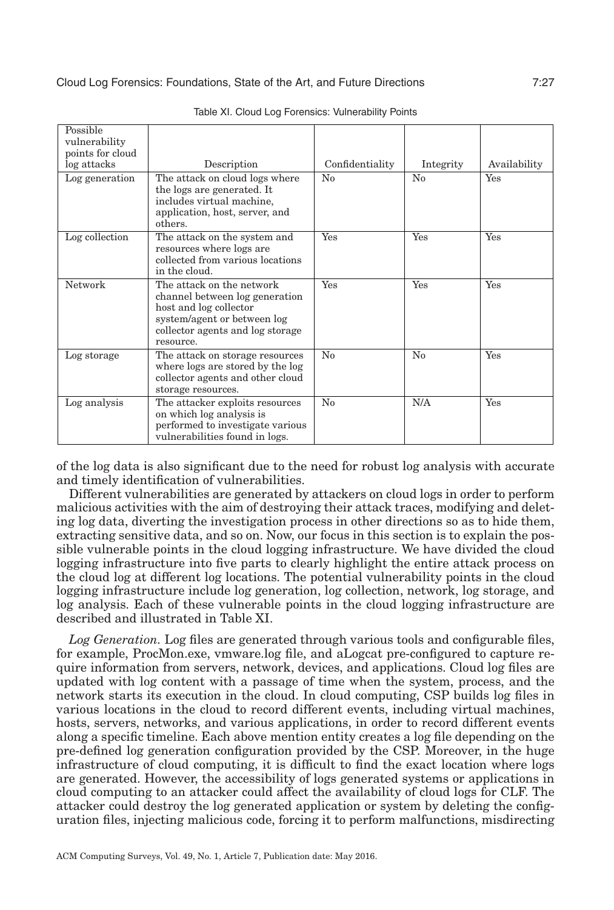<span id="page-26-0"></span>

| Possible<br>vulnerability<br>points for cloud<br>log attacks | Description                                                                                                                                                           | Confidentiality | Integrity | Availability |
|--------------------------------------------------------------|-----------------------------------------------------------------------------------------------------------------------------------------------------------------------|-----------------|-----------|--------------|
|                                                              |                                                                                                                                                                       |                 |           |              |
| Log generation                                               | The attack on cloud logs where<br>the logs are generated. It<br>includes virtual machine,<br>application, host, server, and<br>others.                                | No              | No        | Yes          |
| Log collection                                               | The attack on the system and<br>resources where logs are<br>collected from various locations<br>in the cloud.                                                         | <b>Yes</b>      | Yes       | Yes          |
| Network                                                      | The attack on the network<br>channel between log generation<br>host and log collector<br>system/agent or between log<br>collector agents and log storage<br>resource. | Yes             | Yes       | Yes          |
| Log storage                                                  | The attack on storage resources<br>where logs are stored by the log<br>collector agents and other cloud<br>storage resources.                                         | No              | No        | Yes          |
| Log analysis                                                 | The attacker exploits resources<br>on which log analysis is<br>performed to investigate various<br>vulnerabilities found in logs.                                     | No              | N/A       | Yes          |

Table XI. Cloud Log Forensics: Vulnerability Points

of the log data is also significant due to the need for robust log analysis with accurate and timely identification of vulnerabilities.

Different vulnerabilities are generated by attackers on cloud logs in order to perform malicious activities with the aim of destroying their attack traces, modifying and deleting log data, diverting the investigation process in other directions so as to hide them, extracting sensitive data, and so on. Now, our focus in this section is to explain the possible vulnerable points in the cloud logging infrastructure. We have divided the cloud logging infrastructure into five parts to clearly highlight the entire attack process on the cloud log at different log locations. The potential vulnerability points in the cloud logging infrastructure include log generation, log collection, network, log storage, and log analysis. Each of these vulnerable points in the cloud logging infrastructure are described and illustrated in Table [XI.](#page-26-0)

*Log Generation.* Log files are generated through various tools and configurable files, for example, ProcMon.exe, vmware.log file, and aLogcat pre-configured to capture require information from servers, network, devices, and applications. Cloud log files are updated with log content with a passage of time when the system, process, and the network starts its execution in the cloud. In cloud computing, CSP builds log files in various locations in the cloud to record different events, including virtual machines, hosts, servers, networks, and various applications, in order to record different events along a specific timeline. Each above mention entity creates a log file depending on the pre-defined log generation configuration provided by the CSP. Moreover, in the huge infrastructure of cloud computing, it is difficult to find the exact location where logs are generated. However, the accessibility of logs generated systems or applications in cloud computing to an attacker could affect the availability of cloud logs for CLF. The attacker could destroy the log generated application or system by deleting the configuration files, injecting malicious code, forcing it to perform malfunctions, misdirecting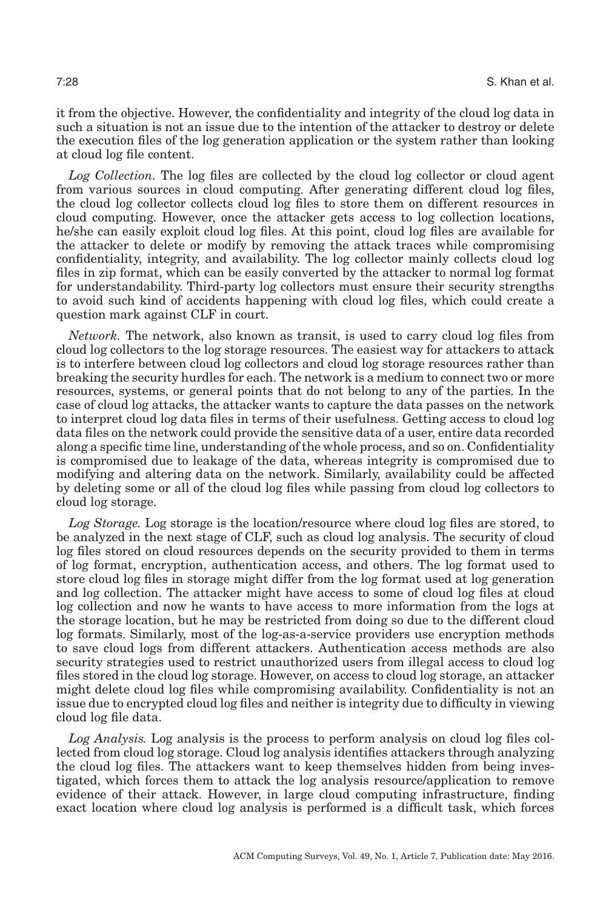it from the objective. However, the confidentiality and integrity of the cloud log data in such a situation is not an issue due to the intention of the attacker to destroy or delete the execution files of the log generation application or the system rather than looking at cloud log file content.

Log Collection. The log files are collected by the cloud log collector or cloud agent from various sources in cloud computing. After generating different cloud log files, the cloud log collector collects cloud log files to store them on different resources in cloud computing. However, once the attacker gets access to log collection locations, he/she can easily exploit cloud log files. At this point, cloud log files are available for the attacker to delete or modify by removing the attack traces while compromising confidentiality, integrity, and availability. The log collector mainly collects cloud log files in zip format, which can be easily converted by the attacker to normal log format for understandability. Third-party log collectors must ensure their security strengths to avoid such kind of accidents happening with cloud log files, which could create a question mark against CLF in court.

*Network.* The network, also known as transit, is used to carry cloud log files from cloud log collectors to the log storage resources. The easiest way for attackers to attack is to interfere between cloud log collectors and cloud log storage resources rather than breaking the security hurdles for each. The network is a medium to connect two or more resources, systems, or general points that do not belong to any of the parties. In the case of cloud log attacks, the attacker wants to capture the data passes on the network to interpret cloud log data files in terms of their usefulness. Getting access to cloud log data files on the network could provide the sensitive data of a user, entire data recorded along a specific time line, understanding of the whole process, and so on. Confidentiality is compromised due to leakage of the data, whereas integrity is compromised due to modifying and altering data on the network. Similarly, availability could be affected by deleting some or all of the cloud log files while passing from cloud log collectors to cloud log storage.

*Log Storage.* Log storage is the location/resource where cloud log files are stored, to be analyzed in the next stage of CLF, such as cloud log analysis. The security of cloud log files stored on cloud resources depends on the security provided to them in terms of log format, encryption, authentication access, and others. The log format used to store cloud log files in storage might differ from the log format used at log generation and log collection. The attacker might have access to some of cloud log files at cloud log collection and now he wants to have access to more information from the logs at the storage location, but he may be restricted from doing so due to the different cloud log formats. Similarly, most of the log-as-a-service providers use encryption methods to save cloud logs from different attackers. Authentication access methods are also security strategies used to restrict unauthorized users from illegal access to cloud log files stored in the cloud log storage. However, on access to cloud log storage, an attacker might delete cloud log files while compromising availability. Confidentiality is not an issue due to encrypted cloud log files and neither is integrity due to difficulty in viewing cloud log file data.

*Log Analysis.* Log analysis is the process to perform analysis on cloud log files collected from cloud log storage. Cloud log analysis identifies attackers through analyzing the cloud log files. The attackers want to keep themselves hidden from being investigated, which forces them to attack the log analysis resource/application to remove evidence of their attack. However, in large cloud computing infrastructure, finding exact location where cloud log analysis is performed is a difficult task, which forces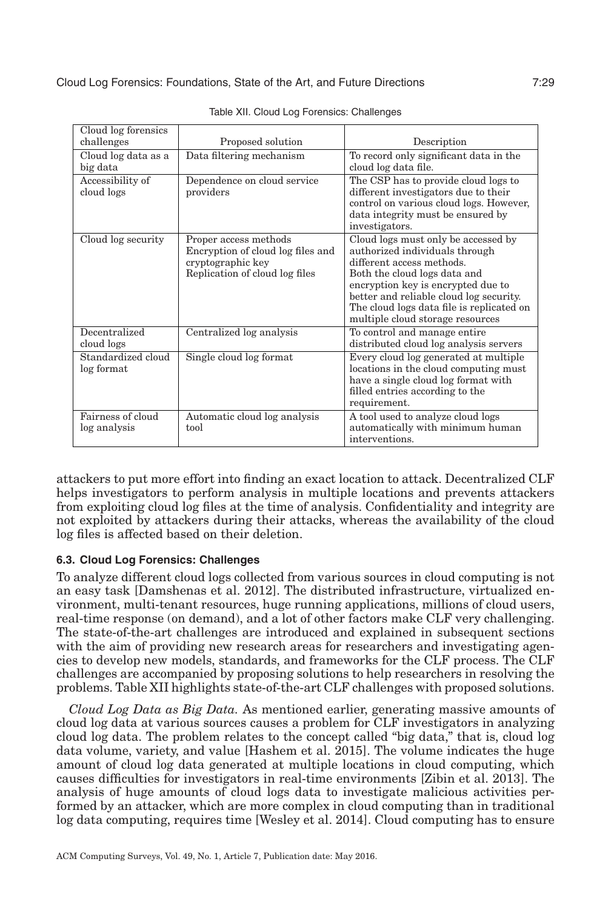<span id="page-28-0"></span>

| Cloud log forensics<br>challenges | Proposed solution                                                                                                 | Description                                                                                                                                                                                                                                                                                          |
|-----------------------------------|-------------------------------------------------------------------------------------------------------------------|------------------------------------------------------------------------------------------------------------------------------------------------------------------------------------------------------------------------------------------------------------------------------------------------------|
| Cloud log data as a<br>big data   | Data filtering mechanism                                                                                          | To record only significant data in the<br>cloud log data file.                                                                                                                                                                                                                                       |
| Accessibility of<br>cloud logs    | Dependence on cloud service<br>providers                                                                          | The CSP has to provide cloud logs to<br>different investigators due to their<br>control on various cloud logs. However,<br>data integrity must be ensured by<br>investigators.                                                                                                                       |
| Cloud log security                | Proper access methods<br>Encryption of cloud log files and<br>cryptographic key<br>Replication of cloud log files | Cloud logs must only be accessed by<br>authorized individuals through<br>different access methods.<br>Both the cloud logs data and<br>encryption key is encrypted due to<br>better and reliable cloud log security.<br>The cloud logs data file is replicated on<br>multiple cloud storage resources |
| Decentralized<br>cloud logs       | Centralized log analysis                                                                                          | To control and manage entire<br>distributed cloud log analysis servers                                                                                                                                                                                                                               |
| Standardized cloud<br>log format  | Single cloud log format                                                                                           | Every cloud log generated at multiple<br>locations in the cloud computing must<br>have a single cloud log format with<br>filled entries according to the<br>requirement.                                                                                                                             |
| Fairness of cloud<br>log analysis | Automatic cloud log analysis<br>tool                                                                              | A tool used to analyze cloud logs<br>automatically with minimum human<br>interventions.                                                                                                                                                                                                              |

Table XII. Cloud Log Forensics: Challenges

attackers to put more effort into finding an exact location to attack. Decentralized CLF helps investigators to perform analysis in multiple locations and prevents attackers from exploiting cloud log files at the time of analysis. Confidentiality and integrity are not exploited by attackers during their attacks, whereas the availability of the cloud log files is affected based on their deletion.

## **6.3. Cloud Log Forensics: Challenges**

To analyze different cloud logs collected from various sources in cloud computing is not an easy task [\[Damshenas et al. 2012\]](#page-39-19). The distributed infrastructure, virtualized environment, multi-tenant resources, huge running applications, millions of cloud users, real-time response (on demand), and a lot of other factors make CLF very challenging. The state-of-the-art challenges are introduced and explained in subsequent sections with the aim of providing new research areas for researchers and investigating agencies to develop new models, standards, and frameworks for the CLF process. The CLF challenges are accompanied by proposing solutions to help researchers in resolving the problems. Table [XII](#page-28-0) highlights state-of-the-art CLF challenges with proposed solutions.

*Cloud Log Data as Big Data.* As mentioned earlier, generating massive amounts of cloud log data at various sources causes a problem for CLF investigators in analyzing cloud log data. The problem relates to the concept called "big data," that is, cloud log data volume, variety, and value [\[Hashem et al. 2015\]](#page-38-24). The volume indicates the huge amount of cloud log data generated at multiple locations in cloud computing, which causes difficulties for investigators in real-time environments [\[Zibin et al. 2013\]](#page-41-9). The analysis of huge amounts of cloud logs data to investigate malicious activities performed by an attacker, which are more complex in cloud computing than in traditional log data computing, requires time [\[Wesley et al. 2014\]](#page-41-10). Cloud computing has to ensure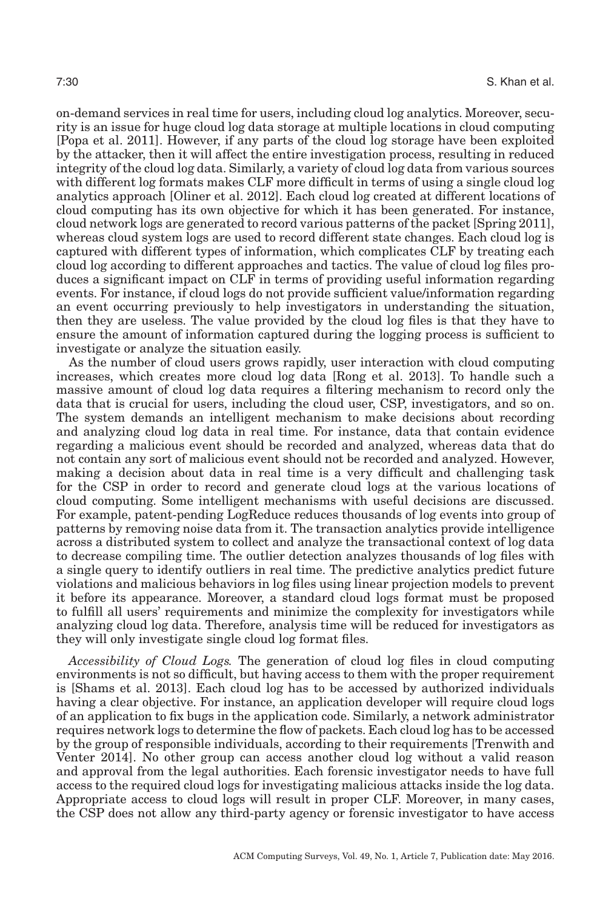on-demand services in real time for users, including cloud log analytics. Moreover, security is an issue for huge cloud log data storage at multiple locations in cloud computing [\[Popa et al. 2011\]](#page-40-15). However, if any parts of the cloud log storage have been exploited by the attacker, then it will affect the entire investigation process, resulting in reduced integrity of the cloud log data. Similarly, a variety of cloud log data from various sources with different log formats makes CLF more difficult in terms of using a single cloud log analytics approach [\[Oliner et al. 2012\]](#page-37-13). Each cloud log created at different locations of cloud computing has its own objective for which it has been generated. For instance, cloud network logs are generated to record various patterns of the packet [\[Spring 2011\]](#page-38-25), whereas cloud system logs are used to record different state changes. Each cloud log is captured with different types of information, which complicates CLF by treating each cloud log according to different approaches and tactics. The value of cloud log files produces a significant impact on CLF in terms of providing useful information regarding events. For instance, if cloud logs do not provide sufficient value/information regarding an event occurring previously to help investigators in understanding the situation, then they are useless. The value provided by the cloud log files is that they have to ensure the amount of information captured during the logging process is sufficient to investigate or analyze the situation easily.

As the number of cloud users grows rapidly, user interaction with cloud computing increases, which creates more cloud log data [\[Rong et al. 2013\]](#page-38-26). To handle such a massive amount of cloud log data requires a filtering mechanism to record only the data that is crucial for users, including the cloud user, CSP, investigators, and so on. The system demands an intelligent mechanism to make decisions about recording and analyzing cloud log data in real time. For instance, data that contain evidence regarding a malicious event should be recorded and analyzed, whereas data that do not contain any sort of malicious event should not be recorded and analyzed. However, making a decision about data in real time is a very difficult and challenging task for the CSP in order to record and generate cloud logs at the various locations of cloud computing. Some intelligent mechanisms with useful decisions are discussed. For example, patent-pending LogReduce reduces thousands of log events into group of patterns by removing noise data from it. The transaction analytics provide intelligence across a distributed system to collect and analyze the transactional context of log data to decrease compiling time. The outlier detection analyzes thousands of log files with a single query to identify outliers in real time. The predictive analytics predict future violations and malicious behaviors in log files using linear projection models to prevent it before its appearance. Moreover, a standard cloud logs format must be proposed to fulfill all users' requirements and minimize the complexity for investigators while analyzing cloud log data. Therefore, analysis time will be reduced for investigators as they will only investigate single cloud log format files.

*Accessibility of Cloud Logs.* The generation of cloud log files in cloud computing environments is not so difficult, but having access to them with the proper requirement is [\[Shams et al. 2013\]](#page-41-4). Each cloud log has to be accessed by authorized individuals having a clear objective. For instance, an application developer will require cloud logs of an application to fix bugs in the application code. Similarly, a network administrator requires network logs to determine the flow of packets. Each cloud log has to be accessed by the group of responsible individuals, according to their requirements [\[Trenwith and](#page-39-20) [Venter 2014\]](#page-39-20). No other group can access another cloud log without a valid reason and approval from the legal authorities. Each forensic investigator needs to have full access to the required cloud logs for investigating malicious attacks inside the log data. Appropriate access to cloud logs will result in proper CLF. Moreover, in many cases, the CSP does not allow any third-party agency or forensic investigator to have access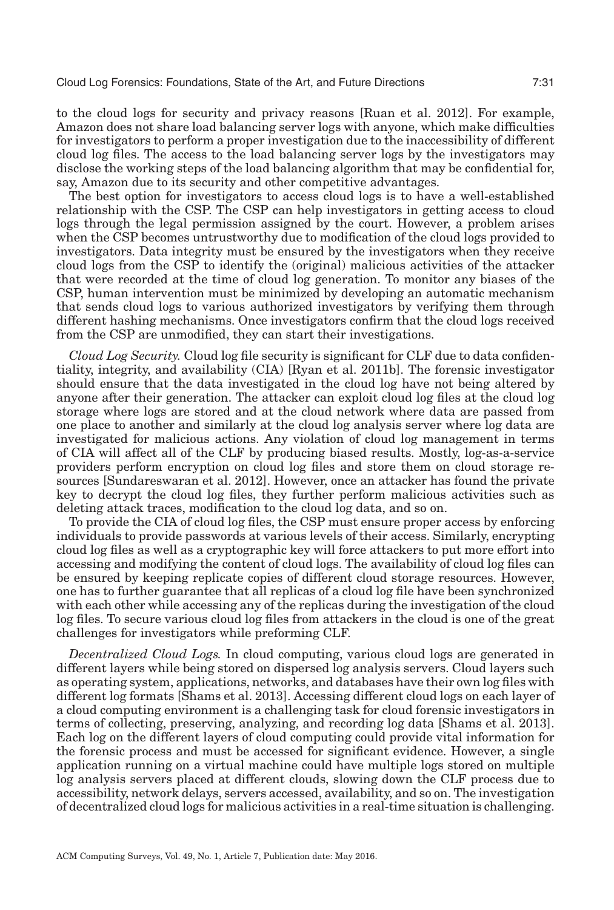#### Cloud Log Forensics: Foundations, State of the Art, and Future Directions 7:31

to the cloud logs for security and privacy reasons [\[Ruan et al. 2012\]](#page-39-21). For example, Amazon does not share load balancing server logs with anyone, which make difficulties for investigators to perform a proper investigation due to the inaccessibility of different cloud log files. The access to the load balancing server logs by the investigators may disclose the working steps of the load balancing algorithm that may be confidential for, say, Amazon due to its security and other competitive advantages.

The best option for investigators to access cloud logs is to have a well-established relationship with the CSP. The CSP can help investigators in getting access to cloud logs through the legal permission assigned by the court. However, a problem arises when the CSP becomes untrustworthy due to modification of the cloud logs provided to investigators. Data integrity must be ensured by the investigators when they receive cloud logs from the CSP to identify the (original) malicious activities of the attacker that were recorded at the time of cloud log generation. To monitor any biases of the CSP, human intervention must be minimized by developing an automatic mechanism that sends cloud logs to various authorized investigators by verifying them through different hashing mechanisms. Once investigators confirm that the cloud logs received from the CSP are unmodified, they can start their investigations.

*Cloud Log Security.* Cloud log file security is significant for CLF due to data confidentiality, integrity, and availability (CIA) [\[Ryan et al. 2011b](#page-39-22)]. The forensic investigator should ensure that the data investigated in the cloud log have not being altered by anyone after their generation. The attacker can exploit cloud log files at the cloud log storage where logs are stored and at the cloud network where data are passed from one place to another and similarly at the cloud log analysis server where log data are investigated for malicious actions. Any violation of cloud log management in terms of CIA will affect all of the CLF by producing biased results. Mostly, log-as-a-service providers perform encryption on cloud log files and store them on cloud storage resources [\[Sundareswaran et al. 2012\]](#page-40-6). However, once an attacker has found the private key to decrypt the cloud log files, they further perform malicious activities such as deleting attack traces, modification to the cloud log data, and so on.

To provide the CIA of cloud log files, the CSP must ensure proper access by enforcing individuals to provide passwords at various levels of their access. Similarly, encrypting cloud log files as well as a cryptographic key will force attackers to put more effort into accessing and modifying the content of cloud logs. The availability of cloud log files can be ensured by keeping replicate copies of different cloud storage resources. However, one has to further guarantee that all replicas of a cloud log file have been synchronized with each other while accessing any of the replicas during the investigation of the cloud log files. To secure various cloud log files from attackers in the cloud is one of the great challenges for investigators while preforming CLF.

*Decentralized Cloud Logs.* In cloud computing, various cloud logs are generated in different layers while being stored on dispersed log analysis servers. Cloud layers such as operating system, applications, networks, and databases have their own log files with different log formats [\[Shams et al. 2013\]](#page-41-4). Accessing different cloud logs on each layer of a cloud computing environment is a challenging task for cloud forensic investigators in terms of collecting, preserving, analyzing, and recording log data [\[Shams et al. 2013\]](#page-41-4). Each log on the different layers of cloud computing could provide vital information for the forensic process and must be accessed for significant evidence. However, a single application running on a virtual machine could have multiple logs stored on multiple log analysis servers placed at different clouds, slowing down the CLF process due to accessibility, network delays, servers accessed, availability, and so on. The investigation of decentralized cloud logs for malicious activities in a real-time situation is challenging.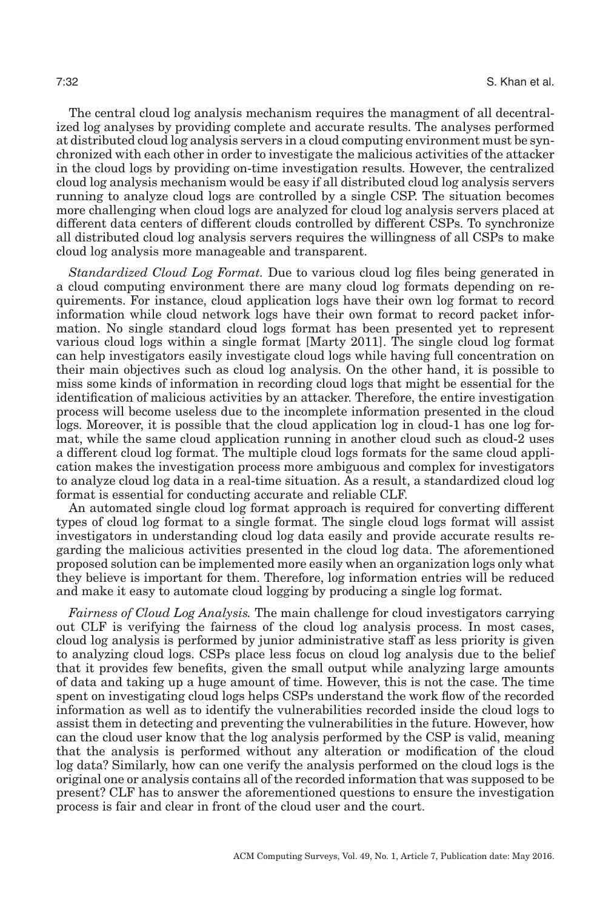The central cloud log analysis mechanism requires the managment of all decentralized log analyses by providing complete and accurate results. The analyses performed at distributed cloud log analysis servers in a cloud computing environment must be synchronized with each other in order to investigate the malicious activities of the attacker in the cloud logs by providing on-time investigation results. However, the centralized cloud log analysis mechanism would be easy if all distributed cloud log analysis servers running to analyze cloud logs are controlled by a single CSP. The situation becomes more challenging when cloud logs are analyzed for cloud log analysis servers placed at different data centers of different clouds controlled by different CSPs. To synchronize all distributed cloud log analysis servers requires the willingness of all CSPs to make cloud log analysis more manageable and transparent.

*Standardized Cloud Log Format.* Due to various cloud log files being generated in a cloud computing environment there are many cloud log formats depending on requirements. For instance, cloud application logs have their own log format to record information while cloud network logs have their own format to record packet information. No single standard cloud logs format has been presented yet to represent various cloud logs within a single format [\[Marty 2011\]](#page-40-7). The single cloud log format can help investigators easily investigate cloud logs while having full concentration on their main objectives such as cloud log analysis. On the other hand, it is possible to miss some kinds of information in recording cloud logs that might be essential for the identification of malicious activities by an attacker. Therefore, the entire investigation process will become useless due to the incomplete information presented in the cloud logs. Moreover, it is possible that the cloud application log in cloud-1 has one log format, while the same cloud application running in another cloud such as cloud-2 uses a different cloud log format. The multiple cloud logs formats for the same cloud application makes the investigation process more ambiguous and complex for investigators to analyze cloud log data in a real-time situation. As a result, a standardized cloud log format is essential for conducting accurate and reliable CLF.

An automated single cloud log format approach is required for converting different types of cloud log format to a single format. The single cloud logs format will assist investigators in understanding cloud log data easily and provide accurate results regarding the malicious activities presented in the cloud log data. The aforementioned proposed solution can be implemented more easily when an organization logs only what they believe is important for them. Therefore, log information entries will be reduced and make it easy to automate cloud logging by producing a single log format.

*Fairness of Cloud Log Analysis.* The main challenge for cloud investigators carrying out CLF is verifying the fairness of the cloud log analysis process. In most cases, cloud log analysis is performed by junior administrative staff as less priority is given to analyzing cloud logs. CSPs place less focus on cloud log analysis due to the belief that it provides few benefits, given the small output while analyzing large amounts of data and taking up a huge amount of time. However, this is not the case. The time spent on investigating cloud logs helps CSPs understand the work flow of the recorded information as well as to identify the vulnerabilities recorded inside the cloud logs to assist them in detecting and preventing the vulnerabilities in the future. However, how can the cloud user know that the log analysis performed by the CSP is valid, meaning that the analysis is performed without any alteration or modification of the cloud log data? Similarly, how can one verify the analysis performed on the cloud logs is the original one or analysis contains all of the recorded information that was supposed to be present? CLF has to answer the aforementioned questions to ensure the investigation process is fair and clear in front of the cloud user and the court.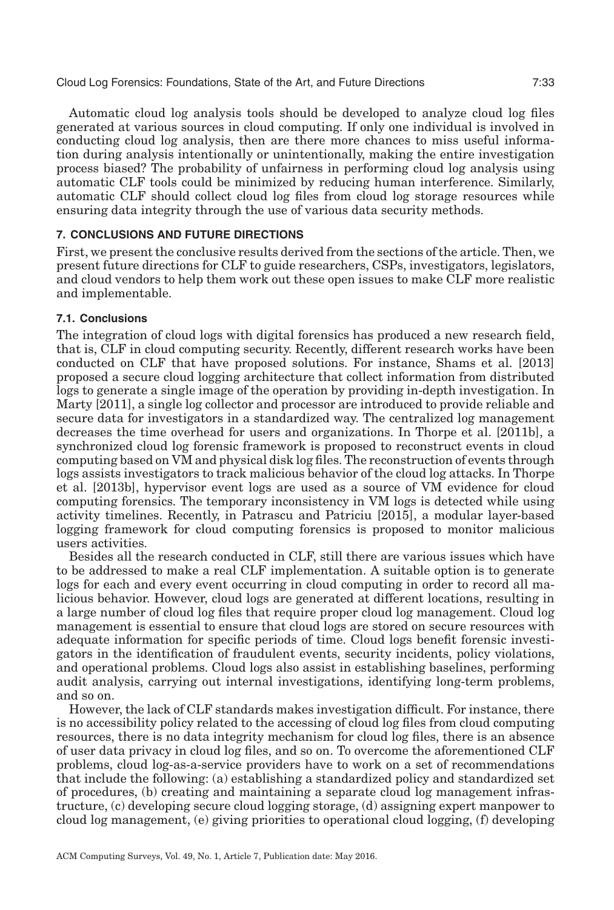Cloud Log Forensics: Foundations, State of the Art, and Future Directions 7:33

Automatic cloud log analysis tools should be developed to analyze cloud log files generated at various sources in cloud computing. If only one individual is involved in conducting cloud log analysis, then are there more chances to miss useful information during analysis intentionally or unintentionally, making the entire investigation process biased? The probability of unfairness in performing cloud log analysis using automatic CLF tools could be minimized by reducing human interference. Similarly, automatic CLF should collect cloud log files from cloud log storage resources while ensuring data integrity through the use of various data security methods.

## **7. CONCLUSIONS AND FUTURE DIRECTIONS**

<span id="page-32-0"></span>First, we present the conclusive results derived from the sections of the article. Then, we present future directions for CLF to guide researchers, CSPs, investigators, legislators, and cloud vendors to help them work out these open issues to make CLF more realistic and implementable.

## **7.1. Conclusions**

The integration of cloud logs with digital forensics has produced a new research field, that is, CLF in cloud computing security. Recently, different research works have been conducted on CLF that have proposed solutions. For instance, [Shams et al. \[2013\]](#page-41-4) proposed a secure cloud logging architecture that collect information from distributed logs to generate a single image of the operation by providing in-depth investigation. In [Marty \[2011\],](#page-40-7) a single log collector and processor are introduced to provide reliable and secure data for investigators in a standardized way. The centralized log management decreases the time overhead for users and organizations. In [Thorpe et al. \[2011b\],](#page-40-16) a synchronized cloud log forensic framework is proposed to reconstruct events in cloud computing based on VM and physical disk log files. The reconstruction of events through logs assists investigators to track malicious behavior of the cloud log attacks. In [Thorpe](#page-40-17) [et al. \[2013b\],](#page-40-17) hypervisor event logs are used as a source of VM evidence for cloud computing forensics. The temporary inconsistency in VM logs is detected while using activity timelines. Recently, in [Patrascu and Patriciu \[2015\],](#page-37-14) a modular layer-based logging framework for cloud computing forensics is proposed to monitor malicious users activities.

Besides all the research conducted in CLF, still there are various issues which have to be addressed to make a real CLF implementation. A suitable option is to generate logs for each and every event occurring in cloud computing in order to record all malicious behavior. However, cloud logs are generated at different locations, resulting in a large number of cloud log files that require proper cloud log management. Cloud log management is essential to ensure that cloud logs are stored on secure resources with adequate information for specific periods of time. Cloud logs benefit forensic investigators in the identification of fraudulent events, security incidents, policy violations, and operational problems. Cloud logs also assist in establishing baselines, performing audit analysis, carrying out internal investigations, identifying long-term problems, and so on.

However, the lack of CLF standards makes investigation difficult. For instance, there is no accessibility policy related to the accessing of cloud log files from cloud computing resources, there is no data integrity mechanism for cloud log files, there is an absence of user data privacy in cloud log files, and so on. To overcome the aforementioned CLF problems, cloud log-as-a-service providers have to work on a set of recommendations that include the following: (a) establishing a standardized policy and standardized set of procedures, (b) creating and maintaining a separate cloud log management infrastructure, (c) developing secure cloud logging storage, (d) assigning expert manpower to cloud log management, (e) giving priorities to operational cloud logging, (f) developing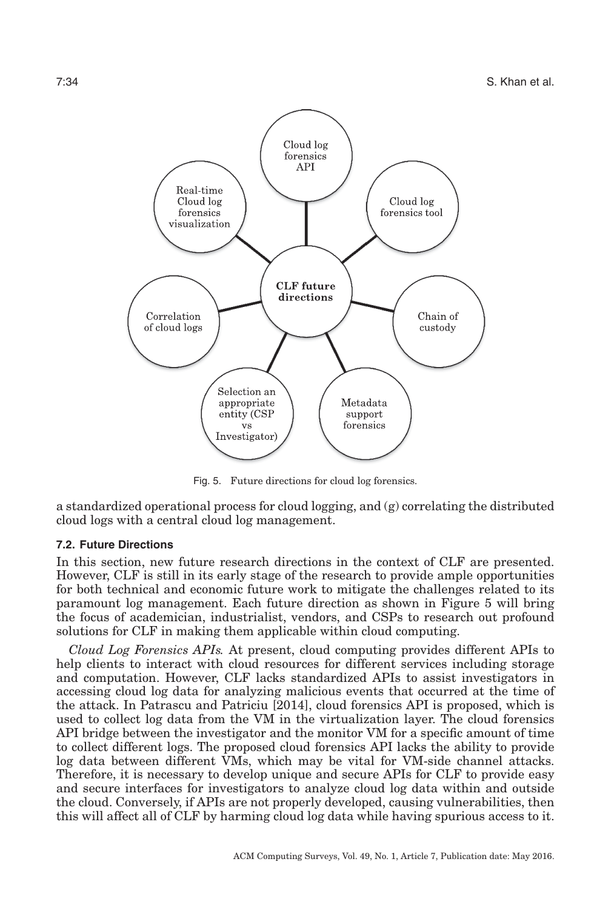<span id="page-33-0"></span>

Fig. 5. Future directions for cloud log forensics.

a standardized operational process for cloud logging, and (g) correlating the distributed cloud logs with a central cloud log management.

## **7.2. Future Directions**

In this section, new future research directions in the context of CLF are presented. However, CLF is still in its early stage of the research to provide ample opportunities for both technical and economic future work to mitigate the challenges related to its paramount log management. Each future direction as shown in Figure [5](#page-33-0) will bring the focus of academician, industrialist, vendors, and CSPs to research out profound solutions for CLF in making them applicable within cloud computing.

*Cloud Log Forensics APIs.* At present, cloud computing provides different APIs to help clients to interact with cloud resources for different services including storage and computation. However, CLF lacks standardized APIs to assist investigators in accessing cloud log data for analyzing malicious events that occurred at the time of the attack. In Patrascu and Patriciu [2014], cloud forensics API is proposed, which is used to collect log data from the VM in the virtualization layer. The cloud forensics API bridge between the investigator and the monitor VM for a specific amount of time to collect different logs. The proposed cloud forensics API lacks the ability to provide log data between different VMs, which may be vital for VM-side channel attacks. Therefore, it is necessary to develop unique and secure APIs for CLF to provide easy and secure interfaces for investigators to analyze cloud log data within and outside the cloud. Conversely, if APIs are not properly developed, causing vulnerabilities, then this will affect all of CLF by harming cloud log data while having spurious access to it.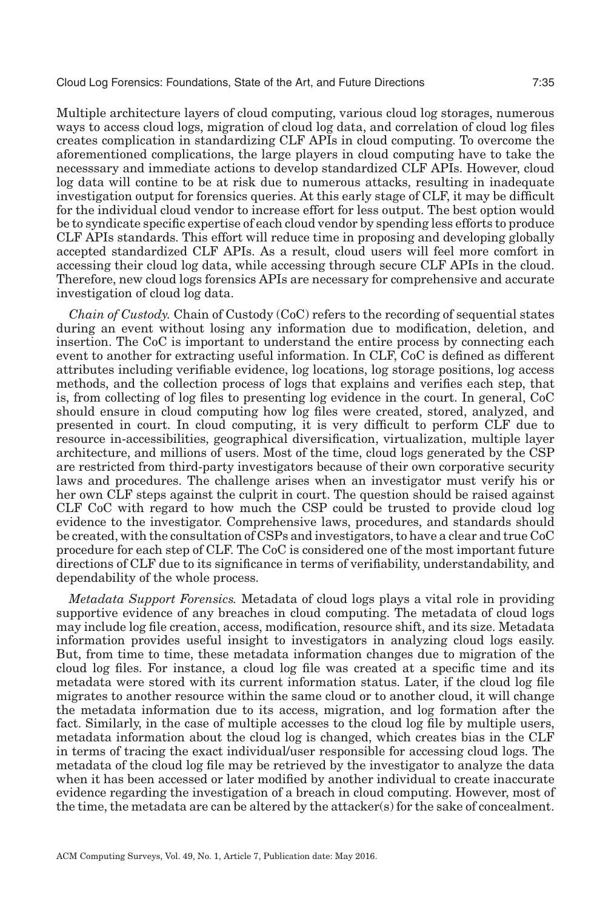#### Cloud Log Forensics: Foundations, State of the Art, and Future Directions 7:35

Multiple architecture layers of cloud computing, various cloud log storages, numerous ways to access cloud logs, migration of cloud log data, and correlation of cloud log files creates complication in standardizing CLF APIs in cloud computing. To overcome the aforementioned complications, the large players in cloud computing have to take the necesssary and immediate actions to develop standardized CLF APIs. However, cloud log data will contine to be at risk due to numerous attacks, resulting in inadequate investigation output for forensics queries. At this early stage of CLF, it may be difficult for the individual cloud vendor to increase effort for less output. The best option would be to syndicate specific expertise of each cloud vendor by spending less efforts to produce CLF APIs standards. This effort will reduce time in proposing and developing globally accepted standardized CLF APIs. As a result, cloud users will feel more comfort in accessing their cloud log data, while accessing through secure CLF APIs in the cloud. Therefore, new cloud logs forensics APIs are necessary for comprehensive and accurate investigation of cloud log data.

*Chain of Custody.* Chain of Custody (CoC) refers to the recording of sequential states during an event without losing any information due to modification, deletion, and insertion. The CoC is important to understand the entire process by connecting each event to another for extracting useful information. In CLF, CoC is defined as different attributes including verifiable evidence, log locations, log storage positions, log access methods, and the collection process of logs that explains and verifies each step, that is, from collecting of log files to presenting log evidence in the court. In general, CoC should ensure in cloud computing how log files were created, stored, analyzed, and presented in court. In cloud computing, it is very difficult to perform CLF due to resource in-accessibilities, geographical diversification, virtualization, multiple layer architecture, and millions of users. Most of the time, cloud logs generated by the CSP are restricted from third-party investigators because of their own corporative security laws and procedures. The challenge arises when an investigator must verify his or her own CLF steps against the culprit in court. The question should be raised against CLF CoC with regard to how much the CSP could be trusted to provide cloud log evidence to the investigator. Comprehensive laws, procedures, and standards should be created, with the consultation of CSPs and investigators, to have a clear and true CoC procedure for each step of CLF. The CoC is considered one of the most important future directions of CLF due to its significance in terms of verifiability, understandability, and dependability of the whole process.

*Metadata Support Forensics.* Metadata of cloud logs plays a vital role in providing supportive evidence of any breaches in cloud computing. The metadata of cloud logs may include log file creation, access, modification, resource shift, and its size. Metadata information provides useful insight to investigators in analyzing cloud logs easily. But, from time to time, these metadata information changes due to migration of the cloud log files. For instance, a cloud log file was created at a specific time and its metadata were stored with its current information status. Later, if the cloud log file migrates to another resource within the same cloud or to another cloud, it will change the metadata information due to its access, migration, and log formation after the fact. Similarly, in the case of multiple accesses to the cloud log file by multiple users, metadata information about the cloud log is changed, which creates bias in the CLF in terms of tracing the exact individual/user responsible for accessing cloud logs. The metadata of the cloud log file may be retrieved by the investigator to analyze the data when it has been accessed or later modified by another individual to create inaccurate evidence regarding the investigation of a breach in cloud computing. However, most of the time, the metadata are can be altered by the attacker(s) for the sake of concealment.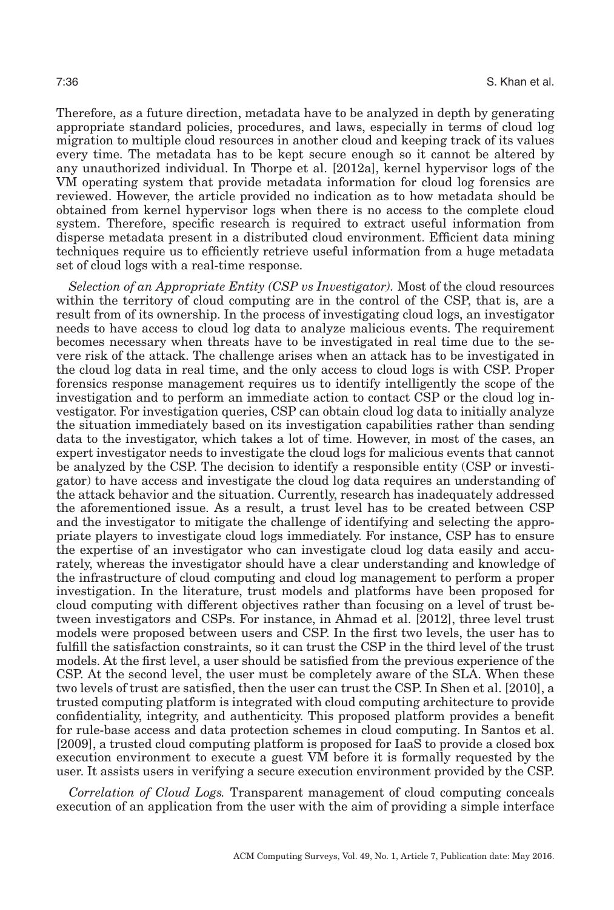Therefore, as a future direction, metadata have to be analyzed in depth by generating appropriate standard policies, procedures, and laws, especially in terms of cloud log migration to multiple cloud resources in another cloud and keeping track of its values every time. The metadata has to be kept secure enough so it cannot be altered by any unauthorized individual. In [Thorpe et al. \[2012a\],](#page-40-18) kernel hypervisor logs of the VM operating system that provide metadata information for cloud log forensics are reviewed. However, the article provided no indication as to how metadata should be obtained from kernel hypervisor logs when there is no access to the complete cloud system. Therefore, specific research is required to extract useful information from disperse metadata present in a distributed cloud environment. Efficient data mining techniques require us to efficiently retrieve useful information from a huge metadata set of cloud logs with a real-time response.

*Selection of an Appropriate Entity (CSP vs Investigator).* Most of the cloud resources within the territory of cloud computing are in the control of the CSP, that is, are a result from of its ownership. In the process of investigating cloud logs, an investigator needs to have access to cloud log data to analyze malicious events. The requirement becomes necessary when threats have to be investigated in real time due to the severe risk of the attack. The challenge arises when an attack has to be investigated in the cloud log data in real time, and the only access to cloud logs is with CSP. Proper forensics response management requires us to identify intelligently the scope of the investigation and to perform an immediate action to contact CSP or the cloud log investigator. For investigation queries, CSP can obtain cloud log data to initially analyze the situation immediately based on its investigation capabilities rather than sending data to the investigator, which takes a lot of time. However, in most of the cases, an expert investigator needs to investigate the cloud logs for malicious events that cannot be analyzed by the CSP. The decision to identify a responsible entity (CSP or investigator) to have access and investigate the cloud log data requires an understanding of the attack behavior and the situation. Currently, research has inadequately addressed the aforementioned issue. As a result, a trust level has to be created between CSP and the investigator to mitigate the challenge of identifying and selecting the appropriate players to investigate cloud logs immediately. For instance, CSP has to ensure the expertise of an investigator who can investigate cloud log data easily and accurately, whereas the investigator should have a clear understanding and knowledge of the infrastructure of cloud computing and cloud log management to perform a proper investigation. In the literature, trust models and platforms have been proposed for cloud computing with different objectives rather than focusing on a level of trust between investigators and CSPs. For instance, in [Ahmad et al. \[2012\],](#page-40-19) three level trust models were proposed between users and CSP. In the first two levels, the user has to fulfill the satisfaction constraints, so it can trust the CSP in the third level of the trust models. At the first level, a user should be satisfied from the previous experience of the CSP. At the second level, the user must be completely aware of the SLA. When these two levels of trust are satisfied, then the user can trust the CSP. In [Shen et al. \[2010\],](#page-41-11) a trusted computing platform is integrated with cloud computing architecture to provide confidentiality, integrity, and authenticity. This proposed platform provides a benefit for rule-base access and data protection schemes in cloud computing. In [Santos et al.](#page-39-23) [\[2009\],](#page-39-23) a trusted cloud computing platform is proposed for IaaS to provide a closed box execution environment to execute a guest VM before it is formally requested by the user. It assists users in verifying a secure execution environment provided by the CSP.

*Correlation of Cloud Logs.* Transparent management of cloud computing conceals execution of an application from the user with the aim of providing a simple interface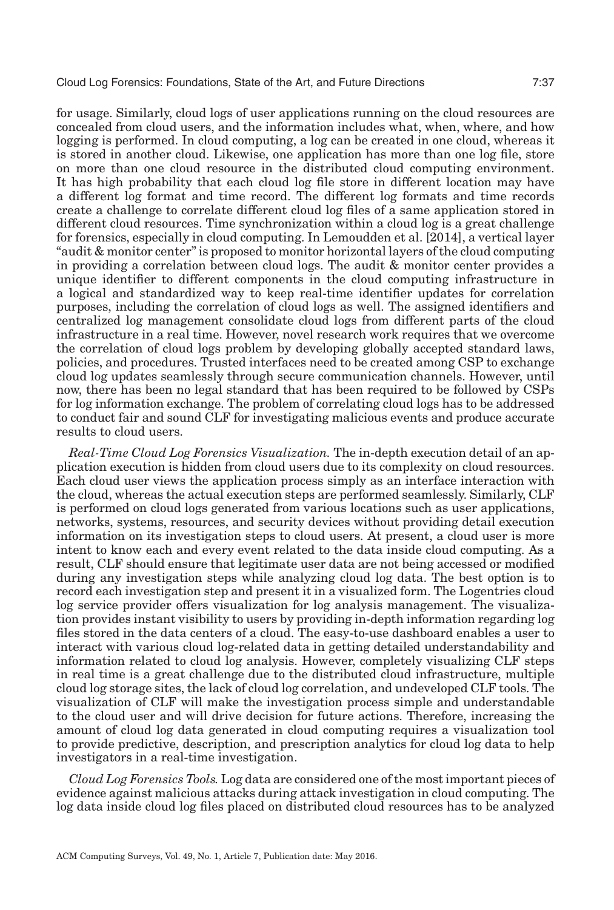for usage. Similarly, cloud logs of user applications running on the cloud resources are concealed from cloud users, and the information includes what, when, where, and how logging is performed. In cloud computing, a log can be created in one cloud, whereas it is stored in another cloud. Likewise, one application has more than one log file, store on more than one cloud resource in the distributed cloud computing environment. It has high probability that each cloud log file store in different location may have a different log format and time record. The different log formats and time records create a challenge to correlate different cloud log files of a same application stored in different cloud resources. Time synchronization within a cloud log is a great challenge for forensics, especially in cloud computing. In [Lemoudden et al. \[2014\],](#page-39-24) a vertical layer "audit & monitor center" is proposed to monitor horizontal layers of the cloud computing in providing a correlation between cloud logs. The audit & monitor center provides a unique identifier to different components in the cloud computing infrastructure in a logical and standardized way to keep real-time identifier updates for correlation purposes, including the correlation of cloud logs as well. The assigned identifiers and centralized log management consolidate cloud logs from different parts of the cloud infrastructure in a real time. However, novel research work requires that we overcome the correlation of cloud logs problem by developing globally accepted standard laws, policies, and procedures. Trusted interfaces need to be created among CSP to exchange cloud log updates seamlessly through secure communication channels. However, until now, there has been no legal standard that has been required to be followed by CSPs for log information exchange. The problem of correlating cloud logs has to be addressed to conduct fair and sound CLF for investigating malicious events and produce accurate results to cloud users.

*Real-Time Cloud Log Forensics Visualization.* The in-depth execution detail of an application execution is hidden from cloud users due to its complexity on cloud resources. Each cloud user views the application process simply as an interface interaction with the cloud, whereas the actual execution steps are performed seamlessly. Similarly, CLF is performed on cloud logs generated from various locations such as user applications, networks, systems, resources, and security devices without providing detail execution information on its investigation steps to cloud users. At present, a cloud user is more intent to know each and every event related to the data inside cloud computing. As a result, CLF should ensure that legitimate user data are not being accessed or modified during any investigation steps while analyzing cloud log data. The best option is to record each investigation step and present it in a visualized form. The Logentries cloud log service provider offers visualization for log analysis management. The visualization provides instant visibility to users by providing in-depth information regarding log files stored in the data centers of a cloud. The easy-to-use dashboard enables a user to interact with various cloud log-related data in getting detailed understandability and information related to cloud log analysis. However, completely visualizing CLF steps in real time is a great challenge due to the distributed cloud infrastructure, multiple cloud log storage sites, the lack of cloud log correlation, and undeveloped CLF tools. The visualization of CLF will make the investigation process simple and understandable to the cloud user and will drive decision for future actions. Therefore, increasing the amount of cloud log data generated in cloud computing requires a visualization tool to provide predictive, description, and prescription analytics for cloud log data to help investigators in a real-time investigation.

*Cloud Log Forensics Tools.* Log data are considered one of the most important pieces of evidence against malicious attacks during attack investigation in cloud computing. The log data inside cloud log files placed on distributed cloud resources has to be analyzed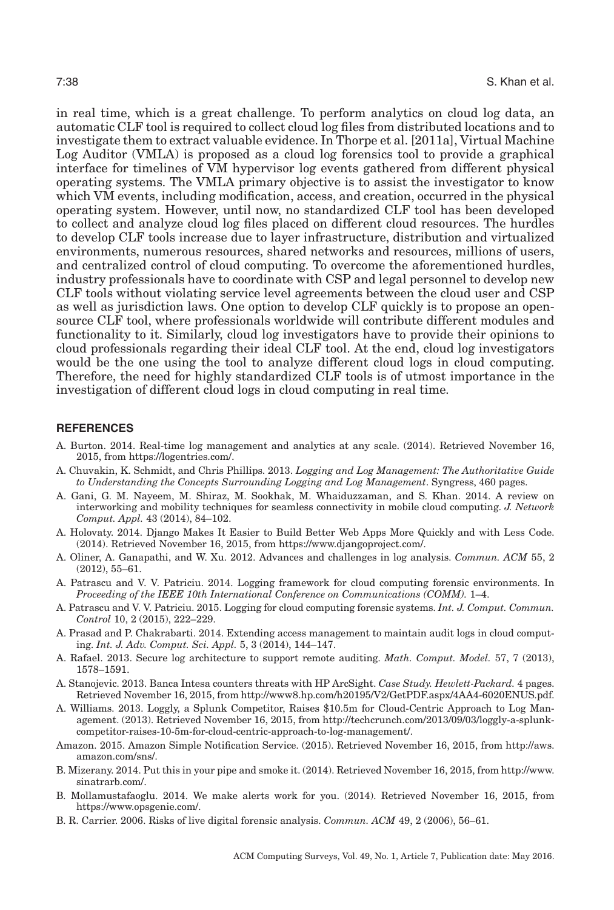in real time, which is a great challenge. To perform analytics on cloud log data, an automatic CLF tool is required to collect cloud log files from distributed locations and to investigate them to extract valuable evidence. In [Thorpe et al. \[2011a\],](#page-40-20) Virtual Machine Log Auditor (VMLA) is proposed as a cloud log forensics tool to provide a graphical interface for timelines of VM hypervisor log events gathered from different physical operating systems. The VMLA primary objective is to assist the investigator to know which VM events, including modification, access, and creation, occurred in the physical operating system. However, until now, no standardized CLF tool has been developed to collect and analyze cloud log files placed on different cloud resources. The hurdles to develop CLF tools increase due to layer infrastructure, distribution and virtualized environments, numerous resources, shared networks and resources, millions of users, and centralized control of cloud computing. To overcome the aforementioned hurdles, industry professionals have to coordinate with CSP and legal personnel to develop new CLF tools without violating service level agreements between the cloud user and CSP as well as jurisdiction laws. One option to develop CLF quickly is to propose an opensource CLF tool, where professionals worldwide will contribute different modules and functionality to it. Similarly, cloud log investigators have to provide their opinions to cloud professionals regarding their ideal CLF tool. At the end, cloud log investigators would be the one using the tool to analyze different cloud logs in cloud computing. Therefore, the need for highly standardized CLF tools is of utmost importance in the investigation of different cloud logs in cloud computing in real time.

#### **REFERENCES**

- <span id="page-37-2"></span>A. Burton. 2014. Real-time log management and analytics at any scale. (2014). Retrieved November 16, 2015, from https://logentries.com/.
- <span id="page-37-0"></span>A. Chuvakin, K. Schmidt, and Chris Phillips. 2013. *Logging and Log Management: The Authoritative Guide to Understanding the Concepts Surrounding Logging and Log Management*. Syngress, 460 pages.
- <span id="page-37-5"></span>A. Gani, G. M. Nayeem, M. Shiraz, M. Sookhak, M. Whaiduzzaman, and S. Khan. 2014. A review on interworking and mobility techniques for seamless connectivity in mobile cloud computing. *J. Network Comput. Appl.* 43 (2014), 84–102.
- <span id="page-37-10"></span>A. Holovaty. 2014. Django Makes It Easier to Build Better Web Apps More Quickly and with Less Code. (2014). Retrieved November 16, 2015, from https://www.djangoproject.com/.
- <span id="page-37-13"></span>A. Oliner, A. Ganapathi, and W. Xu. 2012. Advances and challenges in log analysis. *Commun. ACM* 55, 2 (2012), 55–61.
- <span id="page-37-7"></span>A. Patrascu and V. V. Patriciu. 2014. Logging framework for cloud computing forensic environments. In *Proceeding of the IEEE 10th International Conference on Communications (COMM).* 1–4.
- <span id="page-37-14"></span>A. Patrascu and V. V. Patriciu. 2015. Logging for cloud computing forensic systems. *Int. J. Comput. Commun. Control* 10, 2 (2015), 222–229.
- <span id="page-37-4"></span>A. Prasad and P. Chakrabarti. 2014. Extending access management to maintain audit logs in cloud computing. *Int. J. Adv. Comput. Sci. Appl.* 5, 3 (2014), 144–147.
- <span id="page-37-1"></span>A. Rafael. 2013. Secure log architecture to support remote auditing. *Math. Comput. Model.* 57, 7 (2013), 1578–1591.
- <span id="page-37-12"></span>A. Stanojevic. 2013. Banca Intesa counters threats with HP ArcSight. *Case Study. Hewlett-Packard.* 4 pages. Retrieved November 16, 2015, from http://www8.hp.com/h20195/V2/GetPDF.aspx/4AA4-6020ENUS.pdf.
- <span id="page-37-3"></span>A. Williams. 2013. Loggly, a Splunk Competitor, Raises \$10.5m for Cloud-Centric Approach to Log Management. (2013). Retrieved November 16, 2015, from http://techcrunch.com/2013/09/03/loggly-a-splunkcompetitor-raises-10-5m-for-cloud-centric-approach-to-log-management/.
- <span id="page-37-8"></span>Amazon. 2015. Amazon Simple Notification Service. (2015). Retrieved November 16, 2015, from [http://aws.](http:sol;sol;aws.amazon.comsol;snssol;) [amazon.com/sns/.](http:sol;sol;aws.amazon.comsol;snssol;)
- <span id="page-37-11"></span>B. Mizerany. 2014. Put this in your pipe and smoke it. (2014). Retrieved November 16, 2015, from [http://www.](http:sol;sol;www.sinatrarb.comsol;) [sinatrarb.com/.](http:sol;sol;www.sinatrarb.comsol;)
- <span id="page-37-9"></span>B. Mollamustafaoglu. 2014. We make alerts work for you. (2014). Retrieved November 16, 2015, from [https://www.opsgenie.com/.](https:sol;sol;www.opsgenie.comsol;)
- <span id="page-37-6"></span>B. R. Carrier. 2006. Risks of live digital forensic analysis. *Commun. ACM* 49, 2 (2006), 56–61.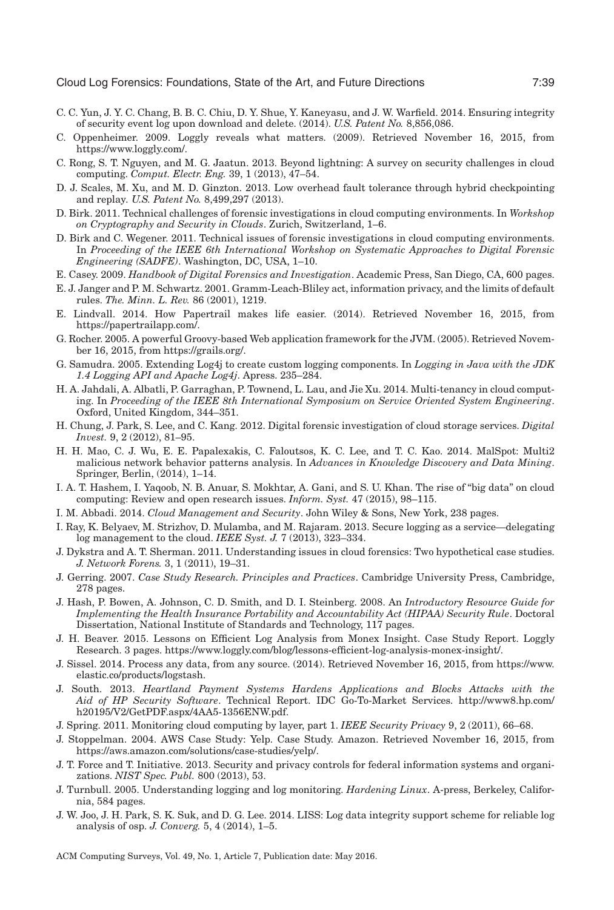- <span id="page-38-22"></span>C. C. Yun, J. Y. C. Chang, B. B. C. Chiu, D. Y. Shue, Y. Kaneyasu, and J. W. Warfield. 2014. Ensuring integrity of security event log upon download and delete. (2014). *U.S. Patent No.* 8,856,086.
- <span id="page-38-11"></span>C. Oppenheimer. 2009. Loggly reveals what matters. (2009). Retrieved November 16, 2015, from https://www.loggly.com/.
- <span id="page-38-26"></span>C. Rong, S. T. Nguyen, and M. G. Jaatun. 2013. Beyond lightning: A survey on security challenges in cloud computing. *Comput. Electr. Eng.* 39, 1 (2013), 47–54.
- <span id="page-38-9"></span>D. J. Scales, M. Xu, and M. D. Ginzton. 2013. Low overhead fault tolerance through hybrid checkpointing and replay*. U.S. Patent No.* 8,499,297 (2013).
- <span id="page-38-15"></span>D. Birk. 2011. Technical challenges of forensic investigations in cloud computing environments. In *Workshop on Cryptography and Security in Clouds*. Zurich, Switzerland, 1–6.
- <span id="page-38-1"></span>D. Birk and C. Wegener. 2011. Technical issues of forensic investigations in cloud computing environments. In *Proceeding of the IEEE 6th International Workshop on Systematic Approaches to Digital Forensic Engineering (SADFE)*. Washington, DC, USA, 1–10.
- <span id="page-38-14"></span>E. Casey. 2009. *Handbook of Digital Forensics and Investigation*. Academic Press, San Diego, CA, 600 pages.
- <span id="page-38-8"></span>E. J. Janger and P. M. Schwartz. 2001. Gramm-Leach-Bliley act, information privacy, and the limits of default rules. *The. Minn. L. Rev.* 86 (2001), 1219.
- <span id="page-38-12"></span>E. Lindvall. 2014. How Papertrail makes life easier. (2014). Retrieved November 16, 2015, from https://papertrailapp.com/.
- <span id="page-38-18"></span>G. Rocher. 2005. A powerful Groovy-based Web application framework for the JVM. (2005). Retrieved November 16, 2015, from https://grails.org/.
- <span id="page-38-17"></span>G. Samudra. 2005. Extending Log4j to create custom logging components. In *Logging in Java with the JDK 1.4 Logging API and Apache Log4j*. Apress. 235–284.
- <span id="page-38-23"></span>H. A. Jahdali, A. Albatli, P. Garraghan, P. Townend, L. Lau, and Jie Xu. 2014. Multi-tenancy in cloud computing. In *Proceeding of the IEEE 8th International Symposium on Service Oriented System Engineering*. Oxford, United Kingdom, 344–351.
- <span id="page-38-13"></span>H. Chung, J. Park, S. Lee, and C. Kang. 2012. Digital forensic investigation of cloud storage services. *Digital Invest.* 9, 2 (2012), 81–95.
- <span id="page-38-0"></span>H. H. Mao, C. J. Wu, E. E. Papalexakis, C. Faloutsos, K. C. Lee, and T. C. Kao. 2014. MalSpot: Multi2 malicious network behavior patterns analysis. In *Advances in Knowledge Discovery and Data Mining*. Springer, Berlin, (2014), 1–14.
- <span id="page-38-24"></span>I. A. T. Hashem, I. Yaqoob, N. B. Anuar, S. Mokhtar, A. Gani, and S. U. Khan. The rise of "big data" on cloud computing: Review and open research issues. *Inform. Syst.* 47 (2015), 98–115.
- <span id="page-38-16"></span>I. M. Abbadi. 2014. *Cloud Management and Security*. John Wiley & Sons, New York, 238 pages.
- <span id="page-38-3"></span>I. Ray, K. Belyaev, M. Strizhov, D. Mulamba, and M. Rajaram. 2013. Secure logging as a service—delegating log management to the cloud. *IEEE Syst. J.* 7 (2013), 323–334.
- <span id="page-38-21"></span>J. Dykstra and A. T. Sherman. 2011. Understanding issues in cloud forensics: Two hypothetical case studies. *J. Network Forens.* 3, 1 (2011), 19–31.
- <span id="page-38-19"></span>J. Gerring. 2007. *Case Study Research. Principles and Practices*. Cambridge University Press, Cambridge, 278 pages.
- <span id="page-38-7"></span>J. Hash, P. Bowen, A. Johnson, C. D. Smith, and D. I. Steinberg. 2008. An *Introductory Resource Guide for Implementing the Health Insurance Portability and Accountability Act (HIPAA) Security Rule*. Doctoral Dissertation, National Institute of Standards and Technology, 117 pages.
- <span id="page-38-5"></span>J. H. Beaver. 2015. Lessons on Efficient Log Analysis from Monex Insight. Case Study Report. Loggly Research. 3 pages. https://www.loggly.com/blog/lessons-efficient-log-analysis-monex-insight/.
- J. Sissel. 2014. Process any data, from any source. (2014). Retrieved November 16, 2015, from [https://www.](https:sol;sol;www.elastic.cosol;productssol;logstash) [elastic.co/products/logstash.](https:sol;sol;www.elastic.cosol;productssol;logstash)
- <span id="page-38-4"></span>J. South. 2013. *Heartland Payment Systems Hardens Applications and Blocks Attacks with the Aid of HP Security Software*. Technical Report. IDC Go-To-Market Services. [http://www8.hp.com/](http:sol;sol;www8.hp.comsol;h20195sol;V2sol;GetPDF.aspxsol;4AA5-1356ENW.pdf) [h20195/V2/GetPDF.aspx/4AA5-1356ENW.pdf.](http:sol;sol;www8.hp.comsol;h20195sol;V2sol;GetPDF.aspxsol;4AA5-1356ENW.pdf)
- <span id="page-38-25"></span>J. Spring. 2011. Monitoring cloud computing by layer, part 1. *IEEE Security Privacy* 9, 2 (2011), 66–68.
- <span id="page-38-20"></span>J. Stoppelman. 2004. AWS Case Study: Yelp. Case Study. Amazon. Retrieved November 16, 2015, from [https://aws.amazon.com/solutions/case-studies/yelp/.](https:sol;sol;aws.amazon.comsol;solutionssol;case-studiessol;yelpsol;)
- <span id="page-38-6"></span>J. T. Force and T. Initiative. 2013. Security and privacy controls for federal information systems and organizations. *NIST Spec. Publ.* 800 (2013), 53.
- <span id="page-38-10"></span>J. Turnbull. 2005. Understanding logging and log monitoring. *Hardening Linux*. A-press, Berkeley, California, 584 pages.
- <span id="page-38-2"></span>J. W. Joo, J. H. Park, S. K. Suk, and D. G. Lee. 2014. LISS: Log data integrity support scheme for reliable log analysis of osp. *J. Converg.* 5, 4 (2014), 1–5.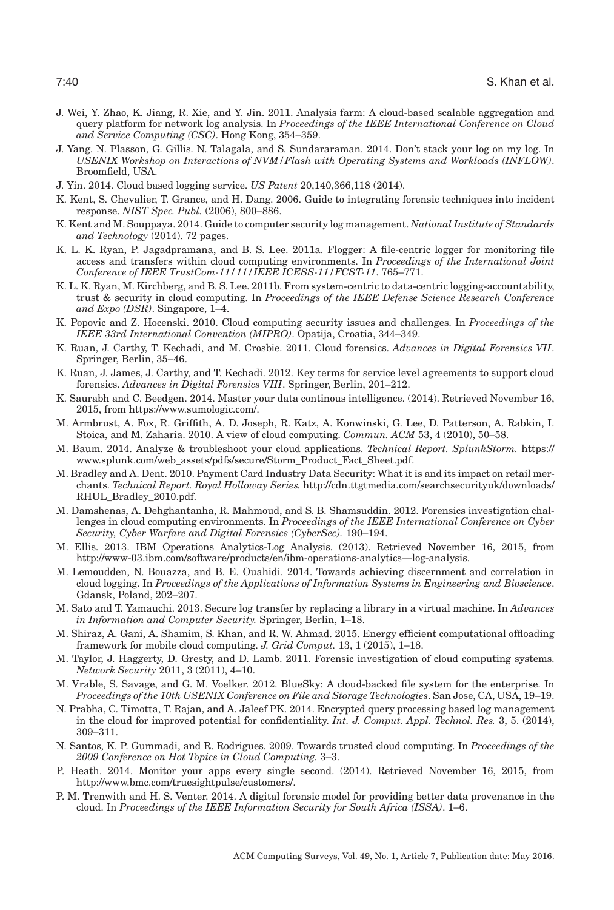- <span id="page-39-3"></span>J. Wei, Y. Zhao, K. Jiang, R. Xie, and Y. Jin. 2011. Analysis farm: A cloud-based scalable aggregation and query platform for network log analysis. In *Proceedings of the IEEE International Conference on Cloud and Service Computing (CSC)*. Hong Kong, 354–359.
- <span id="page-39-14"></span>J. Yang. N. Plasson, G. Gillis. N. Talagala, and S. Sundararaman. 2014. Don't stack your log on my log. In *USENIX Workshop on Interactions of NVM/Flash with Operating Systems and Workloads (INFLOW)*. Broomfield, USA.
- <span id="page-39-18"></span>J. Yin. 2014. Cloud based logging service. *US Patent* 20,140,366,118 (2014).
- <span id="page-39-8"></span>K. Kent, S. Chevalier, T. Grance, and H. Dang. 2006. Guide to integrating forensic techniques into incident response. *NIST Spec. Publ.* (2006), 800–886.
- <span id="page-39-0"></span>K. Kent and M. Souppaya. 2014. Guide to computer security log management. *National Institute of Standards and Technology* (2014). 72 pages.
- <span id="page-39-11"></span>K. L. K. Ryan, P. Jagadpramana, and B. S. Lee. 2011a. Flogger: A file-centric logger for monitoring file access and transfers within cloud computing environments. In *Proceedings of the International Joint Conference of IEEE TrustCom-11/11/IEEE ICESS-11/FCST-11*. 765–771.
- <span id="page-39-22"></span>K. L. K. Ryan, M. Kirchberg, and B. S. Lee. 2011b. From system-centric to data-centric logging-accountability, trust & security in cloud computing. In *Proceedings of the IEEE Defense Science Research Conference and Expo (DSR)*. Singapore, 1–4.
- <span id="page-39-10"></span>K. Popovic and Z. Hocenski. 2010. Cloud computing security issues and challenges. In *Proceedings of the IEEE 33rd International Convention (MIPRO)*. Opatija, Croatia, 344–349.
- <span id="page-39-4"></span>K. Ruan, J. Carthy, T. Kechadi, and M. Crosbie. 2011. Cloud forensics. *Advances in Digital Forensics VII*. Springer, Berlin, 35–46.
- <span id="page-39-21"></span>K. Ruan, J. James, J. Carthy, and T. Kechadi. 2012. Key terms for service level agreements to support cloud forensics. *Advances in Digital Forensics VIII*. Springer, Berlin, 201–212.
- <span id="page-39-1"></span>K. Saurabh and C. Beedgen. 2014. Master your data continous intelligence. (2014). Retrieved November 16, 2015, from https://www.sumologic.com/.
- <span id="page-39-7"></span>M. Armbrust, A. Fox, R. Griffith, A. D. Joseph, R. Katz, A. Konwinski, G. Lee, D. Patterson, A. Rabkin, I. Stoica, and M. Zaharia. 2010. A view of cloud computing. *Commun. ACM* 53, 4 (2010), 50–58.
- <span id="page-39-16"></span>M. Baum. 2014. Analyze & troubleshoot your cloud applications. *Technical Report. SplunkStorm.* [https://](https:sol;sol;www.splunk.comsol;webassetssol;pdfssol;securesol;StormProductFactSheet.pdf) [www.splunk.com/web\\_assets/pdfs/secure/Storm\\_Product\\_Fact\\_Sheet.pdf.](https:sol;sol;www.splunk.comsol;webassetssol;pdfssol;securesol;StormProductFactSheet.pdf)
- <span id="page-39-6"></span>M. Bradley and A. Dent. 2010. Payment Card Industry Data Security: What it is and its impact on retail merchants. *Technical Report. Royal Holloway Series.* [http://cdn.ttgtmedia.com/searchsecurityuk/downloads/](http:sol;sol;cdn.ttgtmedia.comsol;searchsecurityuksol;downloadssol;RHULBradley2010.pdf) [RHUL\\_Bradley\\_2010.pdf.](http:sol;sol;cdn.ttgtmedia.comsol;searchsecurityuksol;downloadssol;RHULBradley2010.pdf)
- <span id="page-39-19"></span>M. Damshenas, A. Dehghantanha, R. Mahmoud, and S. B. Shamsuddin. 2012. Forensics investigation challenges in cloud computing environments. In *Proceedings of the IEEE International Conference on Cyber Security, Cyber Warfare and Digital Forensics (CyberSec).* 190–194.
- <span id="page-39-5"></span>M. Ellis. 2013. IBM Operations Analytics-Log Analysis. (2013). Retrieved November 16, 2015, from http://www-03.ibm.com/software/products/en/ibm-operations-analytics—log-analysis.
- <span id="page-39-24"></span>M. Lemoudden, N. Bouazza, and B. E. Ouahidi. 2014. Towards achieving discernment and correlation in cloud logging. In *Proceedings of the Applications of Information Systems in Engineering and Bioscience*. Gdansk, Poland, 202–207.
- <span id="page-39-12"></span>M. Sato and T. Yamauchi. 2013. Secure log transfer by replacing a library in a virtual machine. In *Advances in Information and Computer Security.* Springer, Berlin, 1–18.
- <span id="page-39-17"></span>M. Shiraz, A. Gani, A. Shamim, S. Khan, and R. W. Ahmad. 2015. Energy efficient computational offloading framework for mobile cloud computing. *J. Grid Comput.* 13, 1 (2015), 1–18.
- <span id="page-39-9"></span>M. Taylor, J. Haggerty, D. Gresty, and D. Lamb. 2011. Forensic investigation of cloud computing systems. *Network Security* 2011, 3 (2011), 4–10.
- <span id="page-39-2"></span>M. Vrable, S. Savage, and G. M. Voelker. 2012. BlueSky: A cloud-backed file system for the enterprise. In *Proceedings of the 10th USENIX Conference on File and Storage Technologies*. San Jose, CA, USA, 19–19.
- <span id="page-39-13"></span>N. Prabha, C. Timotta, T. Rajan, and A. Jaleef PK. 2014. Encrypted query processing based log management in the cloud for improved potential for confidentiality. *Int. J. Comput. Appl. Technol. Res.* 3, 5. (2014), 309–311.
- <span id="page-39-23"></span>N. Santos, K. P. Gummadi, and R. Rodrigues. 2009. Towards trusted cloud computing. In *Proceedings of the 2009 Conference on Hot Topics in Cloud Computing.* 3–3.
- <span id="page-39-15"></span>P. Heath. 2014. Monitor your apps every single second. (2014). Retrieved November 16, 2015, from http://www.bmc.com/truesightpulse/customers/.
- <span id="page-39-20"></span>P. M. Trenwith and H. S. Venter. 2014. A digital forensic model for providing better data provenance in the cloud. In *Proceedings of the IEEE Information Security for South Africa (ISSA)*. 1–6.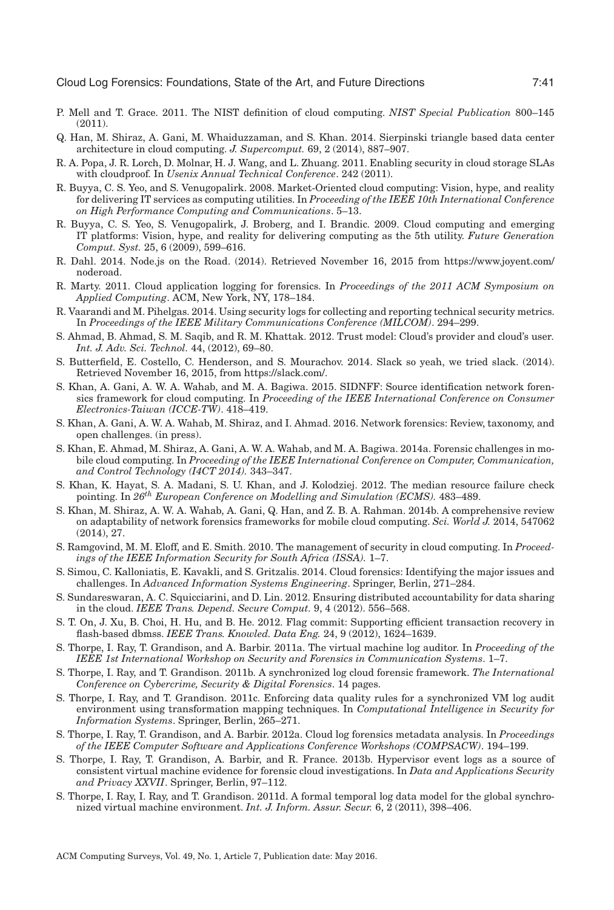- <span id="page-40-4"></span>P. Mell and T. Grace. 2011. The NIST definition of cloud computing. *NIST Special Publication* 800–145 (2011).
- Q. Han, M. Shiraz, A. Gani, M. Whaiduzzaman, and S. Khan. 2014. Sierpinski triangle based data center architecture in cloud computing. *J. Supercomput.* 69, 2 (2014), 887–907.
- <span id="page-40-15"></span>R. A. Popa, J. R. Lorch, D. Molnar, H. J. Wang, and L. Zhuang. 2011. Enabling security in cloud storage SLAs with cloudproof. In *Usenix Annual Technical Conference*. 242 (2011).
- <span id="page-40-3"></span>R. Buyya, C. S. Yeo, and S. Venugopalirk. 2008. Market-Oriented cloud computing: Vision, hype, and reality for delivering IT services as computing utilities. In *Proceeding of the IEEE 10th International Conference on High Performance Computing and Communications*. 5–13.
- <span id="page-40-5"></span>R. Buyya, C. S. Yeo, S. Venugopalirk, J. Broberg, and I. Brandic. 2009. Cloud computing and emerging IT platforms: Vision, hype, and reality for delivering computing as the 5th utility. *Future Generation Comput. Syst.* 25, 6 (2009), 599–616.
- <span id="page-40-12"></span>R. Dahl. 2014. Node.js on the Road. (2014). Retrieved November 16, 2015 from [https://www.joyent.com/](https:sol;sol;www.joyent.comsol;noderoad) [noderoad.](https:sol;sol;www.joyent.comsol;noderoad)
- <span id="page-40-7"></span>R. Marty. 2011. Cloud application logging for forensics. In *Proceedings of the 2011 ACM Symposium on Applied Computing*. ACM, New York, NY, 178–184.
- <span id="page-40-0"></span>R. Vaarandi and M. Pihelgas. 2014. Using security logs for collecting and reporting technical security metrics. In *Proceedings of the IEEE Military Communications Conference (MILCOM)*. 294–299.
- <span id="page-40-19"></span>S. Ahmad, B. Ahmad, S. M. Saqib, and R. M. Khattak. 2012. Trust model: Cloud's provider and cloud's user*. Int. J. Adv. Sci. Technol.* 44, (2012), 69–80.
- S. Butterfield, E. Costello, C. Henderson, and S. Mourachov. 2014. Slack so yeah, we tried slack. (2014). Retrieved November 16, 2015, from https://slack.com/.
- <span id="page-40-11"></span>S. Khan, A. Gani, A. W. A. Wahab, and M. A. Bagiwa. 2015. SIDNFF: Source identification network forensics framework for cloud computing. In *Proceeding of the IEEE International Conference on Consumer Electronics-Taiwan (ICCE-TW)*. 418–419.
- <span id="page-40-10"></span>S. Khan, A. Gani, A. W. A. Wahab, M. Shiraz, and I. Ahmad. 2016. Network forensics: Review, taxonomy, and open challenges. (in press).
- S. Khan, E. Ahmad, M. Shiraz, A. Gani, A. W. A. Wahab, and M. A. Bagiwa. 2014a. Forensic challenges in mobile cloud computing. In *Proceeding of the IEEE International Conference on Computer, Communication, and Control Technology (I4CT 2014).* 343–347.
- <span id="page-40-1"></span>S. Khan, K. Hayat, S. A. Madani, S. U. Khan, and J. Kolodziej. 2012. The median resource failure check pointing. In *26th European Conference on Modelling and Simulation (ECMS).* 483–489.
- S. Khan, M. Shiraz, A. W. A. Wahab, A. Gani, Q. Han, and Z. B. A. Rahman. 2014b. A comprehensive review on adaptability of network forensics frameworks for mobile cloud computing. *Sci. World J.* 2014, 547062 (2014), 27.
- <span id="page-40-13"></span>S. Ramgovind, M. M. Eloff, and E. Smith. 2010. The management of security in cloud computing. In *Proceedings of the IEEE Information Security for South Africa (ISSA).* 1–7.
- <span id="page-40-14"></span>S. Simou, C. Kalloniatis, E. Kavakli, and S. Gritzalis. 2014. Cloud forensics: Identifying the major issues and challenges. In *Advanced Information Systems Engineering*. Springer, Berlin, 271–284.
- <span id="page-40-6"></span>S. Sundareswaran, A. C. Squicciarini, and D. Lin. 2012. Ensuring distributed accountability for data sharing in the cloud. *IEEE Trans. Depend. Secure Comput.* 9, 4 (2012). 556–568.
- <span id="page-40-2"></span>S. T. On, J. Xu, B. Choi, H. Hu, and B. He. 2012. Flag commit: Supporting efficient transaction recovery in flash-based dbmss. *IEEE Trans. Knowled. Data Eng.* 24, 9 (2012), 1624–1639.
- <span id="page-40-20"></span>S. Thorpe, I. Ray, T. Grandison, and A. Barbir. 2011a. The virtual machine log auditor. In *Proceeding of the IEEE 1st International Workshop on Security and Forensics in Communication Systems*. 1–7.
- <span id="page-40-16"></span>S. Thorpe, I. Ray, and T. Grandison. 2011b. A synchronized log cloud forensic framework. *The International Conference on Cybercrime, Security & Digital Forensics*. 14 pages.
- <span id="page-40-8"></span>S. Thorpe, I. Ray, and T. Grandison. 2011c. Enforcing data quality rules for a synchronized VM log audit environment using transformation mapping techniques. In *Computational Intelligence in Security for Information Systems*. Springer, Berlin, 265–271.
- <span id="page-40-18"></span>S. Thorpe, I. Ray, T. Grandison, and A. Barbir. 2012a. Cloud log forensics metadata analysis. In *Proceedings of the IEEE Computer Software and Applications Conference Workshops (COMPSACW)*. 194–199.
- <span id="page-40-17"></span>S. Thorpe, I. Ray, T. Grandison, A. Barbir, and R. France. 2013b. Hypervisor event logs as a source of consistent virtual machine evidence for forensic cloud investigations. In *Data and Applications Security and Privacy XXVII*. Springer, Berlin, 97–112.
- <span id="page-40-9"></span>S. Thorpe, I. Ray, I. Ray, and T. Grandison. 2011d. A formal temporal log data model for the global synchronized virtual machine environment. *Int. J. Inform. Assur. Secur.* 6, 2 (2011), 398–406.